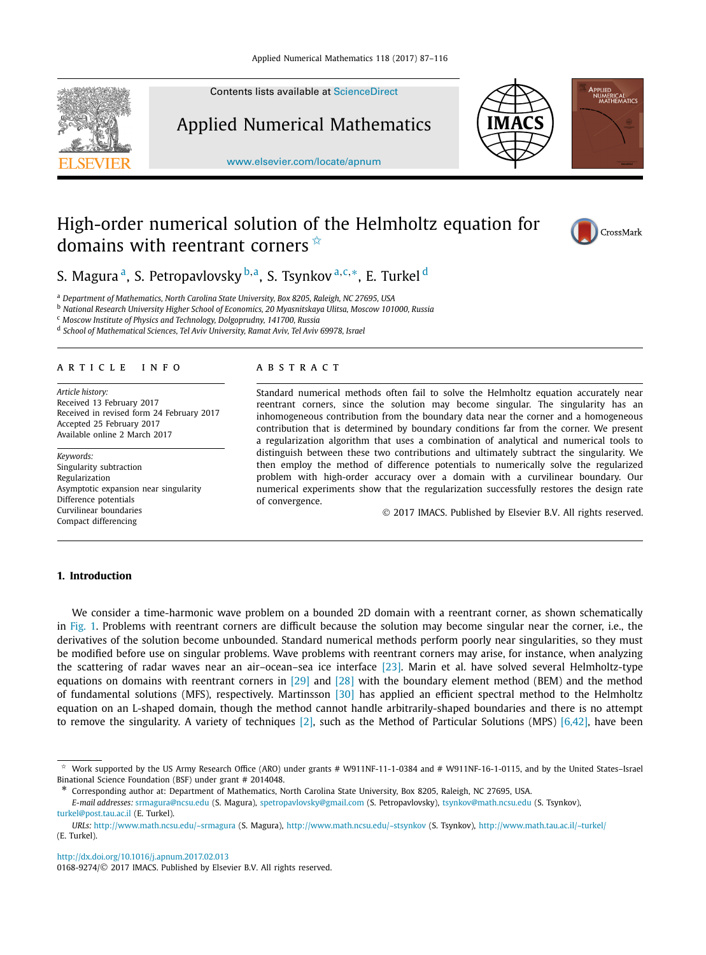

Contents lists available at [ScienceDirect](http://www.ScienceDirect.com/)

Applied Numerical Mathematics

[www.elsevier.com/locate/apnum](http://www.elsevier.com/locate/apnum)



# High-order numerical solution of the Helmholtz equation for domains with reentrant corners  $\hat{X}$



Applied<br>NUMERICAL<br>MATHEMATICS

S. Magura a, S. Petropavlovsky <sup>b</sup>*,*a, S. Tsynkov <sup>a</sup>*,*c*,*∗, E. Turkel <sup>d</sup>

<sup>a</sup> *Department of Mathematics, North Carolina State University, Box 8205, Raleigh, NC 27695, USA*

<sup>b</sup> *National Research University Higher School of Economics, 20 Myasnitskaya Ulitsa, Moscow 101000, Russia*

<sup>c</sup> *Moscow Institute of Physics and Technology, Dolgoprudny, 141700, Russia*

<sup>d</sup> *School of Mathematical Sciences, Tel Aviv University, Ramat Aviv, Tel Aviv 69978, Israel*

#### A R T I C L E I N F O A B S T R A C T

*Article history:* Received 13 February 2017 Received in revised form 24 February 2017 Accepted 25 February 2017 Available online 2 March 2017

*Keywords:* Singularity subtraction Regularization Asymptotic expansion near singularity Difference potentials Curvilinear boundaries Compact differencing

Standard numerical methods often fail to solve the Helmholtz equation accurately near reentrant corners, since the solution may become singular. The singularity has an inhomogeneous contribution from the boundary data near the corner and a homogeneous contribution that is determined by boundary conditions far from the corner. We present a regularization algorithm that uses a combination of analytical and numerical tools to distinguish between these two contributions and ultimately subtract the singularity. We then employ the method of difference potentials to numerically solve the regularized problem with high-order accuracy over a domain with a curvilinear boundary. Our numerical experiments show that the regularization successfully restores the design rate of convergence.

© 2017 IMACS. Published by Elsevier B.V. All rights reserved.

# **1. Introduction**

We consider a time-harmonic wave problem on a bounded 2D domain with a reentrant corner, as shown schematically in [Fig. 1.](#page-1-0) Problems with reentrant corners are difficult because the solution may become singular near the corner, i.e., the derivatives of the solution become unbounded. Standard numerical methods perform poorly near singularities, so they must be modified before use on singular problems. Wave problems with reentrant corners may arise, for instance, when analyzing the scattering of radar waves near an air–ocean–sea ice interface [\[23\].](#page-29-0) Marin et al. have solved several Helmholtz-type equations on domains with reentrant corners in [\[29\]](#page-29-0) and [\[28\]](#page-29-0) with the boundary element method (BEM) and the method of fundamental solutions (MFS), respectively. Martinsson [\[30\]](#page-29-0) has applied an efficient spectral method to the Helmholtz equation on an L-shaped domain, though the method cannot handle arbitrarily-shaped boundaries and there is no attempt to remove the singularity. A variety of techniques [\[2\],](#page-28-0) such as the Method of Particular Solutions (MPS)  $[6,42]$ , have been

<http://dx.doi.org/10.1016/j.apnum.2017.02.013> 0168-9274/© 2017 IMACS. Published by Elsevier B.V. All rights reserved.

 $*$  Work supported by the US Army Research Office (ARO) under grants # W911NF-11-1-0384 and # W911NF-16-1-0115, and by the United States–Israel Binational Science Foundation (BSF) under grant # 2014048.

<sup>\*</sup> Corresponding author at: Department of Mathematics, North Carolina State University, Box 8205, Raleigh, NC 27695, USA.

*E-mail addresses:* [srmagura@ncsu.edu](mailto:srmagura@ncsu.edu) (S. Magura), [spetropavlovsky@gmail.com](mailto:spetropavlovsky@gmail.com) (S. Petropavlovsky), [tsynkov@math.ncsu.edu](mailto:tsynkov@math.ncsu.edu) (S. Tsynkov), [turkel@post.tau.ac.il](mailto:turkel@post.tau.ac.il) (E. Turkel).

*URLs:* <http://www.math.ncsu.edu/~srmagura> (S. Magura), <http://www.math.ncsu.edu/~stsynkov> (S. Tsynkov), <http://www.math.tau.ac.il/~turkel/> (E. Turkel).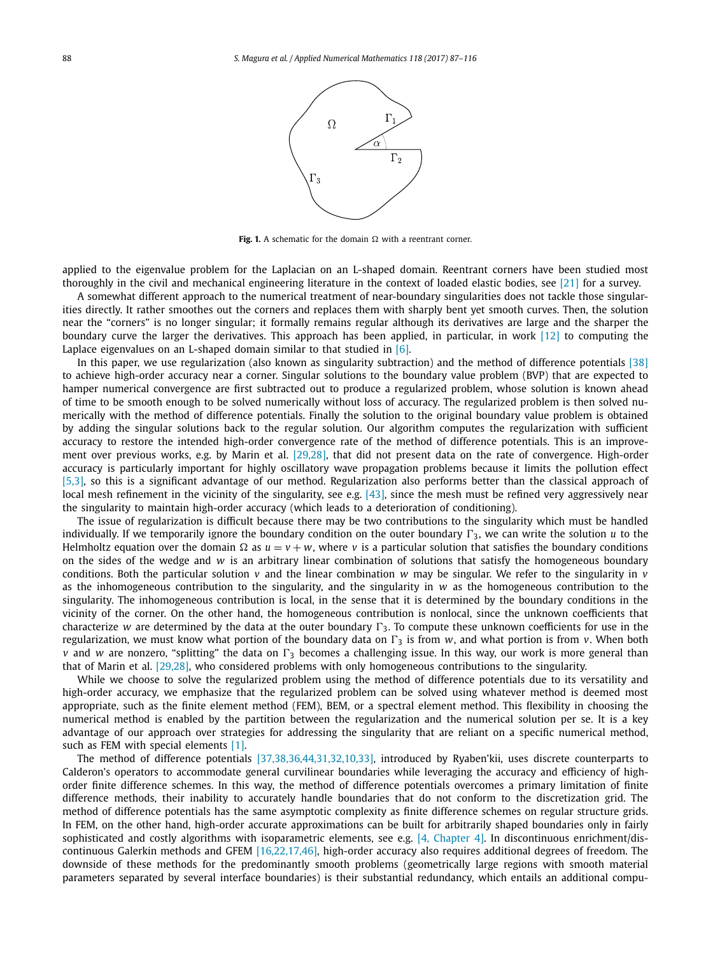

**Fig. 1.** A schematic for the domain  $\Omega$  with a reentrant corner.

<span id="page-1-0"></span>applied to the eigenvalue problem for the Laplacian on an L-shaped domain. Reentrant corners have been studied most thoroughly in the civil and mechanical engineering literature in the context of loaded elastic bodies, see [\[21\]](#page-29-0) for a survey.

A somewhat different approach to the numerical treatment of near-boundary singularities does not tackle those singularities directly. It rather smoothes out the corners and replaces them with sharply bent yet smooth curves. Then, the solution near the "corners" is no longer singular; it formally remains regular although its derivatives are large and the sharper the boundary curve the larger the derivatives. This approach has been applied, in particular, in work [\[12\]](#page-28-0) to computing the Laplace eigenvalues on an L-shaped domain similar to that studied in  $[6]$ .

In this paper, we use regularization (also known as singularity subtraction) and the method of difference potentials [\[38\]](#page-29-0) to achieve high-order accuracy near a corner. Singular solutions to the boundary value problem (BVP) that are expected to hamper numerical convergence are first subtracted out to produce a regularized problem, whose solution is known ahead of time to be smooth enough to be solved numerically without loss of accuracy. The regularized problem is then solved numerically with the method of difference potentials. Finally the solution to the original boundary value problem is obtained by adding the singular solutions back to the regular solution. Our algorithm computes the regularization with sufficient accuracy to restore the intended high-order convergence rate of the method of difference potentials. This is an improvement over previous works, e.g. by Marin et al. [\[29,28\],](#page-29-0) that did not present data on the rate of convergence. High-order accuracy is particularly important for highly oscillatory wave propagation problems because it limits the pollution effect [\[5,3\],](#page-28-0) so this is a significant advantage of our method. Regularization also performs better than the classical approach of local mesh refinement in the vicinity of the singularity, see e.g. [\[43\],](#page-29-0) since the mesh must be refined very aggressively near the singularity to maintain high-order accuracy (which leads to a deterioration of conditioning).

The issue of regularization is difficult because there may be two contributions to the singularity which must be handled individually. If we temporarily ignore the boundary condition on the outer boundary  $\Gamma_3$ , we can write the solution  $u$  to the Helmholtz equation over the domain  $\Omega$  as  $u = v + w$ , where v is a particular solution that satisfies the boundary conditions on the sides of the wedge and *w* is an arbitrary linear combination of solutions that satisfy the homogeneous boundary conditions. Both the particular solution  $v$  and the linear combination  $w$  may be singular. We refer to the singularity in  $v$ as the inhomogeneous contribution to the singularity, and the singularity in *w* as the homogeneous contribution to the singularity. The inhomogeneous contribution is local, in the sense that it is determined by the boundary conditions in the vicinity of the corner. On the other hand, the homogeneous contribution is nonlocal, since the unknown coefficients that characterize *w* are determined by the data at the outer boundary  $\Gamma_3$ . To compute these unknown coefficients for use in the regularization, we must know what portion of the boundary data on  $\Gamma_3$  is from *w*, and what portion is from *v*. When both *v* and *w* are nonzero, "splitting" the data on  $\Gamma_3$  becomes a challenging issue. In this way, our work is more general than that of Marin et al. [\[29,28\],](#page-29-0) who considered problems with only homogeneous contributions to the singularity.

While we choose to solve the regularized problem using the method of difference potentials due to its versatility and high-order accuracy, we emphasize that the regularized problem can be solved using whatever method is deemed most appropriate, such as the finite element method (FEM), BEM, or a spectral element method. This flexibility in choosing the numerical method is enabled by the partition between the regularization and the numerical solution per se. It is a key advantage of our approach over strategies for addressing the singularity that are reliant on a specific numerical method, such as FEM with special elements [\[1\].](#page-28-0)

The method of difference potentials [\[37,38,36,44,31,32,10,33\],](#page-29-0) introduced by Ryaben'kii, uses discrete counterparts to Calderon's operators to accommodate general curvilinear boundaries while leveraging the accuracy and efficiency of highorder finite difference schemes. In this way, the method of difference potentials overcomes a primary limitation of finite difference methods, their inability to accurately handle boundaries that do not conform to the discretization grid. The method of difference potentials has the same asymptotic complexity as finite difference schemes on regular structure grids. In FEM, on the other hand, high-order accurate approximations can be built for arbitrarily shaped boundaries only in fairly sophisticated and costly algorithms with isoparametric elements, see e.g. [4, [Chapter 4\].](#page-28-0) In discontinuous enrichment/discontinuous Galerkin methods and GFEM [\[16,22,17,46\],](#page-29-0) high-order accuracy also requires additional degrees of freedom. The downside of these methods for the predominantly smooth problems (geometrically large regions with smooth material parameters separated by several interface boundaries) is their substantial redundancy, which entails an additional compu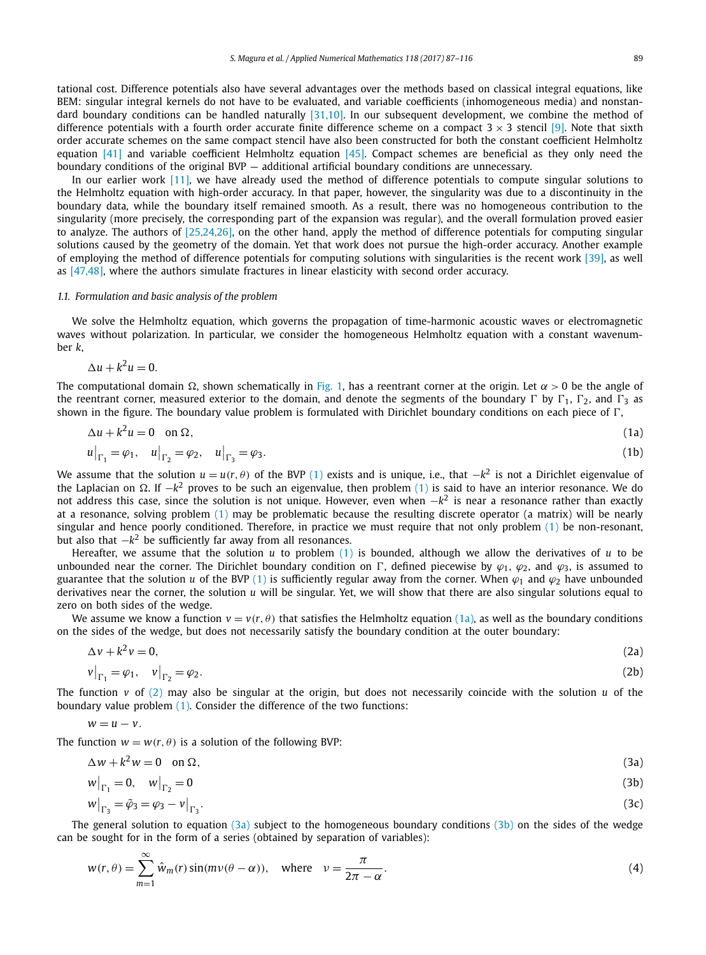<span id="page-2-0"></span>tational cost. Difference potentials also have several advantages over the methods based on classical integral equations, like BEM: singular integral kernels do not have to be evaluated, and variable coefficients (inhomogeneous media) and nonstan-dard boundary conditions can be handled naturally [\[31,10\].](#page-29-0) In our subsequent development, we combine the method of difference potentials with a fourth order accurate finite difference scheme on a compact  $3 \times 3$  stencil [\[9\].](#page-28-0) Note that sixth order accurate schemes on the same compact stencil have also been constructed for both the constant coefficient Helmholtz equation [\[41\]](#page-29-0) and variable coefficient Helmholtz equation [\[45\].](#page-29-0) Compact schemes are beneficial as they only need the boundary conditions of the original BVP — additional artificial boundary conditions are unnecessary.

In our earlier work [\[11\],](#page-28-0) we have already used the method of difference potentials to compute singular solutions to the Helmholtz equation with high-order accuracy. In that paper, however, the singularity was due to a discontinuity in the boundary data, while the boundary itself remained smooth. As a result, there was no homogeneous contribution to the singularity (more precisely, the corresponding part of the expansion was regular), and the overall formulation proved easier to analyze. The authors of [\[25,24,26\],](#page-29-0) on the other hand, apply the method of difference potentials for computing singular solutions caused by the geometry of the domain. Yet that work does not pursue the high-order accuracy. Another example of employing the method of difference potentials for computing solutions with singularities is the recent work [\[39\],](#page-29-0) as well as [\[47,48\],](#page-29-0) where the authors simulate fractures in linear elasticity with second order accuracy.

# *1.1. Formulation and basic analysis of the problem*

We solve the Helmholtz equation, which governs the propagation of time-harmonic acoustic waves or electromagnetic waves without polarization. In particular, we consider the homogeneous Helmholtz equation with a constant wavenumber *k*,

$$
\Delta u + k^2 u = 0.
$$

The computational domain  $\Omega$ , shown schematically in [Fig. 1,](#page-1-0) has a reentrant corner at the origin. Let  $\alpha$  > 0 be the angle of the reentrant corner, measured exterior to the domain, and denote the segments of the boundary  $\Gamma$  by  $\Gamma_1$ ,  $\Gamma_2$ , and  $\Gamma_3$  as shown in the figure. The boundary value problem is formulated with Dirichlet boundary conditions on each piece of  $\Gamma$ ,

$$
\Delta u + k^2 u = 0 \quad \text{on } \Omega,\tag{1a}
$$

$$
u|_{\Gamma_1} = \varphi_1, \quad u|_{\Gamma_2} = \varphi_2, \quad u|_{\Gamma_3} = \varphi_3. \tag{1b}
$$

We assume that the solution  $u = u(r, \theta)$  of the BVP (1) exists and is unique, i.e., that  $-k^2$  is not a Dirichlet eigenvalue of the Laplacian on Ω. If  $-k^2$  proves to be such an eigenvalue, then problem (1) is said to have an interior resonance. We do not address this case, since the solution is not unique. However, even when −*k*<sup>2</sup> is near a resonance rather than exactly at a resonance, solving problem (1) may be problematic because the resulting discrete operator (a matrix) will be nearly singular and hence poorly conditioned. Therefore, in practice we must require that not only problem (1) be non-resonant, but also that  $-k^2$  be sufficiently far away from all resonances.

Hereafter, we assume that the solution *u* to problem (1) is bounded, although we allow the derivatives of *u* to be unbounded near the corner. The Dirichlet boundary condition on  $\Gamma$ , defined piecewise by  $\varphi_1$ ,  $\varphi_2$ , and  $\varphi_3$ , is assumed to guarantee that the solution *u* of the BVP (1) is sufficiently regular away from the corner. When  $\varphi_1$  and  $\varphi_2$  have unbounded derivatives near the corner, the solution *u* will be singular. Yet, we will show that there are also singular solutions equal to zero on both sides of the wedge.

We assume we know a function  $v = v(r, \theta)$  that satisfies the Helmholtz equation (1a), as well as the boundary conditions on the sides of the wedge, but does not necessarily satisfy the boundary condition at the outer boundary:

$$
\Delta v + k^2 v = 0, \tag{2a}
$$

$$
\left. \mathbf{v} \right|_{\Gamma_1} = \varphi_1, \quad \left. \mathbf{v} \right|_{\Gamma_2} = \varphi_2. \tag{2b}
$$

The function  $v$  of (2) may also be singular at the origin, but does not necessarily coincide with the solution  $u$  of the boundary value problem (1). Consider the difference of the two functions:

$$
w=u-v.
$$

The function  $w = w(r, \theta)$  is a solution of the following BVP:

$$
\Delta w + k^2 w = 0 \quad \text{on } \Omega,\tag{3a}
$$

$$
w\big|_{\Gamma_1} = 0, \quad w\big|_{\Gamma_2} = 0 \tag{3b}
$$

$$
w\big|_{\Gamma_3} = \tilde{\varphi}_3 = \varphi_3 - v\big|_{\Gamma_3}.\tag{3c}
$$

The general solution to equation (3a) subject to the homogeneous boundary conditions (3b) on the sides of the wedge can be sought for in the form of a series (obtained by separation of variables):

$$
w(r,\theta) = \sum_{m=1}^{\infty} \hat{w}_m(r) \sin(mv(\theta - \alpha)), \quad \text{where} \quad v = \frac{\pi}{2\pi - \alpha}.
$$
 (4)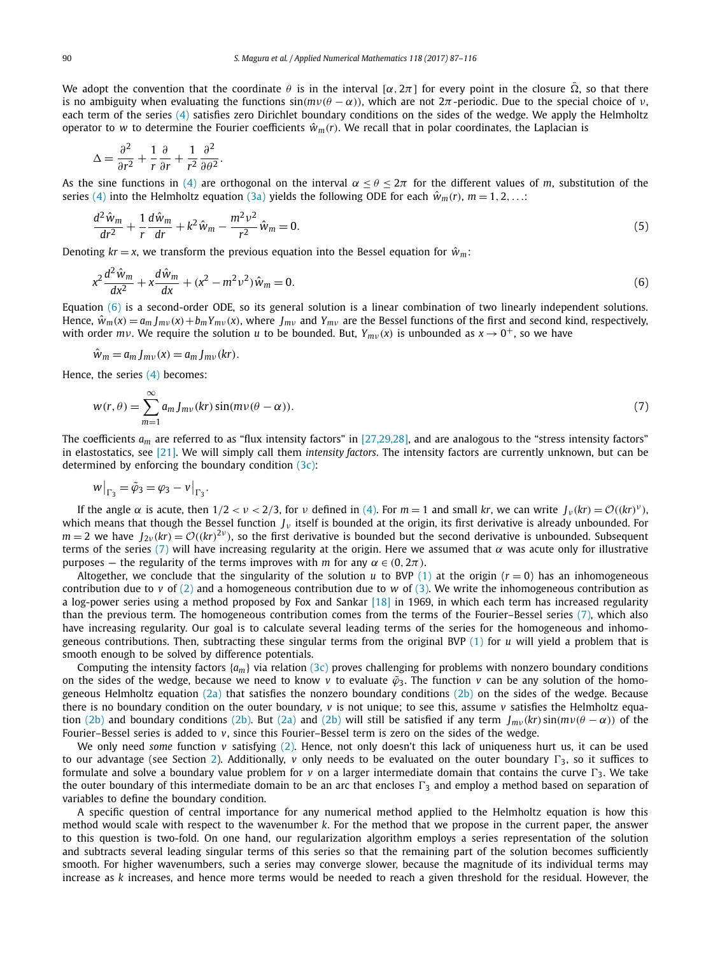<span id="page-3-0"></span>We adopt the convention that the coordinate  $\theta$  is in the interval [ $\alpha,2\pi$ ] for every point in the closure  $\bar\Omega$ , so that there is no ambiguity when evaluating the functions  $sin(mν(θ – α))$ , which are not  $2π$ -periodic. Due to the special choice of *ν*, each term of the series [\(4\)](#page-2-0) satisfies zero Dirichlet boundary conditions on the sides of the wedge. We apply the Helmholtz operator to *w* to determine the Fourier coefficients  $\hat{w}_m(r)$ . We recall that in polar coordinates, the Laplacian is

$$
\Delta = \frac{\partial^2}{\partial r^2} + \frac{1}{r} \frac{\partial}{\partial r} + \frac{1}{r^2} \frac{\partial^2}{\partial \theta^2}.
$$

As the sine functions in [\(4\)](#page-2-0) are orthogonal on the interval  $\alpha \leq \theta \leq 2\pi$  for the different values of *m*, substitution of the series [\(4\)](#page-2-0) into the Helmholtz equation [\(3a\)](#page-2-0) yields the following ODE for each  $\hat{w}_m(r)$ ,  $m = 1, 2, \ldots$ :

$$
\frac{d^2\hat{w}_m}{dr^2} + \frac{1}{r}\frac{d\hat{w}_m}{dr} + k^2\hat{w}_m - \frac{m^2v^2}{r^2}\hat{w}_m = 0.
$$
\n(5)

Denoting  $kr = x$ , we transform the previous equation into the Bessel equation for  $\hat{w}_m$ :

$$
x^{2} \frac{d^{2} \hat{w}_{m}}{dx^{2}} + x \frac{d \hat{w}_{m}}{dx} + (x^{2} - m^{2} \nu^{2}) \hat{w}_{m} = 0.
$$
\n(6)

Equation (6) is a second-order ODE, so its general solution is a linear combination of two linearly independent solutions. Hence,  $\hat{w}_m(x) = a_m J_{mv}(x) + b_m Y_{mv}(x)$ , where  $J_{mv}$  and  $Y_{mv}$  are the Bessel functions of the first and second kind, respectively, with order  $mv$ . We require the solution *u* to be bounded. But,  $Y_{mv}(x)$  is unbounded as  $x \to 0^+$ , so we have

$$
\hat{w}_m = a_m J_{mv}(x) = a_m J_{mv}(kr).
$$

Hence, the series [\(4\)](#page-2-0) becomes:

$$
w(r,\theta) = \sum_{m=1}^{\infty} a_m J_{mv}(kr) \sin(m\nu(\theta - \alpha)).
$$
\n(7)

The coefficients  $a_m$  are referred to as "flux intensity factors" in [\[27,29,28\],](#page-29-0) and are analogous to the "stress intensity factors" in elastostatics, see [\[21\].](#page-29-0) We will simply call them *intensity factors*. The intensity factors are currently unknown, but can be determined by enforcing the boundary condition [\(3c\):](#page-2-0)

$$
w\big|_{\Gamma_3} = \tilde{\varphi}_3 = \varphi_3 - v\big|_{\Gamma_3}.
$$

If the angle  $\alpha$  is acute, then  $1/2 < \nu < 2/3$ , for  $\nu$  defined in [\(4\).](#page-2-0) For  $m = 1$  and small kr, we can write  $J_{\nu}(kr) = \mathcal{O}((kr)^{\nu})$ . which means that though the Bessel function  $J_{\nu}$  itself is bounded at the origin, its first derivative is already unbounded. For  $m = 2$  we have  $J_{2\nu}(kr) = \mathcal{O}((kr)^{2\nu})$ , so the first derivative is bounded but the second derivative is unbounded. Subsequent terms of the series (7) will have increasing regularity at the origin. Here we assumed that  $\alpha$  was acute only for illustrative purposes – the regularity of the terms improves with *m* for any  $\alpha \in (0, 2π)$ .

Altogether, we conclude that the singularity of the solution  $u$  to BVP [\(1\)](#page-2-0) at the origin ( $r = 0$ ) has an inhomogeneous contribution due to *v* of [\(2\)](#page-2-0) and a homogeneous contribution due to *w* of [\(3\).](#page-2-0) We write the inhomogeneous contribution as a log-power series using a method proposed by Fox and Sankar  $[18]$  in 1969, in which each term has increased regularity than the previous term. The homogeneous contribution comes from the terms of the Fourier–Bessel series (7), which also have increasing regularity. Our goal is to calculate several leading terms of the series for the homogeneous and inhomogeneous contributions. Then, subtracting these singular terms from the original BVP [\(1\)](#page-2-0) for *u* will yield a problem that is smooth enough to be solved by difference potentials.

Computing the intensity factors  $\{a_m\}$  via relation [\(3c\)](#page-2-0) proves challenging for problems with nonzero boundary conditions on the sides of the wedge, because we need to know *v* to evaluate  $\tilde{\varphi}_3$ . The function *v* can be any solution of the homo-geneous Helmholtz equation [\(2a\)](#page-2-0) that satisfies the nonzero boundary conditions [\(2b\)](#page-2-0) on the sides of the wedge. Because there is no boundary condition on the outer boundary, *v* is not unique; to see this, assume *v* satisfies the Helmholtz equa-tion [\(2b\)](#page-2-0) and boundary conditions [\(2b\).](#page-2-0) But [\(2a\)](#page-2-0) and (2b) will still be satisfied if any term  $I_{mv}(kr)\sin(mv(\theta - \alpha))$  of the Fourier–Bessel series is added to *v*, since this Fourier–Bessel term is zero on the sides of the wedge.

We only need *some* function *v* satisfying [\(2\).](#page-2-0) Hence, not only doesn't this lack of uniqueness hurt us, it can be used to our advantage (see Section [2\)](#page-4-0). Additionally,  $v$  only needs to be evaluated on the outer boundary  $\Gamma_3$ , so it suffices to formulate and solve a boundary value problem for  $v$  on a larger intermediate domain that contains the curve  $\Gamma_3$ . We take the outer boundary of this intermediate domain to be an arc that encloses  $\Gamma_3$  and employ a method based on separation of variables to define the boundary condition.

A specific question of central importance for any numerical method applied to the Helmholtz equation is how this method would scale with respect to the wavenumber *k*. For the method that we propose in the current paper, the answer to this question is two-fold. On one hand, our regularization algorithm employs a series representation of the solution and subtracts several leading singular terms of this series so that the remaining part of the solution becomes sufficiently smooth. For higher wavenumbers, such a series may converge slower, because the magnitude of its individual terms may increase as *k* increases, and hence more terms would be needed to reach a given threshold for the residual. However, the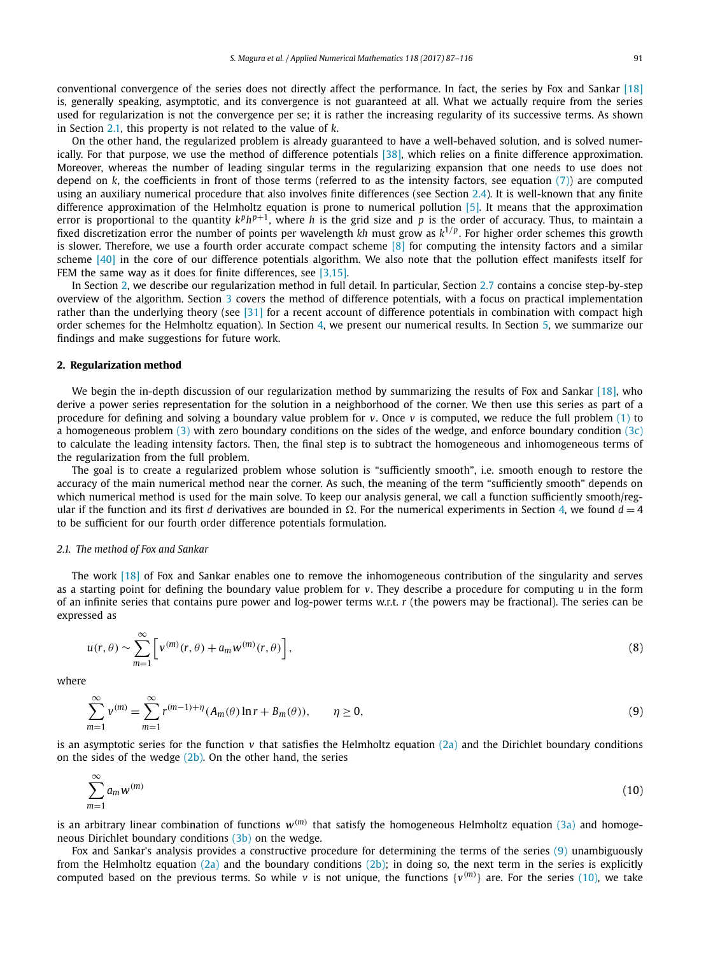<span id="page-4-0"></span>conventional convergence of the series does not directly affect the performance. In fact, the series by Fox and Sankar [\[18\]](#page-29-0) is, generally speaking, asymptotic, and its convergence is not guaranteed at all. What we actually require from the series used for regularization is not the convergence per se; it is rather the increasing regularity of its successive terms. As shown in Section 2.1, this property is not related to the value of *k*.

On the other hand, the regularized problem is already guaranteed to have a well-behaved solution, and is solved numerically. For that purpose, we use the method of difference potentials [\[38\],](#page-29-0) which relies on a finite difference approximation. Moreover, whereas the number of leading singular terms in the regularizing expansion that one needs to use does not depend on *k*, the coefficients in front of those terms (referred to as the intensity factors, see equation [\(7\)\)](#page-3-0) are computed using an auxiliary numerical procedure that also involves finite differences (see Section [2.4\)](#page-11-0). It is well-known that any finite difference approximation of the Helmholtz equation is prone to numerical pollution [\[5\].](#page-28-0) It means that the approximation error is proportional to the quantity  $k^p h^{p+1}$ , where *h* is the grid size and *p* is the order of accuracy. Thus, to maintain a fixed discretization error the number of points per wavelength *kh* must grow as *k*1*/<sup>p</sup>* . For higher order schemes this growth is slower. Therefore, we use a fourth order accurate compact scheme  $[8]$  for computing the intensity factors and a similar scheme [\[40\]](#page-29-0) in the core of our difference potentials algorithm. We also note that the pollution effect manifests itself for FEM the same way as it does for finite differences, see [\[3,15\].](#page-28-0)

In Section 2, we describe our regularization method in full detail. In particular, Section [2.7](#page-16-0) contains a concise step-by-step overview of the algorithm. Section [3](#page-17-0) covers the method of difference potentials, with a focus on practical implementation rather than the underlying theory (see [\[31\]](#page-29-0) for a recent account of difference potentials in combination with compact high order schemes for the Helmholtz equation). In Section [4,](#page-25-0) we present our numerical results. In Section [5,](#page-27-0) we summarize our findings and make suggestions for future work.

# **2. Regularization method**

We begin the in-depth discussion of our regularization method by summarizing the results of Fox and Sankar [\[18\],](#page-29-0) who derive a power series representation for the solution in a neighborhood of the corner. We then use this series as part of a procedure for defining and solving a boundary value problem for *v*. Once *v* is computed, we reduce the full problem [\(1\)](#page-2-0) to a homogeneous problem [\(3\)](#page-2-0) with zero boundary conditions on the sides of the wedge, and enforce boundary condition [\(3c\)](#page-2-0) to calculate the leading intensity factors. Then, the final step is to subtract the homogeneous and inhomogeneous terms of the regularization from the full problem.

The goal is to create a regularized problem whose solution is "sufficiently smooth", i.e. smooth enough to restore the accuracy of the main numerical method near the corner. As such, the meaning of the term "sufficiently smooth" depends on which numerical method is used for the main solve. To keep our analysis general, we call a function sufficiently smooth/regular if the function and its first *d* derivatives are bounded in  $\Omega$ . For the numerical experiments in Section [4,](#page-25-0) we found  $d = 4$ to be sufficient for our fourth order difference potentials formulation.

# *2.1. The method of Fox and Sankar*

The work [\[18\]](#page-29-0) of Fox and Sankar enables one to remove the inhomogeneous contribution of the singularity and serves as a starting point for defining the boundary value problem for *v*. They describe a procedure for computing *u* in the form of an infinite series that contains pure power and log-power terms w.r.t. *r* (the powers may be fractional). The series can be expressed as

$$
u(r,\theta) \sim \sum_{m=1}^{\infty} \left[ v^{(m)}(r,\theta) + a_m w^{(m)}(r,\theta) \right],
$$
\n(8)

where

$$
\sum_{m=1}^{\infty} v^{(m)} = \sum_{m=1}^{\infty} r^{(m-1)+\eta} (A_m(\theta) \ln r + B_m(\theta)), \qquad \eta \ge 0,
$$
\n(9)

is an asymptotic series for the function  $v$  that satisfies the Helmholtz equation [\(2a\)](#page-2-0) and the Dirichlet boundary conditions on the sides of the wedge  $(2b)$ . On the other hand, the series

$$
\sum_{m=1}^{\infty} a_m w^{(m)} \tag{10}
$$

is an arbitrary linear combination of functions  $w^{(m)}$  that satisfy the homogeneous Helmholtz equation [\(3a\)](#page-2-0) and homogeneous Dirichlet boundary conditions [\(3b\)](#page-2-0) on the wedge.

Fox and Sankar's analysis provides a constructive procedure for determining the terms of the series (9) unambiguously from the Helmholtz equation  $(2a)$  and the boundary conditions  $(2b)$ ; in doing so, the next term in the series is explicitly computed based on the previous terms. So while *v* is not unique, the functions  $\{v^{(m)}\}$  are. For the series (10), we take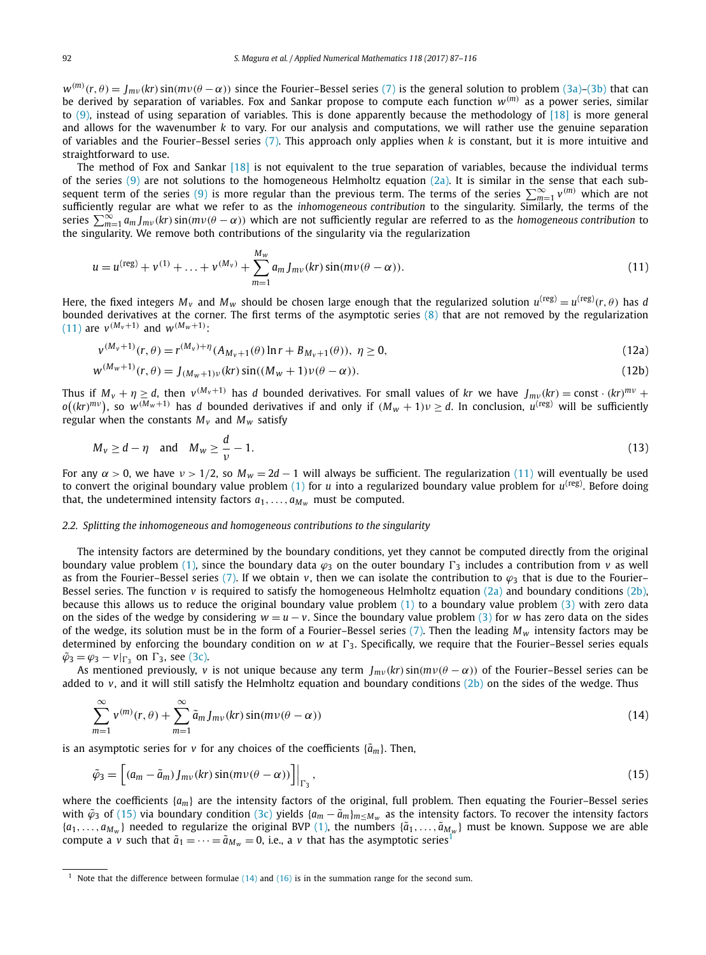<span id="page-5-0"></span> $w^{(m)}(r,\theta)=J_{mv}(kr)\sin(m\nu(\theta-\alpha))$  since the Fourier–Bessel series [\(7\)](#page-3-0) is the general solution to problem [\(3a\)–\(3b\)](#page-2-0) that can be derived by separation of variables. Fox and Sankar propose to compute each function *w(m)* as a power series, similar to  $(9)$ , instead of using separation of variables. This is done apparently because the methodology of  $[18]$  is more general and allows for the wavenumber *k* to vary. For our analysis and computations, we will rather use the genuine separation of variables and the Fourier–Bessel series [\(7\).](#page-3-0) This approach only applies when *k* is constant, but it is more intuitive and straightforward to use.

The method of Fox and Sankar [\[18\]](#page-29-0) is not equivalent to the true separation of variables, because the individual terms of the series  $(9)$  are not solutions to the homogeneous Helmholtz equation  $(2a)$ . It is similar in the sense that each sub-sequent term of the series [\(9\)](#page-4-0) is more regular than the previous term. The terms of the series  $\sum_{m=1}^{\infty} v^{(m)}$  which are not sufficiently regular are what we refer to as the *inhomogeneous contribution* to the singularity. Similarly, the terms of the series  $\sum_{m=1}^{\infty} a_m J_{mv}(kr) \sin(mv(\theta - \alpha))$  which are not sufficiently regular are referred to as the *homogeneous contribution* to the singularity. We remove both contributions of the singularity via the regularization

$$
u = u^{(\text{reg})} + v^{(1)} + \ldots + v^{(M_v)} + \sum_{m=1}^{M_w} a_m J_{mv}(kr) \sin(mv(\theta - \alpha)).
$$
\n(11)

Here, the fixed integers  $M_v$  and  $M_w$  should be chosen large enough that the regularized solution  $u^{(reg)} = u^{(reg)}(r, \theta)$  has *d* bounded derivatives at the corner. The first terms of the asymptotic series [\(8\)](#page-4-0) that are not removed by the regularization  $(11)$  are  $v^{(M_v+1)}$  and  $w^{(M_w+1)}$ :

$$
v^{(M_v+1)}(r,\theta) = r^{(M_v)+\eta}(A_{M_v+1}(\theta)\ln r + B_{M_v+1}(\theta)), \ \eta \ge 0,
$$
\n(12a)

$$
w^{(M_w+1)}(r,\theta) = J_{(M_w+1)v}(kr) \sin((M_w+1)v(\theta-\alpha)).
$$
\n(12b)

Thus if  $M_v + \eta \geq d$ , then  $v^{(M_v+1)}$  has d bounded derivatives. For small values of kr we have  $J_{mv}(kr) = \text{const} \cdot (kr)^{mv} +$  $o((kr)^{mv})$ , so  $w^{(M_w+1)}$  has  $d$  bounded derivatives if and only if  $(M_w+1)\nu\geq d$ . In conclusion,  $u^{(\text{reg})}$  will be sufficiently regular when the constants  $M_v$  and  $M_w$  satisfy

$$
M_{\nu} \ge d - \eta \quad \text{and} \quad M_{\nu} \ge \frac{d}{\nu} - 1. \tag{13}
$$

For any  $\alpha > 0$ , we have  $\nu > 1/2$ , so  $M_w = 2d - 1$  will always be sufficient. The regularization (11) will eventually be used to convert the original boundary value problem  $(1)$  for *u* into a regularized boundary value problem for  $u^{(reg)}$ . Before doing that, the undetermined intensity factors  $a_1, \ldots, a_{M_w}$  must be computed.

# *2.2. Splitting the inhomogeneous and homogeneous contributions to the singularity*

The intensity factors are determined by the boundary conditions, yet they cannot be computed directly from the original boundary value problem [\(1\),](#page-2-0) since the boundary data  $\varphi_3$  on the outer boundary  $\Gamma_3$  includes a contribution from *v* as well as from the Fourier–Bessel series [\(7\).](#page-3-0) If we obtain *v*, then we can isolate the contribution to  $\varphi_3$  that is due to the Fourier– Bessel series. The function *v* is required to satisfy the homogeneous Helmholtz equation [\(2a\)](#page-2-0) and boundary conditions [\(2b\),](#page-2-0) because this allows us to reduce the original boundary value problem  $(1)$  to a boundary value problem  $(3)$  with zero data on the sides of the wedge by considering  $w = u - v$ . Since the boundary value problem [\(3\)](#page-2-0) for *w* has zero data on the sides of the wedge, its solution must be in the form of a Fourier–Bessel series  $(7)$ . Then the leading  $M_w$  intensity factors may be determined by enforcing the boundary condition on *w* at  $\Gamma_3$ . Specifically, we require that the Fourier–Bessel series equals  $\tilde{\varphi}_3 = \varphi_3 - v|_{\Gamma_3}$  on  $\Gamma_3$ , see [\(3c\).](#page-2-0)

As mentioned previously, *v* is not unique because any term  $J_{mv}(kr) \sin(mv(\theta - \alpha))$  of the Fourier–Bessel series can be added to *v*, and it will still satisfy the Helmholtz equation and boundary conditions [\(2b\)](#page-2-0) on the sides of the wedge. Thus

$$
\sum_{m=1}^{\infty} v^{(m)}(r,\theta) + \sum_{m=1}^{\infty} \tilde{a}_m J_{mv}(kr) \sin(m\nu(\theta - \alpha))
$$
\n(14)

is an asymptotic series for *v* for any choices of the coefficients  $\{\tilde{a}_m\}$ . Then,

$$
\tilde{\varphi}_3 = \left[ (a_m - \tilde{a}_m) J_{mv}(kr) \sin(m\nu(\theta - \alpha)) \right] \Big|_{\Gamma_3}, \qquad (15)
$$

where the coefficients  $\{a_m\}$  are the intensity factors of the original, full problem. Then equating the Fourier–Bessel series with  $\tilde{\varphi}_3$  of (15) via boundary condition [\(3c\)](#page-2-0) yields  $\{a_m - \tilde{a}_m\}_{m \le M_w}$  as the intensity factors. To recover the intensity factors  ${a_1, \ldots, a_{M_w}}$  needed to regularize the original BVP [\(1\),](#page-2-0) the numbers  ${\{\tilde{a}_1, \ldots, \tilde{a}_{M_w}\}}$  must be known. Suppose we are able compute a *v* such that  $\tilde{a}_1 = \cdots = \tilde{a}_{M_w} = 0$ , i.e., a *v* that has the asymptotic series<sup>1</sup>

<sup>&</sup>lt;sup>1</sup> Note that the difference between formulae  $(14)$  and  $(16)$  is in the summation range for the second sum.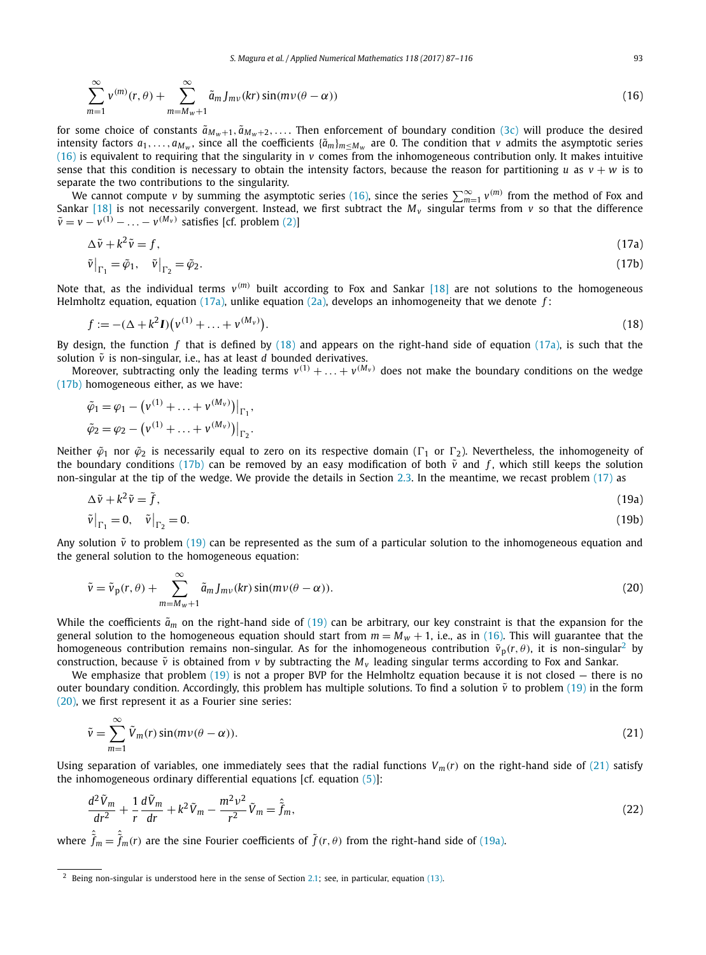<span id="page-6-0"></span>
$$
\sum_{m=1}^{\infty} v^{(m)}(r,\theta) + \sum_{m=M_W+1}^{\infty} \tilde{a}_m J_{mv}(kr) \sin(m\upsilon(\theta-\alpha))
$$
\n(16)

for some choice of constants  $\tilde{a}_{Mw+1}, \tilde{a}_{Mw+2}, \ldots$  Then enforcement of boundary condition [\(3c\)](#page-2-0) will produce the desired intensity factors  $a_1, \ldots, a_{M_w}$ , since all the coefficients  $\{\tilde{a}_m\}_{m \leq M_w}$  are 0. The condition that *v* admits the asymptotic series (16) is equivalent to requiring that the singularity in *v* comes from the inhomogeneous contribution only. It makes intuitive sense that this condition is necessary to obtain the intensity factors, because the reason for partitioning *u* as  $v + w$  is to separate the two contributions to the singularity.

We cannot compute *v* by summing the asymptotic series (16), since the series  $\sum_{m=1}^{\infty} v^{(m)}$  from the method of Fox and Sankar [\[18\]](#page-29-0) is not necessarily convergent. Instead, we first subtract the  $M_v$  singular terms from  $v$  so that the difference  $\tilde{v} = v - v^{(1)} - \ldots - v^{(M_v)}$  satisfies [cf. problem [\(2\)\]](#page-2-0)

$$
\Delta \tilde{v} + k^2 \tilde{v} = f,\tag{17a}
$$

$$
\tilde{\nu}\big|_{\Gamma_1} = \tilde{\varphi}_1, \quad \tilde{\nu}\big|_{\Gamma_2} = \tilde{\varphi}_2. \tag{17b}
$$

Note that, as the individual terms  $v^{(m)}$  built according to Fox and Sankar [\[18\]](#page-29-0) are not solutions to the homogeneous Helmholtz equation, equation (17a), unlike equation [\(2a\),](#page-2-0) develops an inhomogeneity that we denote *f* :

$$
f := -(\Delta + k^2 I)(v^{(1)} + \dots + v^{(M_v)}).
$$
\n(18)

By design, the function *f* that is defined by (18) and appears on the right-hand side of equation (17a), is such that the solution  $\tilde{v}$  is non-singular, i.e., has at least  $d$  bounded derivatives.

Moreover, subtracting only the leading terms  $v^{(1)} + \ldots + v^{(M_v)}$  does not make the boundary conditions on the wedge (17b) homogeneous either, as we have:

$$
\tilde{\varphi}_1 = \varphi_1 - (v^{(1)} + \dots + v^{(M_v)})\big|_{\Gamma_1},
$$
  

$$
\tilde{\varphi}_2 = \varphi_2 - (v^{(1)} + \dots + v^{(M_v)})\big|_{\Gamma_2}.
$$

Neither  $\tilde{\varphi}_1$  nor  $\tilde{\varphi}_2$  is necessarily equal to zero on its respective domain ( $\Gamma_1$  or  $\Gamma_2$ ). Nevertheless, the inhomogeneity of the boundary conditions (17b) can be removed by an easy modification of both  $\tilde{v}$  and  $f$ , which still keeps the solution non-singular at the tip of the wedge. We provide the details in Section [2.3.](#page-8-0) In the meantime, we recast problem (17) as

$$
\Delta \tilde{v} + k^2 \tilde{v} = \tilde{f},
$$
  
\n
$$
\tilde{v}\big|_{\Gamma_1} = 0, \quad \tilde{v}\big|_{\Gamma_2} = 0.
$$
\n(19a)

Any solution  $\tilde{v}$  to problem (19) can be represented as the sum of a particular solution to the inhomogeneous equation and the general solution to the homogeneous equation:

$$
\tilde{\nu} = \tilde{\nu}_p(r,\theta) + \sum_{m=M_w+1}^{\infty} \tilde{a}_m J_{mv}(kr) \sin(m\nu(\theta - \alpha)).
$$
\n(20)

While the coefficients  $\tilde{a}_m$  on the right-hand side of (19) can be arbitrary, our key constraint is that the expansion for the general solution to the homogeneous equation should start from  $m = M_w + 1$ , i.e., as in (16). This will guarantee that the homogeneous contribution remains non-singular. As for the inhomogeneous contribution  $\tilde{v}_p(r,\theta)$ , it is non-singular<sup>2</sup> by construction, because  $\tilde{v}$  is obtained from *v* by subtracting the  $M_v$  leading singular terms according to Fox and Sankar.

We emphasize that problem  $(19)$  is not a proper BVP for the Helmholtz equation because it is not closed  $-$  there is no outer boundary condition. Accordingly, this problem has multiple solutions. To find a solution  $\tilde{v}$  to problem (19) in the form (20), we first represent it as a Fourier sine series:

$$
\tilde{\nu} = \sum_{m=1}^{\infty} \tilde{V}_m(r) \sin(m\nu(\theta - \alpha)).
$$
\n(21)

Using separation of variables, one immediately sees that the radial functions  $V_m(r)$  on the right-hand side of (21) satisfy the inhomogeneous ordinary differential equations  $[cf.$  equation  $(5)$ ]:

$$
\frac{d^2\tilde{V}_m}{dr^2} + \frac{1}{r}\frac{d\tilde{V}_m}{dr} + k^2\tilde{V}_m - \frac{m^2v^2}{r^2}\tilde{V}_m = \hat{\tilde{f}}_m,\tag{22}
$$

where  $\hat{\tilde{f}}_m = \hat{\tilde{f}}_m(r)$  are the sine Fourier coefficients of  $\tilde{f}(r,\theta)$  from the right-hand side of (19a).

<sup>2</sup> Being non-singular is understood here in the sense of Section [2.1;](#page-4-0) see, in particular, equation [\(13\).](#page-5-0)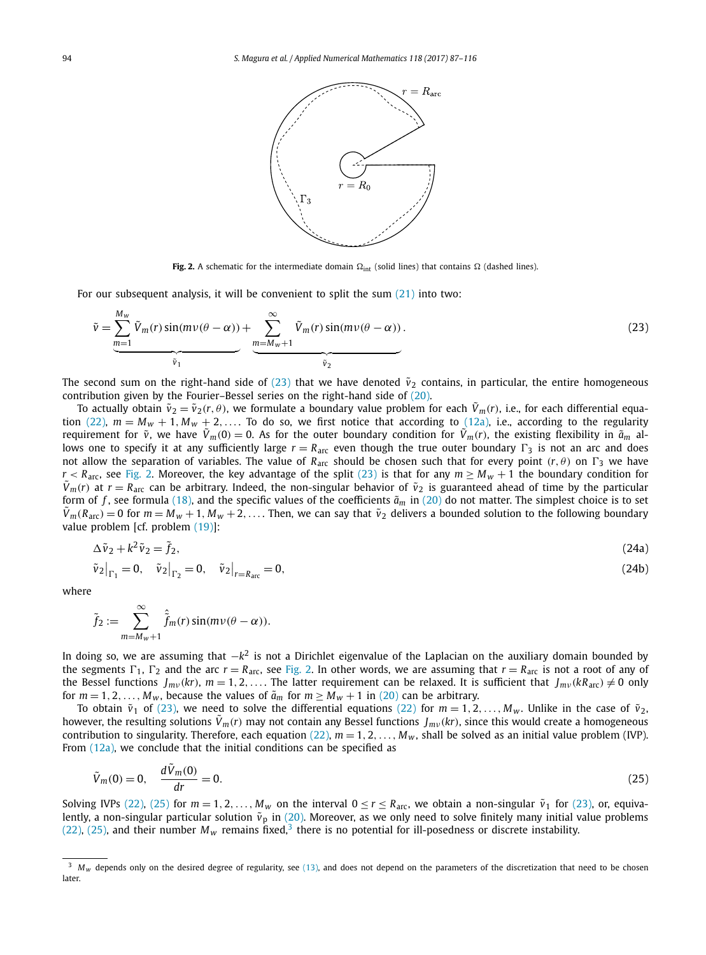<span id="page-7-0"></span>

**Fig. 2.** A schematic for the intermediate domain  $\Omega_{int}$  (solid lines) that contains  $\Omega$  (dashed lines).

For our subsequent analysis, it will be convenient to split the sum [\(21\)](#page-6-0) into two:

$$
\tilde{v} = \underbrace{\sum_{m=1}^{M_w} \tilde{V}_m(r) \sin(mv(\theta - \alpha))}_{\tilde{v}_1} + \underbrace{\sum_{m=M_w+1}^{\infty} \tilde{V}_m(r) \sin(mv(\theta - \alpha))}_{\tilde{v}_2}.
$$
\n(23)

The second sum on the right-hand side of (23) that we have denoted  $\tilde{v}_2$  contains, in particular, the entire homogeneous contribution given by the Fourier–Bessel series on the right-hand side of [\(20\).](#page-6-0)

To actually obtain  $\tilde{v}_2 = \tilde{v}_2(r, \theta)$ , we formulate a boundary value problem for each  $\tilde{V}_m(r)$ , i.e., for each differential equa-tion [\(22\),](#page-6-0)  $m = M_w + 1$ ,  $M_w + 2$ ,.... To do so, we first notice that according to [\(12a\),](#page-5-0) i.e., according to the regularity requirement for  $\tilde{v}$ , we have  $\tilde{V}_m(0) = 0$ . As for the outer boundary condition for  $\tilde{V}_m(r)$ , the existing flexibility in  $\tilde{a}_m$  allows one to specify it at any sufficiently large  $r = R_{\text{arc}}$  even though the true outer boundary  $\Gamma_3$  is not an arc and does not allow the separation of variables. The value of  $R_{\text{arc}}$  should be chosen such that for every point  $(r, \theta)$  on  $\Gamma_3$  we have *r* < *R*<sub>arc</sub>, see Fig. 2. Moreover, the key advantage of the split (23) is that for any  $m \ge M_w + 1$  the boundary condition for  $\bar{V}_m(r)$  at  $r = R_{\text{arc}}$  can be arbitrary. Indeed, the non-singular behavior of  $\tilde{v}_2$  is guaranteed ahead of time by the particular form of f, see formula [\(18\),](#page-6-0) and the specific values of the coefficients  $\tilde{a}_m$  in [\(20\)](#page-6-0) do not matter. The simplest choice is to set  $\hat{V}_m(R_{\text{arc}}) = 0$  for  $m = M_w + 1$ ,  $M_w + 2$ ,.... Then, we can say that  $\tilde{v}_2$  delivers a bounded solution to the following boundary value problem [cf. problem [\(19\)\]](#page-6-0):

$$
\Delta \tilde{v}_2 + k^2 \tilde{v}_2 = \tilde{f}_2,\tag{24a}
$$

$$
\tilde{v}_2\big|_{\Gamma_1} = 0, \quad \tilde{v}_2\big|_{\Gamma_2} = 0, \quad \tilde{v}_2\big|_{r=R_{\text{arc}}} = 0,\tag{24b}
$$

where

$$
\tilde{f}_2 := \sum_{m=M_W+1}^{\infty} \hat{\tilde{f}}_m(r) \sin(m\nu(\theta-\alpha)).
$$

In doing so, we are assuming that −*k*<sup>2</sup> is not a Dirichlet eigenvalue of the Laplacian on the auxiliary domain bounded by the segments  $\Gamma_1$ ,  $\Gamma_2$  and the arc  $r = R_{\text{arc}}$ , see Fig. 2. In other words, we are assuming that  $r = R_{\text{arc}}$  is not a root of any of the Bessel functions  $J_{mv}(kr)$ ,  $m = 1, 2, \ldots$ . The latter requirement can be relaxed. It is sufficient that  $J_{mv}(kR_{\text{arc}}) \neq 0$  only for  $m = 1, 2, \ldots, M_w$ , because the values of  $\tilde{a}_m$  for  $m \ge M_w + 1$  in [\(20\)](#page-6-0) can be arbitrary.

To obtain  $\tilde{v}_1$  of (23), we need to solve the differential equations [\(22\)](#page-6-0) for  $m = 1, 2, \ldots, M_w$ . Unlike in the case of  $\tilde{v}_2$ , however, the resulting solutions  $\tilde{V}_m(r)$  may not contain any Bessel functions  $J_{mv}(kr)$ , since this would create a homogeneous contribution to singularity. Therefore, each equation  $(22)$ ,  $m = 1, 2, \ldots, M_w$ , shall be solved as an initial value problem (IVP). From  $(12a)$ , we conclude that the initial conditions can be specified as

$$
\tilde{V}_m(0) = 0, \quad \frac{d\tilde{V}_m(0)}{dr} = 0. \tag{25}
$$

Solving IVPs [\(22\),](#page-6-0) (25) for  $m = 1, 2, ..., M_w$  on the interval  $0 \le r \le R_{\text{arc}}$ , we obtain a non-singular  $\tilde{v}_1$  for (23), or, equivalently, a non-singular particular solution  $\tilde{v}_p$  in [\(20\).](#page-6-0) Moreover, as we only need to solve finitely many initial value problems [\(22\),](#page-6-0) (25), and their number  $M_w$  remains fixed,<sup>3</sup> there is no potential for ill-posedness or discrete instability.

 $M_W$  depends only on the desired degree of regularity, see [\(13\),](#page-5-0) and does not depend on the parameters of the discretization that need to be chosen later.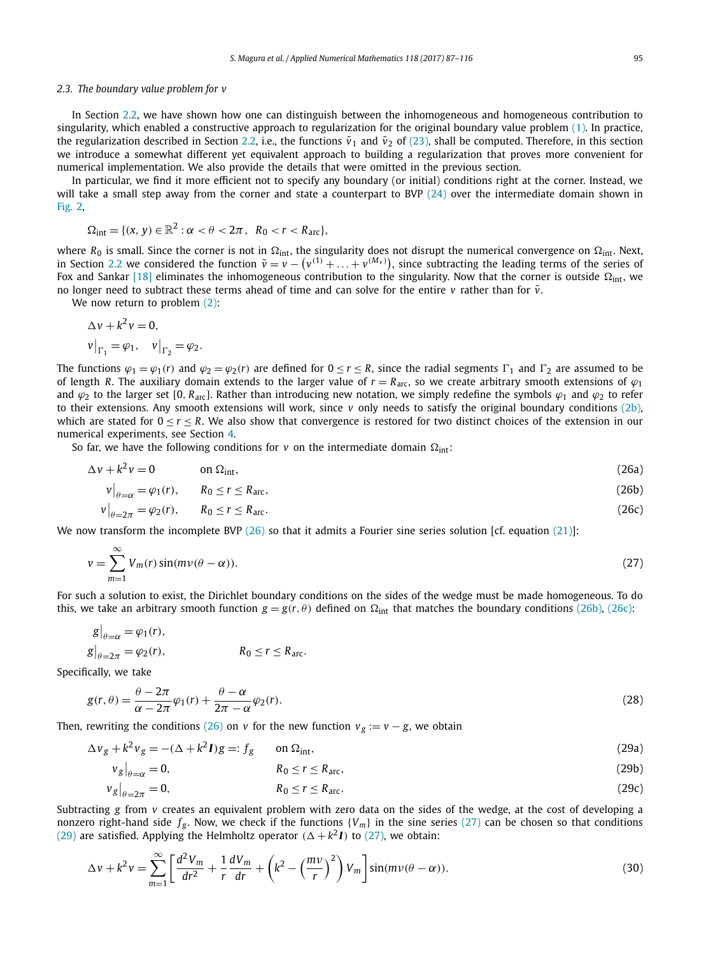# <span id="page-8-0"></span>*2.3. The boundary value problem for v*

In Section [2.2,](#page-5-0) we have shown how one can distinguish between the inhomogeneous and homogeneous contribution to singularity, which enabled a constructive approach to regularization for the original boundary value problem [\(1\).](#page-2-0) In practice, the regularization described in Section [2.2,](#page-5-0) i.e., the functions  $\tilde{v}_1$  and  $\tilde{v}_2$  of [\(23\),](#page-7-0) shall be computed. Therefore, in this section we introduce a somewhat different yet equivalent approach to building a regularization that proves more convenient for numerical implementation. We also provide the details that were omitted in the previous section.

In particular, we find it more efficient not to specify any boundary (or initial) conditions right at the corner. Instead, we will take a small step away from the corner and state a counterpart to BVP  $(24)$  over the intermediate domain shown in [Fig. 2,](#page-7-0)

$$
\Omega_{\text{int}} = \{ (x, y) \in \mathbb{R}^2 : \alpha < \theta < 2\pi \,, \, R_0 < r < R_{\text{arc}} \},
$$

where R<sub>0</sub> is small. Since the corner is not in  $\Omega_{\rm int}$ , the singularity does not disrupt the numerical convergence on  $\Omega_{\rm int}$ . Next, in Section [2.2](#page-5-0) we considered the function  $\tilde{v} = v - (v^{(1)} + \ldots + v^{(M_v)})$ , since subtracting the leading terms of the series of Fox and Sankar [\[18\]](#page-29-0) eliminates the inhomogeneous contribution to the singularity. Now that the corner is outside  $\Omega_{\rm int}$ , we no longer need to subtract these terms ahead of time and can solve for the entire  $v$  rather than for  $\tilde{v}$ .

We now return to problem [\(2\):](#page-2-0)

$$
\Delta v + k^2 v = 0,
$$
  
\n
$$
v\big|_{\Gamma_1} = \varphi_1, \quad v\big|_{\Gamma_2} = \varphi_2.
$$

The functions  $\varphi_1 = \varphi_1(r)$  and  $\varphi_2 = \varphi_2(r)$  are defined for  $0 \le r \le R$ , since the radial segments  $\Gamma_1$  and  $\Gamma_2$  are assumed to be of length *R*. The auxiliary domain extends to the larger value of  $r = R_{\text{arc}}$ , so we create arbitrary smooth extensions of  $\varphi_1$ and  $\varphi_2$  to the larger set [0,  $R_{\text{arc}}$ ]. Rather than introducing new notation, we simply redefine the symbols  $\varphi_1$  and  $\varphi_2$  to refer to their extensions. Any smooth extensions will work, since *v* only needs to satisfy the original boundary conditions [\(2b\),](#page-2-0) which are stated for  $0 < r < R$ . We also show that convergence is restored for two distinct choices of the extension in our numerical experiments, see Section [4.](#page-25-0)

So far, we have the following conditions for  $\nu$  on the intermediate domain  $\Omega_{\rm int}$ :

$$
\Delta v + k^2 v = 0 \qquad \text{on } \Omega_{\text{int}}, \tag{26a}
$$

$$
v\big|_{\theta=\alpha} = \varphi_1(r), \qquad R_0 \le r \le R_{\text{arc}},\tag{26b}
$$

$$
v\big|_{\theta=2\pi} = \varphi_2(r), \qquad R_0 \le r \le R_{\text{arc}}.\tag{26c}
$$

We now transform the incomplete BVP (26) so that it admits a Fourier sine series solution [cf. equation [\(21\)\]](#page-6-0):

$$
v = \sum_{m=1}^{\infty} V_m(r) \sin(mv(\theta - \alpha)).
$$
\n(27)

For such a solution to exist, the Dirichlet boundary conditions on the sides of the wedge must be made homogeneous. To do this, we take an arbitrary smooth function  $g = g(r, \theta)$  defined on  $\Omega_{int}$  that matches the boundary conditions (26b), (26c):

$$
g|_{\theta=\alpha} = \varphi_1(r),
$$
  
\n
$$
g|_{\theta=2\pi} = \varphi_2(r),
$$
  
\n
$$
R_0 \le r \le R_{\text{arc}}.
$$

Specifically, we take

$$
g(r,\theta) = \frac{\theta - 2\pi}{\alpha - 2\pi} \varphi_1(r) + \frac{\theta - \alpha}{2\pi - \alpha} \varphi_2(r). \tag{28}
$$

Then, rewriting the conditions (26) on *v* for the new function  $v_g := v - g$ , we obtain

$$
\Delta v_g + k^2 v_g = -(\Delta + k^2 I)g =: f_g \qquad \text{on } \Omega_{\text{int}},\tag{29a}
$$

$$
\left. v_{g} \right|_{\theta = \alpha} = 0, \qquad \qquad R_{0} \le r \le R_{\text{arc}}, \tag{29b}
$$

$$
v_g|_{\theta=2\pi}=0,\qquad R_0\leq r\leq R_{\text{arc}}.\tag{29c}
$$

Subtracting *g* from *v* creates an equivalent problem with zero data on the sides of the wedge, at the cost of developing a nonzero right-hand side  $f_g$ . Now, we check if the functions  ${V_m}$  in the sine series (27) can be chosen so that conditions (29) are satisfied. Applying the Helmholtz operator  $(\Delta + k^2 I)$  to (27), we obtain:

$$
\Delta v + k^2 v = \sum_{m=1}^{\infty} \left[ \frac{d^2 V_m}{dr^2} + \frac{1}{r} \frac{dV_m}{dr} + \left( k^2 - \left( \frac{mv}{r} \right)^2 \right) V_m \right] \sin(mv(\theta - \alpha)).
$$
\n(30)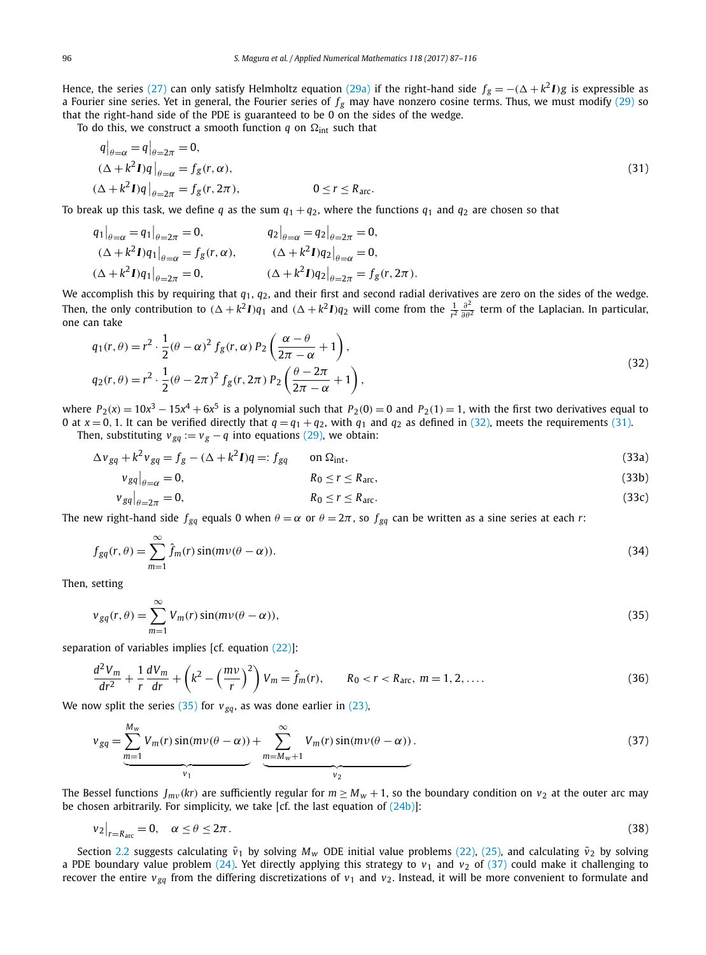<span id="page-9-0"></span>Hence, the series [\(27\)](#page-8-0) can only satisfy Helmholtz equation [\(29a\)](#page-8-0) if the right-hand side  $f_g = -(\Delta + k^2 I)g$  is expressible as a Fourier sine series. Yet in general, the Fourier series of  $f_g$  may have nonzero cosine terms. Thus, we must modify [\(29\)](#page-8-0) so that the right-hand side of the PDE is guaranteed to be 0 on the sides of the wedge.

To do this, we construct a smooth function  $q$  on  $\Omega_{\mathrm{int}}$  such that

$$
q|_{\theta=\alpha} = q|_{\theta=2\pi} = 0,
$$
  
\n
$$
(\Delta + k^2 I)q|_{\theta=\alpha} = f_g(r, \alpha),
$$
  
\n
$$
(\Delta + k^2 I)q|_{\theta=2\pi} = f_g(r, 2\pi),
$$
  
\n
$$
0 \le r \le R_{\text{arc}}.
$$
\n(31)

To break up this task, we define *q* as the sum  $q_1 + q_2$ , where the functions  $q_1$  and  $q_2$  are chosen so that

$$
q_1|_{\theta=\alpha} = q_1|_{\theta=2\pi} = 0, \qquad q_2|_{\theta=\alpha} = q_2|_{\theta=2\pi} = 0, \n(\Delta + k^2 I)q_1|_{\theta=\alpha} = f_g(r, \alpha), \qquad (\Delta + k^2 I)q_2|_{\theta=\alpha} = 0, \n(\Delta + k^2 I)q_1|_{\theta=2\pi} = 0, \qquad (\Delta + k^2 I)q_2|_{\theta=2\pi} = f_g(r, 2\pi).
$$

We accomplish this by requiring that *q*1, *q*2, and their first and second radial derivatives are zero on the sides of the wedge. Then, the only contribution to  $(\Delta + k^2 I)q_1$  and  $(\Delta + k^2 I)q_2$  will come from the  $\frac{1}{r^2} \frac{\partial^2}{\partial \theta^2}$  term of the Laplacian. In particular, one can take

$$
q_1(r,\theta) = r^2 \cdot \frac{1}{2} (\theta - \alpha)^2 f_g(r,\alpha) P_2 \left( \frac{\alpha - \theta}{2\pi - \alpha} + 1 \right),
$$
  
\n
$$
q_2(r,\theta) = r^2 \cdot \frac{1}{2} (\theta - 2\pi)^2 f_g(r,2\pi) P_2 \left( \frac{\theta - 2\pi}{2\pi - \alpha} + 1 \right),
$$
\n(32)

where  $P_2(x) = 10x^3 - 15x^4 + 6x^5$  is a polynomial such that  $P_2(0) = 0$  and  $P_2(1) = 1$ , with the first two derivatives equal to 0 at  $x = 0$ , 1. It can be verified directly that  $q = q_1 + q_2$ , with  $q_1$  and  $q_2$  as defined in (32), meets the requirements (31).

Then, substituting  $v_{gq} := v_g - q$  into equations [\(29\),](#page-8-0) we obtain:

$$
\Delta v_{gq} + k^2 v_{gq} = f_g - (\Delta + k^2 I)q =: f_{gq} \qquad \text{on } \Omega_{\text{int}},
$$
\n(33a)

$$
v_{gq}|_{\theta=\alpha} = 0, \qquad R_0 \le r \le R_{\text{arc}}, \qquad (33b)
$$

$$
v_{gq}|_{\theta=2\pi}=0,\qquad R_0\leq r\leq R_{\text{arc}}.\tag{33c}
$$

The new right-hand side  $f_{gq}$  equals 0 when  $\theta = \alpha$  or  $\theta = 2\pi$ , so  $f_{gq}$  can be written as a sine series at each *r*:

$$
f_{gq}(r,\theta) = \sum_{m=1}^{\infty} \hat{f}_m(r) \sin(m\nu(\theta - \alpha)).
$$
\n(34)

Then, setting

$$
v_{gq}(r,\theta) = \sum_{m=1}^{\infty} V_m(r) \sin(mv(\theta - \alpha)),
$$
\n(35)

separation of variables implies [cf. equation  $(22)$ ]:

$$
\frac{d^2V_m}{dr^2} + \frac{1}{r}\frac{dV_m}{dr} + \left(k^2 - \left(\frac{mv}{r}\right)^2\right)V_m = \hat{f}_m(r), \qquad R_0 < r < R_{\text{arc}}, \ m = 1, 2, \dots \tag{36}
$$

We now split the series (35) for  $v_{\text{gq}}$ , as was done earlier in [\(23\),](#page-7-0)

$$
v_{gq} = \underbrace{\sum_{m=1}^{M_w} V_m(r) \sin(mv(\theta - \alpha))}_{v_1} + \underbrace{\sum_{m=M_w+1}^{\infty} V_m(r) \sin(mv(\theta - \alpha))}_{v_2}.
$$
 (37)

The Bessel functions  $J_{mv}(kr)$  are sufficiently regular for  $m \ge M_w + 1$ , so the boundary condition on  $v_2$  at the outer arc may be chosen arbitrarily. For simplicity, we take [cf. the last equation of  $(24b)$ ]:

$$
v_2|_{r=R_{\text{arc}}} = 0, \quad \alpha \le \theta \le 2\pi. \tag{38}
$$

Section [2.2](#page-5-0) suggests calculating  $\tilde{v}_1$  by solving  $M_w$  ODE initial value problems [\(22\),](#page-6-0) [\(25\),](#page-7-0) and calculating  $\tilde{v}_2$  by solving a PDE boundary value problem [\(24\).](#page-7-0) Yet directly applying this strategy to  $v_1$  and  $v_2$  of (37) could make it challenging to recover the entire  $v_{gq}$  from the differing discretizations of  $v_1$  and  $v_2$ . Instead, it will be more convenient to formulate and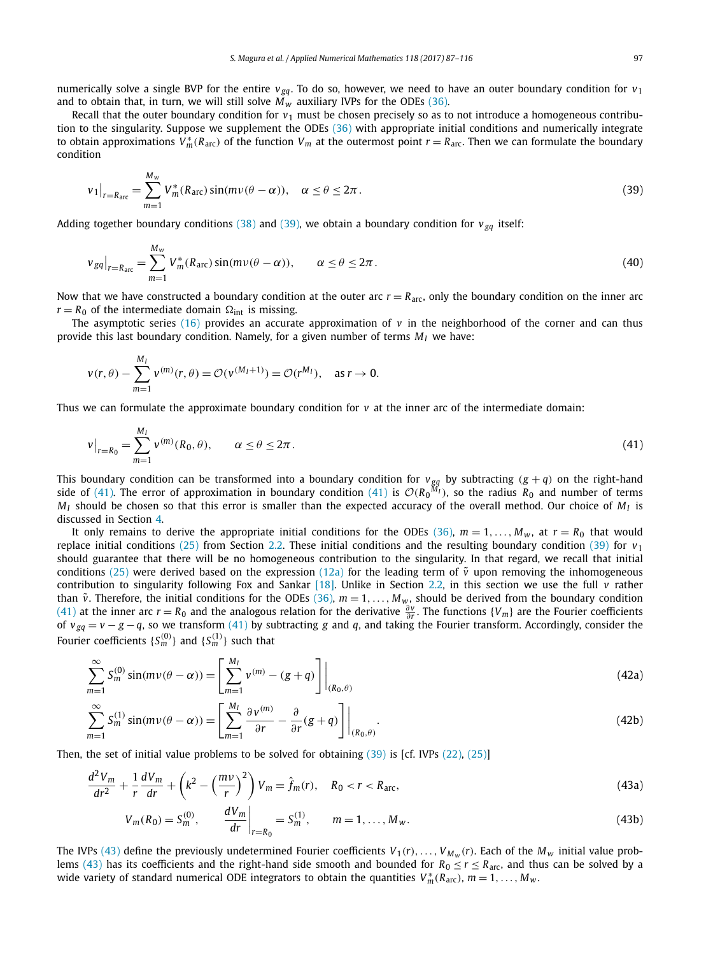<span id="page-10-0"></span>numerically solve a single BVP for the entire  $v_{ga}$ . To do so, however, we need to have an outer boundary condition for  $v_1$ and to obtain that, in turn, we will still solve  $\tilde{M_w}$  auxiliary IVPs for the ODEs [\(36\).](#page-9-0)

Recall that the outer boundary condition for  $v_1$  must be chosen precisely so as to not introduce a homogeneous contribution to the singularity. Suppose we supplement the ODEs [\(36\)](#page-9-0) with appropriate initial conditions and numerically integrate to obtain approximations  $V_m^*(R_{\text{arc}})$  of the function  $V_m$  at the outermost point  $r = R_{\text{arc}}$ . Then we can formulate the boundary condition

$$
v_1\big|_{r=R_{\text{arc}}} = \sum_{m=1}^{M_w} V_m^*(R_{\text{arc}}) \sin(m\nu(\theta - \alpha)), \quad \alpha \le \theta \le 2\pi.
$$
 (39)

Adding together boundary conditions [\(38\)](#page-9-0) and (39), we obtain a boundary condition for  $v_{\text{gq}}$  itself:

$$
\left. \nu_{gq} \right|_{r=R_{\text{arc}}} = \sum_{m=1}^{M_w} V_m^*(R_{\text{arc}}) \sin(m\nu(\theta - \alpha)), \qquad \alpha \le \theta \le 2\pi. \tag{40}
$$

Now that we have constructed a boundary condition at the outer arc  $r = R_{\text{arc}}$ , only the boundary condition on the inner arc  $r = R_0$  of the intermediate domain  $\Omega_{int}$  is missing.

The asymptotic series [\(16\)](#page-6-0) provides an accurate approximation of  $v$  in the neighborhood of the corner and can thus provide this last boundary condition. Namely, for a given number of terms  $M<sub>I</sub>$  we have:

$$
v(r, \theta) - \sum_{m=1}^{M_I} v^{(m)}(r, \theta) = \mathcal{O}(v^{(M_I+1)}) = \mathcal{O}(r^{M_I}), \text{ as } r \to 0.
$$

Thus we can formulate the approximate boundary condition for  $v$  at the inner arc of the intermediate domain:

$$
v|_{r=R_0} = \sum_{m=1}^{M_l} v^{(m)}(R_0, \theta), \qquad \alpha \le \theta \le 2\pi.
$$
 (41)

This boundary condition can be transformed into a boundary condition for  $v_{gq}$  by subtracting  $(g + q)$  on the right-hand side of (41). The error of approximation in boundary condition (41) is  $\mathcal{O}(R_0^{M_I})$ , so the radius  $R_0$  and number of terms  $M_I$  should be chosen so that this error is smaller than the expected accuracy of the overall method. Our choice of  $M_I$  is discussed in Section [4.](#page-25-0)

It only remains to derive the appropriate initial conditions for the ODEs [\(36\),](#page-9-0)  $m = 1, \ldots, M_w$ , at  $r = R_0$  that would replace initial conditions [\(25\)](#page-7-0) from Section [2.2.](#page-5-0) These initial conditions and the resulting boundary condition (39) for  $v_1$ should guarantee that there will be no homogeneous contribution to the singularity. In that regard, we recall that initial conditions [\(25\)](#page-7-0) were derived based on the expression [\(12a\)](#page-5-0) for the leading term of  $\tilde{v}$  upon removing the inhomogeneous contribution to singularity following Fox and Sankar [\[18\].](#page-29-0) Unlike in Section [2.2,](#page-5-0) in this section we use the full *v* rather than  $\tilde{v}$ . Therefore, the initial conditions for the ODEs [\(36\),](#page-9-0)  $m = 1, \ldots, M_w$ , should be derived from the boundary condition (41) at the inner arc *r* = *R*<sub>0</sub> and the analogous relation for the derivative  $\frac{\partial v}{\partial r}$ . The functions {*V<sub>m</sub>*} are the Fourier coefficients of *v gq* = *v* − *g* −*q*, so we transform (41) by subtracting *g* and *q*, and taking the Fourier transform. Accordingly, consider the Fourier coefficients  ${S_m^{(0)}$  and  ${S_m^{(1)}}$  such that

$$
\sum_{m=1}^{\infty} S_m^{(0)} \sin(m\nu(\theta - \alpha)) = \left[ \sum_{m=1}^{M_I} v^{(m)} - (g + q) \right] \Big|_{(R_0, \theta)}
$$
(42a)

$$
\sum_{m=1}^{\infty} S_m^{(1)} \sin(m\nu(\theta - \alpha)) = \left[ \sum_{m=1}^{M_1} \frac{\partial v^{(m)}}{\partial r} - \frac{\partial}{\partial r} (g + q) \right] \Big|_{(R_0, \theta)}.
$$
\n(42b)

Then, the set of initial value problems to be solved for obtaining (39) is [cf. IVPs [\(22\),](#page-6-0) [\(25\)\]](#page-7-0)

$$
\frac{d^2V_m}{dr^2} + \frac{1}{r}\frac{dV_m}{dr} + \left(k^2 - \left(\frac{mv}{r}\right)^2\right)V_m = \hat{f}_m(r), \quad R_0 < r < R_{\text{arc}},\tag{43a}
$$

$$
V_m(R_0) = S_m^{(0)}, \qquad \left. \frac{dV_m}{dr} \right|_{r=R_0} = S_m^{(1)}, \qquad m = 1, \dots, M_w.
$$
 (43b)

The IVPs (43) define the previously undetermined Fourier coefficients  $V_1(r), \ldots, V_{M_w}(r)$ . Each of the  $M_w$  initial value problems (43) has its coefficients and the right-hand side smooth and bounded for  $R_0 \le r \le R_{\text{arc}}$ , and thus can be solved by a wide variety of standard numerical ODE integrators to obtain the quantities  $V^*_m(R_{\text{arc}})$ ,  $m = 1, \ldots, M_w$ .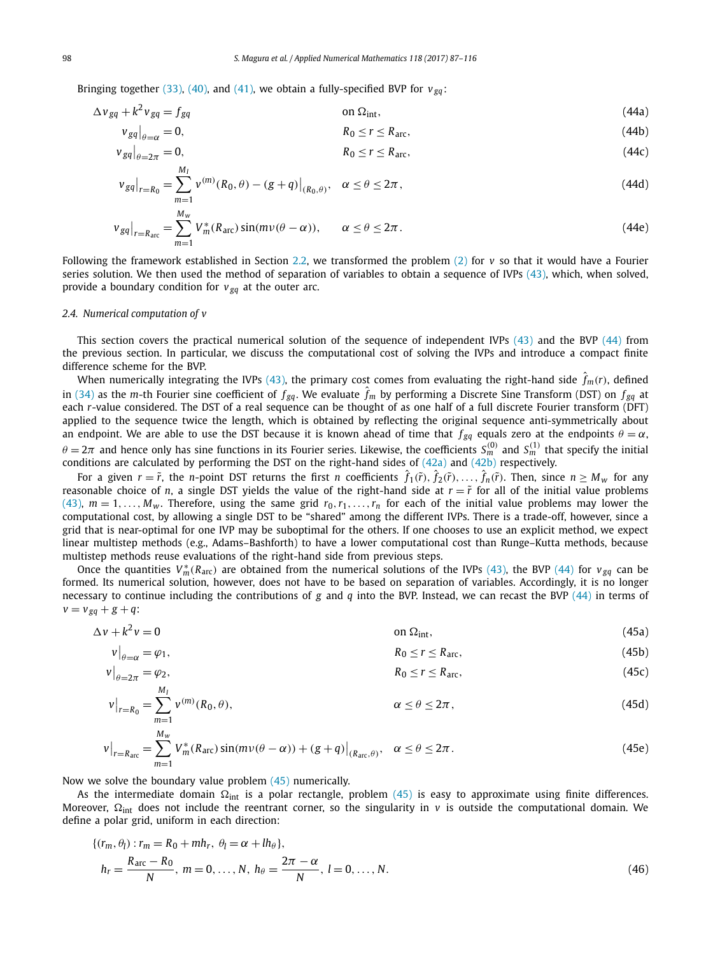<span id="page-11-0"></span>Bringing together [\(33\),](#page-9-0) [\(40\),](#page-10-0) and [\(41\),](#page-10-0) we obtain a fully-specified BVP for  $v_{\text{g}q}$ :

$$
\Delta v_{gq} + k^2 v_{gq} = f_{gq} \tag{44a}
$$

$$
v_{gq}|_{\theta=\alpha} = 0, \qquad R_0 \le r \le R_{\text{arc}}, \qquad (44b)
$$

$$
v_{gq}|_{\theta=2\pi}=0,\t\t R_0\leq r\leq R_{\text{arc}},\t(44c)
$$

$$
\left. \nu_{gq} \right|_{r=R_0} = \sum_{m=1}^{M_I} \left. \nu^{(m)}(R_0, \theta) - (g+q) \right|_{(R_0, \theta)}, \quad \alpha \le \theta \le 2\pi \,, \tag{44d}
$$

$$
\left. v_{gq} \right|_{r=R_{\text{arc}}} = \sum_{m=1}^{M_w} V_m^*(R_{\text{arc}}) \sin(m\nu(\theta - \alpha)), \qquad \alpha \le \theta \le 2\pi. \tag{44e}
$$

Following the framework established in Section [2.2,](#page-5-0) we transformed the problem [\(2\)](#page-2-0) for *v* so that it would have a Fourier series solution. We then used the method of separation of variables to obtain a sequence of IVPs  $(43)$ , which, when solved, provide a boundary condition for  $v_{\text{g}q}$  at the outer arc.

# *2.4. Numerical computation of v*

This section covers the practical numerical solution of the sequence of independent IVPs [\(43\)](#page-10-0) and the BVP (44) from the previous section. In particular, we discuss the computational cost of solving the IVPs and introduce a compact finite difference scheme for the BVP.

When numerically integrating the IVPs [\(43\),](#page-10-0) the primary cost comes from evaluating the right-hand side  $\hat{f}_m$ (r), defined in [\(34\)](#page-9-0) as the *m*-th Fourier sine coefficient of  $f_{gq}$ . We evaluate  $\hat{f}_m$  by performing a Discrete Sine Transform (DST) on  $f_{gq}$  at each *r*-value considered. The DST of a real sequence can be thought of as one half of a full discrete Fourier transform (DFT) applied to the sequence twice the length, which is obtained by reflecting the original sequence anti-symmetrically about an endpoint. We are able to use the DST because it is known ahead of time that  $f_{gq}$  equals zero at the endpoints  $\theta = \alpha$ ,  $\theta=2\pi$  and hence only has sine functions in its Fourier series. Likewise, the coefficients  $S_m^{(0)}$  and  $S_m^{(1)}$  that specify the initial conditions are calculated by performing the DST on the right-hand sides of [\(42a\)](#page-10-0) and [\(42b\)](#page-10-0) respectively.

For a given  $r=\tilde{r}$ , the *n*-point DST returns the first *n* coefficients  $\hat{f}_1(\tilde{r}),\hat{f}_2(\tilde{r}),\ldots,\hat{f}_n(\tilde{r}).$  Then, since  $n\geq M_w$  for any reasonable choice of *n*, a single DST yields the value of the right-hand side at  $r = \tilde{r}$  for all of the initial value problems [\(43\),](#page-10-0)  $m = 1, \ldots, M_w$ . Therefore, using the same grid  $r_0, r_1, \ldots, r_n$  for each of the initial value problems may lower the computational cost, by allowing a single DST to be "shared" among the different IVPs. There is a trade-off, however, since a grid that is near-optimal for one IVP may be suboptimal for the others. If one chooses to use an explicit method, we expect linear multistep methods (e.g., Adams–Bashforth) to have a lower computational cost than Runge–Kutta methods, because multistep methods reuse evaluations of the right-hand side from previous steps.

Once the quantities  $V_m^*(R_{\text{arc}})$  are obtained from the numerical solutions of the IVPs [\(43\),](#page-10-0) the BVP (44) for  $v_{gq}$  can be formed. Its numerical solution, however, does not have to be based on separation of variables. Accordingly, it is no longer necessary to continue including the contributions of *g* and *q* into the BVP. Instead, we can recast the BVP (44) in terms of  $v = v_{gg} + g + q$ :

$$
\Delta v + k^2 v = 0 \tag{45a}
$$

$$
v\big|_{\theta=\alpha}=\varphi_1,\tag{45b}
$$

$$
v|_{\theta=2\pi} = \varphi_2, \tag{45c}
$$

$$
v\big|_{r=R_0} = \sum_{m=1}^{M_I} v^{(m)}(R_0, \theta), \qquad \alpha \le \theta \le 2\pi,
$$
\n(45d)

$$
v\big|_{r=R_{\text{arc}}} = \sum_{m=1}^{M_w} V_m^*(R_{\text{arc}}) \sin(m\nu(\theta - \alpha)) + (g+q)\big|_{(R_{\text{arc}}, \theta)}, \quad \alpha \le \theta \le 2\pi. \tag{45e}
$$

Now we solve the boundary value problem (45) numerically.

As the intermediate domain  $\Omega_{\rm int}$  is a polar rectangle, problem (45) is easy to approximate using finite differences. Moreover,  $\Omega_{\rm int}$  does not include the reentrant corner, so the singularity in *v* is outside the computational domain. We define a polar grid, uniform in each direction:

$$
\{(r_m, \theta_l) : r_m = R_0 + mh_r, \ \theta_l = \alpha + lh_{\theta}\},\
$$
  
\n
$$
h_r = \frac{R_{\text{arc}} - R_0}{N}, \ m = 0, \dots, N, \ h_{\theta} = \frac{2\pi - \alpha}{N}, \ l = 0, \dots, N.
$$
\n(46)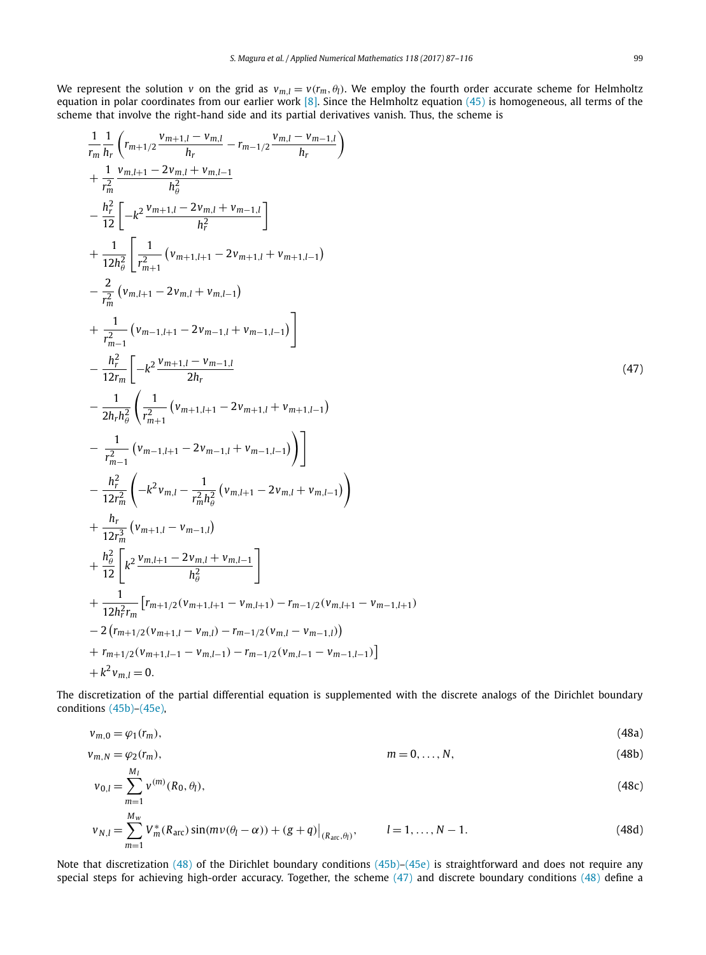<span id="page-12-0"></span>We represent the solution *v* on the grid as  $v_{m,l} = v(r_m, \theta_l)$ . We employ the fourth order accurate scheme for Helmholtz equation in polar coordinates from our earlier work  $[8]$ . Since the Helmholtz equation  $(45)$  is homogeneous, all terms of the scheme that involve the right-hand side and its partial derivatives vanish. Thus, the scheme is

 $\Delta$ 

$$
\frac{1}{r_m} \frac{1}{h_r} \left( r_{m+1/2} \frac{v_{m+1/2} - v_{m/2}}{h_r} - r_{m-1/2} \frac{v_{m/2} - v_{m-1/2}}{h_r} \right)
$$
\n
$$
+ \frac{1}{r_m^2} \frac{v_{m,l+1} - 2v_{m,l} + v_{m,l-1}}{h_s^2}
$$
\n
$$
- \frac{h_r^2}{12 \left[ -k^2 \frac{v_{m+1,l} - 2v_{m,l} + v_{m-1,l}}{h_r^2} \right]}
$$
\n
$$
+ \frac{1}{12 h_\theta^2} \left[ \frac{1}{r_{m+1}^2} \left( v_{m+1,l+1} - 2v_{m+1,l} + v_{m+1,l-1} \right) \right]
$$
\n
$$
- \frac{2}{r_m^2} \left( v_{m,l+1} - 2v_{m,1} + v_{m,1-l} \right)
$$
\n
$$
+ \frac{1}{r_{m-1}^2} \left( v_{m-1,l+1} - 2v_{m-1,l} + v_{m-1,l-1} \right)
$$
\n
$$
- \frac{h_r^2}{12 r_m} \left[ -k^2 \frac{v_{m+1,l} - v_{m-1,l}}{2 h_r} \right]
$$
\n
$$
- \frac{1}{2 h_r h_\theta^2} \left( r_{m+1}^2 \left( v_{m+1,l+1} - 2v_{m+1,l} + v_{m+1,l-1} \right) \right)
$$
\n
$$
- \frac{1}{r_{m-1}^2} \left( v_{m-1,l+1} - 2v_{m-1,l} + v_{m-1,l-1} \right)
$$
\n
$$
+ \frac{h_r^2}{12 r_m^2} \left( -k^2 v_{m,l} - \frac{1}{r_m^2 h_\theta^2} \left( v_{m,l+1} - 2v_{m,l} + v_{m,l-1} \right) \right)
$$
\n
$$
+ \frac{h_r}{h_\theta^2} \left[ k^2 \frac{v_{m,l+1} - 2v_{m,l} + v_{m,l-1}}{h_\theta^2} \right]
$$
\n
$$
+ \frac{1}{12 h_r^2 r_m} \left( r_{m+1,l} - v_{m-
$$

The discretization of the partial differential equation is supplemented with the discrete analogs of the Dirichlet boundary conditions [\(45b\)–\(45e\),](#page-11-0)

$$
v_{m,0} = \varphi_1(r_m),\tag{48a}
$$

$$
v_{m,N} = \varphi_2(r_m), \qquad m = 0, \ldots, N,
$$
\n(48b)

$$
v_{0,l} = \sum_{m=1}^{M_l} v^{(m)}(R_0, \theta_l),
$$
\n(48c)

$$
v_{N,l} = \sum_{m=1}^{M_w} V_m^*(R_{\text{arc}}) \sin(m\nu(\theta_l - \alpha)) + (g+q)|_{(R_{\text{arc}}, \theta_l)}, \qquad l = 1, ..., N-1.
$$
 (48d)

Note that discretization (48) of the Dirichlet boundary conditions [\(45b\)–\(45e\)](#page-11-0) is straightforward and does not require any special steps for achieving high-order accuracy. Together, the scheme (47) and discrete boundary conditions (48) define a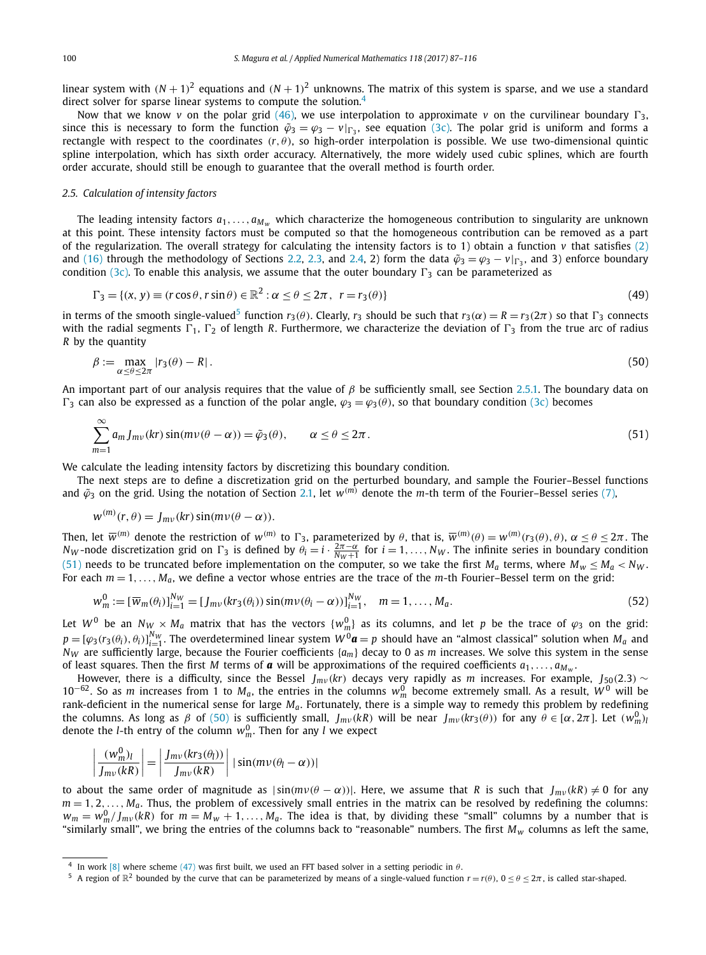<span id="page-13-0"></span>linear system with  $(N + 1)^2$  equations and  $(N + 1)^2$  unknowns. The matrix of this system is sparse, and we use a standard direct solver for sparse linear systems to compute the solution.<sup>4</sup>

Now that we know *v* on the polar grid [\(46\),](#page-11-0) we use interpolation to approximate *v* on the curvilinear boundary  $\Gamma_3$ , since this is necessary to form the function  $\tilde{\varphi}_3 = \varphi_3 - v|_{\Gamma_3}$ , see equation [\(3c\).](#page-2-0) The polar grid is uniform and forms a rectangle with respect to the coordinates  $(r, \theta)$ , so high-order interpolation is possible. We use two-dimensional quintic spline interpolation, which has sixth order accuracy. Alternatively, the more widely used cubic splines, which are fourth order accurate, should still be enough to guarantee that the overall method is fourth order.

# *2.5. Calculation of intensity factors*

The leading intensity factors  $a_1, \ldots, a_{M_w}$  which characterize the homogeneous contribution to singularity are unknown at this point. These intensity factors must be computed so that the homogeneous contribution can be removed as a part of the regularization. The overall strategy for calculating the intensity factors is to 1) obtain a function  $v$  that satisfies [\(2\)](#page-2-0) and [\(16\)](#page-6-0) through the methodology of Sections [2.2,](#page-5-0) [2.3,](#page-8-0) and [2.4,](#page-11-0) 2) form the data  $\tilde{\varphi}_3 = \varphi_3 - v|_{\Gamma_3}$ , and 3) enforce boundary condition [\(3c\).](#page-2-0) To enable this analysis, we assume that the outer boundary  $\Gamma_3$  can be parameterized as

$$
\Gamma_3 = \{ (x, y) \equiv (r \cos \theta, r \sin \theta) \in \mathbb{R}^2 : \alpha \le \theta \le 2\pi, \ r = r_3(\theta) \}
$$
\n
$$
(49)
$$

in terms of the smooth single-valued<sup>5</sup> function  $r_3(\theta)$ . Clearly,  $r_3$  should be such that  $r_3(\alpha) = R = r_3(2\pi)$  so that  $\Gamma_3$  connects with the radial segments  $\Gamma_1$ ,  $\Gamma_2$  of length *R*. Furthermore, we characterize the deviation of  $\Gamma_3$  from the true arc of radius *R* by the quantity

$$
\beta := \max_{\alpha \le \theta \le 2\pi} |r_3(\theta) - R| \,. \tag{50}
$$

An important part of our analysis requires that the value of *β* be sufficiently small, see Section [2.5.1.](#page-14-0) The boundary data on  $\Gamma_3$  can also be expressed as a function of the polar angle,  $\varphi_3 = \varphi_3(\theta)$ , so that boundary condition [\(3c\)](#page-2-0) becomes

$$
\sum_{m=1}^{\infty} a_m J_{mv}(kr) \sin(m\nu(\theta - \alpha)) = \tilde{\varphi}_3(\theta), \qquad \alpha \le \theta \le 2\pi.
$$
\n(51)

We calculate the leading intensity factors by discretizing this boundary condition.

The next steps are to define a discretization grid on the perturbed boundary, and sample the Fourier–Bessel functions and  $\tilde{\varphi}_3$  on the grid. Using the notation of Section [2.1,](#page-4-0) let  $w^{(m)}$  denote the *m*-th term of the Fourier–Bessel series [\(7\),](#page-3-0)

$$
w^{(m)}(r,\theta) = J_{mv}(kr) \sin(m\nu(\theta - \alpha)).
$$

Then, let  $\overline{w}^{(m)}$  denote the restriction of  $w^{(m)}$  to  $\Gamma_3$ , parameterized by  $\theta$ , that is,  $\overline{w}^{(m)}(\theta)=w^{(m)}(r_3(\theta),\theta),\,\alpha\leq\theta\leq2\pi$ . The *N<sub>W</sub>* -node discretization grid on  $\Gamma_3$  is defined by  $\theta_i = i \cdot \frac{2\pi - \alpha}{N_W + 1}$  for  $i = 1, ..., N_W$ . The infinite series in boundary condition (51) needs to be truncated before implementation on the computer, so we take the first  $M_a$  terms, where  $M_w \leq M_a < N_w$ . For each *m* = 1*,..., Ma*, we define a vector whose entries are the trace of the *m*-th Fourier–Bessel term on the grid:

$$
w_m^0 := [\overline{w}_m(\theta_i)]_{i=1}^{N_W} = [J_{mv}(kr_3(\theta_i))\sin(m\nu(\theta_i - \alpha))]_{i=1}^{N_W}, \quad m = 1, ..., M_a.
$$
\n(52)

Let  $W^0$  be an  $N_{W} \times M_a$  matrix that has the vectors  $\{w_m^0\}$  as its columns, and let  $p$  be the trace of  $\varphi_3$  on the grid:  $p=[\varphi_3(r_3(\theta_i),\theta_i)]_{i=1}^{N_W}$ . The overdetermined linear system  $W^0$ **a** = p should have an "almost classical" solution when  $M_a$  and *NW* are sufficiently large, because the Fourier coefficients {*am*} decay to 0 as *m* increases. We solve this system in the sense of least squares. Then the first *M* terms of **a** will be approximations of the required coefficients  $a_1, \ldots, a_{M_w}$ .

However, there is a difficulty, since the Bessel *Jmν (kr)* decays very rapidly as *m* increases. For example, *J*50*(*2*.*3*)* ∼  $10^{-62}$ . So as *m* increases from 1 to *M<sub>a</sub>*, the entries in the columns  $w_m^0$  become extremely small. As a result,  $W^0$  will be rank-deficient in the numerical sense for large *Ma*. Fortunately, there is a simple way to remedy this problem by redefining the columns. As long as  $\beta$  of (50) is sufficiently small,  $J_{mv}(kR)$  will be near  $J_{mv}(kr_3(\theta))$  for any  $\theta \in [\alpha, 2\pi]$ . Let  $(w_m^0)$ denote the *l*-th entry of the column  $w_m^0$ . Then for any *l* we expect

$$
\left|\frac{(w_m^0)_l}{J_{mv}(kR)}\right| = \left|\frac{J_{mv}(kr_3(\theta_l))}{J_{mv}(kR)}\right| |\sin(m\nu(\theta_l - \alpha))|
$$

to about the same order of magnitude as  $|\sin(mv(\theta - \alpha))|$ . Here, we assume that *R* is such that  $J_{mv}(kR) \neq 0$  for any  $m = 1, 2, \ldots, M_a$ . Thus, the problem of excessively small entries in the matrix can be resolved by redefining the columns:  $w_m=w_m^0/J_{mv}(kR)$  for  $m=M_w+1,\ldots,M_a.$  The idea is that, by dividing these "small" columns by a number that is "similarly small", we bring the entries of the columns back to "reasonable" numbers. The first *Mw* columns as left the same,

In work [\[8\]](#page-28-0) where scheme [\(47\)](#page-12-0) was first built, we used an FFT based solver in a setting periodic in  $\theta$ .

<sup>&</sup>lt;sup>5</sup> A region of  $\mathbb{R}^2$  bounded by the curve that can be parameterized by means of a single-valued function  $r = r(\theta)$ ,  $0 \le \theta \le 2\pi$ , is called star-shaped.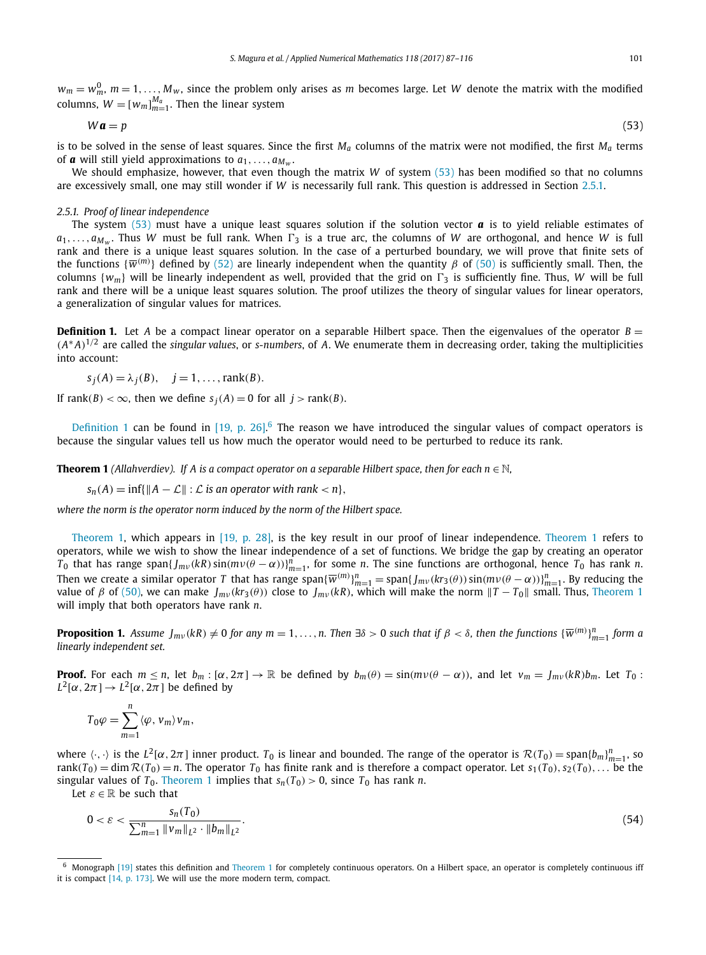<span id="page-14-0"></span> $w_m = w_m^0$ ,  $m = 1, \ldots, M_w$ , since the problem only arises as *m* becomes large. Let *W* denote the matrix with the modified columns,  $W = [w_m]_{m=1}^{M_a}$ . Then the linear system

$$
W\mathbf{a} = p \tag{53}
$$

is to be solved in the sense of least squares. Since the first  $M_a$  columns of the matrix were not modified, the first  $M_a$  terms of **a** will still yield approximations to  $a_1, \ldots, a_{M_w}$ .

We should emphasize, however, that even though the matrix *W* of system (53) has been modified so that no columns are excessively small, one may still wonder if *W* is necessarily full rank. This question is addressed in Section 2.5.1.

# *2.5.1. Proof of linear independence*

The system (53) must have a unique least squares solution if the solution vector  $\alpha$  is to yield reliable estimates of  $a_1, \ldots, a_{M_W}$ . Thus *W* must be full rank. When  $\Gamma_3$  is a true arc, the columns of *W* are orthogonal, and hence *W* is full rank and there is a unique least squares solution. In the case of a perturbed boundary, we will prove that finite sets of the functions {*w(m)* } defined by [\(52\)](#page-13-0) are linearly independent when the quantity *β* of [\(50\)](#page-13-0) is sufficiently small. Then, the columns  $\{w_m\}$  will be linearly independent as well, provided that the grid on  $\Gamma_3$  is sufficiently fine. Thus, *W* will be full rank and there will be a unique least squares solution. The proof utilizes the theory of singular values for linear operators, a generalization of singular values for matrices.

**Definition 1.** Let *A* be a compact linear operator on a separable Hilbert space. Then the eigenvalues of the operator *B* =  $(A^*A)^{1/2}$  are called the *singular values*, or *s-numbers*, of *A*. We enumerate them in decreasing order, taking the multiplicities into account:

$$
s_j(A) = \lambda_j(B), \quad j = 1, \ldots, \text{rank}(B).
$$

If rank $(B) < \infty$ , then we define  $s_i(A) = 0$  for all  $i > \text{rank}(B)$ .

Definition 1 can be found in  $[19, p. 26]$ <sup>6</sup> The reason we have introduced the singular values of compact operators is because the singular values tell us how much the operator would need to be perturbed to reduce its rank.

**Theorem 1** (Allahverdiev). If A is a compact operator on a separable Hilbert space, then for each  $n \in \mathbb{N}$ ,

 $s_n(A) = \inf\{\|A - \mathcal{L}\| : \mathcal{L}$  *is an operator with rank*  $\langle n \rangle$ ,

*where the norm is the operator norm induced by the norm of the Hilbert space.*

Theorem 1, which appears in [19, [p. 28\],](#page-29-0) is the key result in our proof of linear independence. Theorem 1 refers to operators, while we wish to show the linear independence of a set of functions. We bridge the gap by creating an operator  $T_0$  that has range span $\{f_{mv}(kR)\sin(mv(\theta-\alpha))\}_{m=1}^n$ , for some n. The sine functions are orthogonal, hence  $T_0$  has rank n. Then we create a similar operator T that has range span $\{\overline{w}^{(m)}\}_{m=1}^n =$  span $\{J_{mv}(kr_3(\theta))\sin(mv(\theta-\alpha))\}_{m=1}^n$ . By reducing the *value of β of* [\(50\),](#page-13-0) we can make  $J_{mv}(kr_3θ)$  close to  $J_{mv}(kR)$ , which will make the norm  $T - T_0$  small. Thus, Theorem 1 will imply that both operators have rank *n*.

**Proposition 1.** Assume  $J_{mv}$ (kR)  $\neq$  0 for any  $m=1,\ldots,n.$  Then  $\exists\delta>0$  such that if  $\beta<\delta,$  then the functions  $\{\overline{w}^{(m)}\}_{m=1}^n$  form a *linearly independent set.*

**Proof.** For each  $m \le n$ , let  $b_m : [\alpha, 2\pi] \to \mathbb{R}$  be defined by  $b_m(\theta) = \sin(m\nu(\theta - \alpha))$ , and let  $v_m = J_{mv}(kR)b_m$ . Let  $T_0$ :  $L^2[\alpha, 2\pi] \rightarrow L^2[\alpha, 2\pi]$  be defined by

$$
T_0 \varphi = \sum_{m=1}^n \langle \varphi, v_m \rangle v_m,
$$

where  $\langle \cdot, \cdot \rangle$  is the  $L^2[\alpha, 2\pi]$  inner product. *T*<sub>0</sub> is linear and bounded. The range of the operator is  $\mathcal{R}(T_0) = \text{span}\{b_m\}_{m=1}^n$ , so rank $(T_0)$  = dim  $\mathcal{R}(T_0)$  = n. The operator  $T_0$  has finite rank and is therefore a compact operator. Let  $s_1(T_0), s_2(T_0), \ldots$  be the singular values of  $T_0$ . Theorem 1 implies that  $s_n(T_0) > 0$ , since  $T_0$  has rank *n*.

Let  $\varepsilon \in \mathbb{R}$  be such that

$$
0 < \varepsilon < \frac{s_n(T_0)}{\sum_{m=1}^n \|v_m\|_{L^2} \cdot \|b_m\|_{L^2}}.\tag{54}
$$

Monograph [\[19\]](#page-29-0) states this definition and Theorem 1 for completely continuous operators. On a Hilbert space, an operator is completely continuous iff it is compact [14, [p. 173\].](#page-28-0) We will use the more modern term, compact.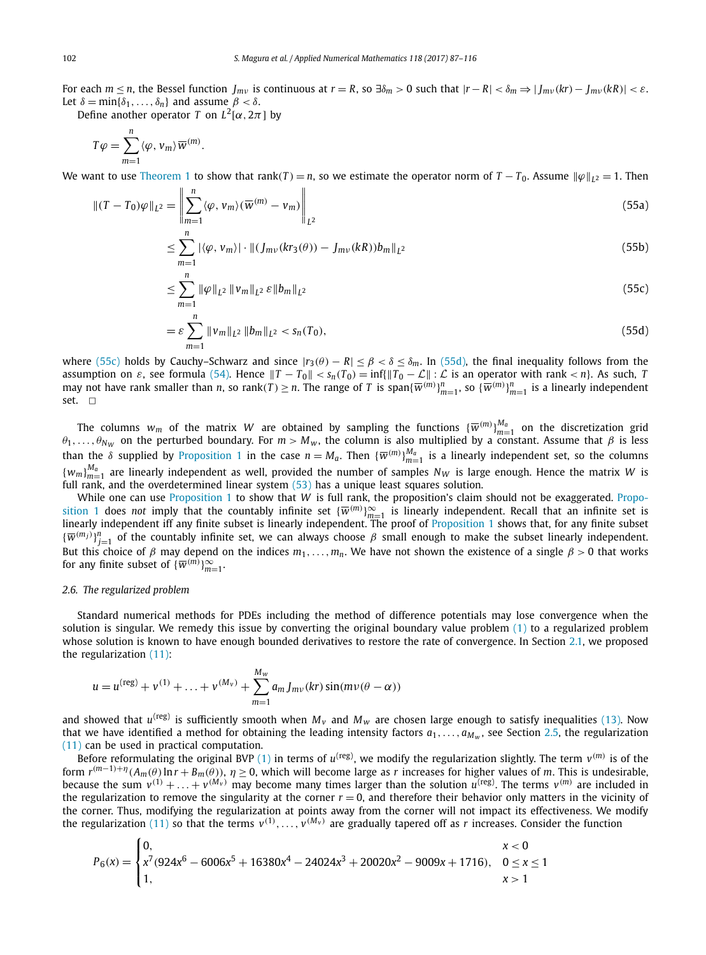For each  $m \le n$ , the Bessel function  $J_{mv}$  is continuous at  $r = R$ , so  $\exists \delta_m > 0$  such that  $|r - R| < \delta_m \Rightarrow |J_{mv}(kr) - J_{mv}(kR)| < \varepsilon$ . Let  $\delta = \min{\{\delta_1, \ldots, \delta_n\}}$  and assume  $\beta < \delta$ .

Define another operator *T* on  $L^2[\alpha, 2\pi]$  by

$$
T\varphi = \sum_{m=1}^{n} \langle \varphi, v_m \rangle \overline{w}^{(m)}.
$$

We want to use [Theorem 1](#page-14-0) to show that rank $(T) = n$ , so we estimate the operator norm of  $T - T_0$ . Assume  $\|\varphi\|_{L^2} = 1$ . Then

$$
\left\| (T - T_0)\varphi \right\|_{L^2} = \left\| \sum_{m=1}^n \langle \varphi, v_m \rangle (\overline{w}^{(m)} - v_m) \right\|_{L^2}
$$
\n(55a)

$$
\leq \sum_{m=1}^{n} |\langle \varphi, v_m \rangle| \cdot ||(J_{mv}(kr_3(\theta)) - J_{mv}(kR))b_m||_{L^2}
$$
\n(55b)

$$
\leq \sum_{m=1}^{n} \|\varphi\|_{L^{2}} \|\nu_{m}\|_{L^{2}} \,\varepsilon \, \|b_{m}\|_{L^{2}} \tag{55c}
$$

$$
= \varepsilon \sum_{m=1}^{n} \|v_m\|_{L^2} \|b_m\|_{L^2} < s_n(T_0), \tag{55d}
$$

where (55c) holds by Cauchy–Schwarz and since  $|r_3(\theta) - R| \leq \beta < \delta \leq \delta_m$ . In (55d), the final inequality follows from the assumption on  $\varepsilon$ , see formula [\(54\).](#page-14-0) Hence  $||T - T_0|| < s_n(T_0) = \inf{||T_0 - \mathcal{L}|| : \mathcal{L} \text{ is an operator with rank} < n}$ . As such, T<br>may not have rank smaller than n, so rank(T)  $\geq n$ . The range of T is span{ $\overline{w}^{(m)}\}_{m=1}^n$ , so { $\overline{w}^{(m$ set.  $\square$ 

The columns  $w_m$  of the matrix *W* are obtained by sampling the functions  ${\{\overline{w}^{(m)}\}}_{m=1}^{M_a}$  on the discretization grid  $\theta_1, \ldots, \theta_{N_W}$  on the perturbed boundary. For  $m > M_w$ , the column is also multiplied by a constant. Assume that  $\beta$  is less than the *δ* supplied by [Proposition 1](#page-14-0) in the case  $n = M_a$ . Then  ${\overline{w}^{(m)}}_{m=1}^{M_a}$  is a linearly independent set, so the columns  ${w_m}_{m=1}^{M_a}$  are linearly independent as well, provided the number of samples  $N_W$  is large enough. Hence the matrix *W* is full rank, and the overdetermined linear system  $(53)$  has a unique least squares solution.

While one can use [Proposition 1](#page-14-0) to show that *W* is full rank, the proposition's claim should not be exaggerated. [Propo](#page-14-0)[sition 1](#page-14-0) does *not* imply that the countably infinite set  $\{\overline{w}^{(m)}\}_{m=1}^{\infty}$  is linearly independent. Recall that an infinite set is linearly independent iff any finite subset is linearly independent. The proof of [Proposition 1](#page-14-0) shows that, for any finite subset  ${\{\overline{w}^{(m_j)}\}_{j=1}^n}$  of the countably infinite set, we can always choose  $\beta$  small enough to make the subset linearly independent. But this choice of *β* may depend on the indices *m*1*,...,mn*. We have not shown the existence of a single *β >* 0 that works for any finite subset of  $\{\overline{w}^{(m)}\}_{m=1}^{\infty}$ .

# *2.6. The regularized problem*

Standard numerical methods for PDEs including the method of difference potentials may lose convergence when the solution is singular. We remedy this issue by converting the original boundary value problem [\(1\)](#page-2-0) to a regularized problem whose solution is known to have enough bounded derivatives to restore the rate of convergence. In Section [2.1,](#page-4-0) we proposed the regularization [\(11\):](#page-5-0)

$$
u = u^{(\text{reg})} + v^{(1)} + \ldots + v^{(M_v)} + \sum_{m=1}^{M_w} a_m J_{mv}(kr) \sin(mv(\theta - \alpha))
$$

and showed that  $u^{(reg)}$  is sufficiently smooth when  $M_v$  and  $M_w$  are chosen large enough to satisfy inequalities [\(13\).](#page-5-0) Now that we have identified a method for obtaining the leading intensity factors  $a_1, \ldots, a_{M_w}$ , see Section [2.5,](#page-13-0) the regularization [\(11\)](#page-5-0) can be used in practical computation.

Before reformulating the original BVP [\(1\)](#page-2-0) in terms of  $u^{(reg)}$ , we modify the regularization slightly. The term  $v^{(m)}$  is of the form  $r^{(m-1)+\eta}(A_m(\theta) \ln r + B_m(\theta))$ ,  $\eta \ge 0$ , which will become large as *r* increases for higher values of *m*. This is undesirable, because the sum  $v^{(1)} + ... + v^{(M_v)}$  may become many times larger than the solution  $u^{(reg)}$ . The terms  $v^{(m)}$  are included in the regularization to remove the singularity at the corner  $r = 0$ , and therefore their behavior only matters in the vicinity of the corner. Thus, modifying the regularization at points away from the corner will not impact its effectiveness. We modify the regularization [\(11\)](#page-5-0) so that the terms  $v^{(1)},...,v^{(M_v)}$  are gradually tapered off as *r* increases. Consider the function

$$
P_6(x) = \begin{cases} 0, & x < 0 \\ x^7 \cdot (924x^6 - 6006x^5 + 16380x^4 - 24024x^3 + 20020x^2 - 9009x + 1716), & 0 \le x \le 1 \\ 1, & x > 1 \end{cases}
$$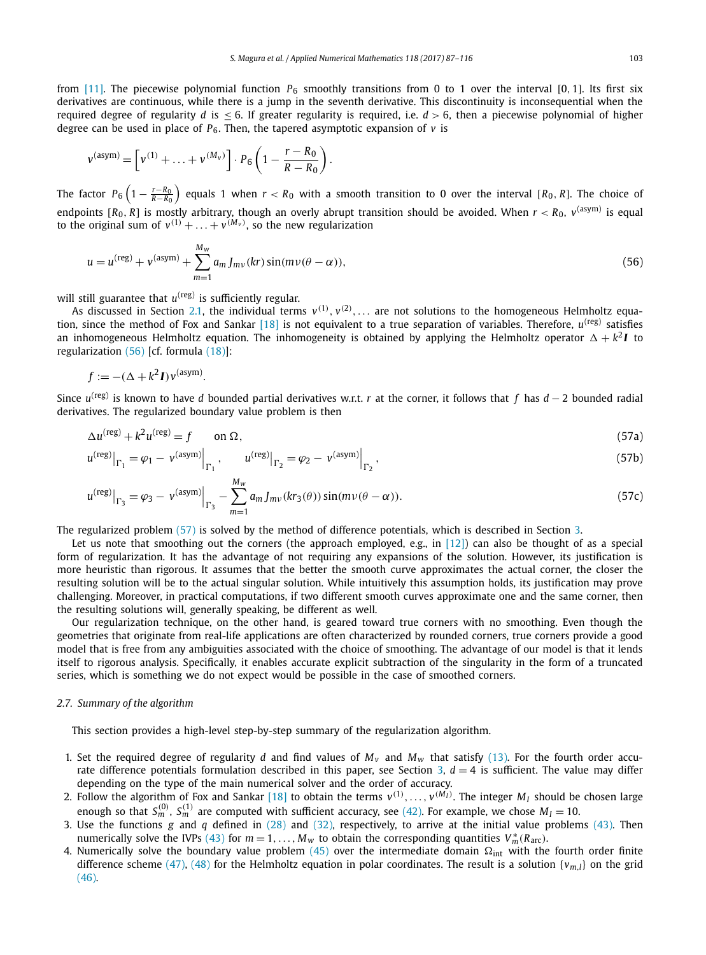<span id="page-16-0"></span>from [\[11\].](#page-28-0) The piecewise polynomial function  $P_6$  smoothly transitions from 0 to 1 over the interval [0, 1]. Its first six derivatives are continuous, while there is a jump in the seventh derivative. This discontinuity is inconsequential when the required degree of regularity *d* is  $\leq$  6. If greater regularity is required, i.e.  $d > 6$ , then a piecewise polynomial of higher degree can be used in place of  $P_6$ . Then, the tapered asymptotic expansion of  $v$  is

$$
v^{(\text{asym})} = \left[ v^{(1)} + \ldots + v^{(M_v)} \right] \cdot P_6 \left( 1 - \frac{r - R_0}{R - R_0} \right).
$$

The factor  $P_6\left(1-\frac{r-R_0}{R-R_0}\right)$  equals 1 when  $r < R_0$  with a smooth transition to 0 over the interval [ $R_0, R$ ]. The choice of endpoints  $[R_0, R]$  is mostly arbitrary, though an overly abrupt transition should be avoided. When  $r < R_0$ ,  $v$ <sup>(asym)</sup> is equal to the original sum of  $v^{(1)} + \ldots + v^{(M_v)}$ , so the new regularization

$$
u = u^{(\text{reg})} + v^{(\text{asym})} + \sum_{m=1}^{M_w} a_m J_{mv}(kr) \sin(mv(\theta - \alpha)),
$$
\n(56)

will still guarantee that  $u^{(reg)}$  is sufficiently regular.

As discussed in Section [2.1,](#page-4-0) the individual terms  $v^{(1)}$ ,  $v^{(2)}$ ,  $\ldots$  are not solutions to the homogeneous Helmholtz equa-tion, since the method of Fox and Sankar [\[18\]](#page-29-0) is not equivalent to a true separation of variables. Therefore,  $u^{(reg)}$  satisfies an inhomogeneous Helmholtz equation. The inhomogeneity is obtained by applying the Helmholtz operator  $\Delta + k^2 I$  to regularization (56) [cf. formula [\(18\)\]](#page-6-0):

$$
f := -(\Delta + k^2 I) v^{\text{(asym)}}.
$$

Since *u*(reg) is known to have *d* bounded partial derivatives w.r.t. *r* at the corner, it follows that *f* has *d* − 2 bounded radial derivatives. The regularized boundary value problem is then

$$
\Delta u^{(\text{reg})} + k^2 u^{(\text{reg})} = f \qquad \text{on } \Omega,
$$
\n(57a)

$$
u^{(\text{reg})}\big|_{\Gamma_1} = \varphi_1 - v^{(\text{asym})}\big|_{\Gamma_1}, \qquad u^{(\text{reg})}\big|_{\Gamma_2} = \varphi_2 - v^{(\text{asym})}\big|_{\Gamma_2}, \tag{57b}
$$

$$
u^{(\text{reg})}|_{\Gamma_3} = \varphi_3 - v^{(\text{asym})}|_{\Gamma_3} - \sum_{m=1}^{M_w} a_m J_{mv}(kr_3(\theta)) \sin(m\nu(\theta - \alpha)). \tag{57c}
$$

The regularized problem (57) is solved by the method of difference potentials, which is described in Section [3.](#page-17-0)

Let us note that smoothing out the corners (the approach employed, e.g., in  $[12]$ ) can also be thought of as a special form of regularization. It has the advantage of not requiring any expansions of the solution. However, its justification is more heuristic than rigorous. It assumes that the better the smooth curve approximates the actual corner, the closer the resulting solution will be to the actual singular solution. While intuitively this assumption holds, its justification may prove challenging. Moreover, in practical computations, if two different smooth curves approximate one and the same corner, then the resulting solutions will, generally speaking, be different as well.

Our regularization technique, on the other hand, is geared toward true corners with no smoothing. Even though the geometries that originate from real-life applications are often characterized by rounded corners, true corners provide a good model that is free from any ambiguities associated with the choice of smoothing. The advantage of our model is that it lends itself to rigorous analysis. Specifically, it enables accurate explicit subtraction of the singularity in the form of a truncated series, which is something we do not expect would be possible in the case of smoothed corners.

# *2.7. Summary of the algorithm*

This section provides a high-level step-by-step summary of the regularization algorithm.

- 1. Set the required degree of regularity *d* and find values of  $M_v$  and  $M_w$  that satisfy [\(13\).](#page-5-0) For the fourth order accu-rate difference potentials formulation described in this paper, see Section [3,](#page-17-0)  $d = 4$  is sufficient. The value may differ depending on the type of the main numerical solver and the order of accuracy.
- 2. Follow the algorithm of Fox and Sankar [\[18\]](#page-29-0) to obtain the terms  $v^{(1)},\ldots,v^{(M_I)}.$  The integer  $M_I$  should be chosen large enough so that  $S_m^{(0)}$ ,  $S_m^{(1)}$  are computed with sufficient accuracy, see [\(42\).](#page-10-0) For example, we chose  $M_I = 10$ .
- 3. Use the functions *g* and *q* defined in [\(28\)](#page-8-0) and [\(32\),](#page-9-0) respectively, to arrive at the initial value problems [\(43\).](#page-10-0) Then numerically solve the IVPs [\(43\)](#page-10-0) for  $m = 1, ..., M_w$  to obtain the corresponding quantities  $V_m^*(R_{\text{arc}})$ .
- 4. Numerically solve the boundary value problem  $(45)$  over the intermediate domain  $\Omega_{\rm int}$  with the fourth order finite difference scheme [\(47\),](#page-12-0) [\(48\)](#page-12-0) for the Helmholtz equation in polar coordinates. The result is a solution  $\{v_{m,l}\}$  on the grid [\(46\).](#page-11-0)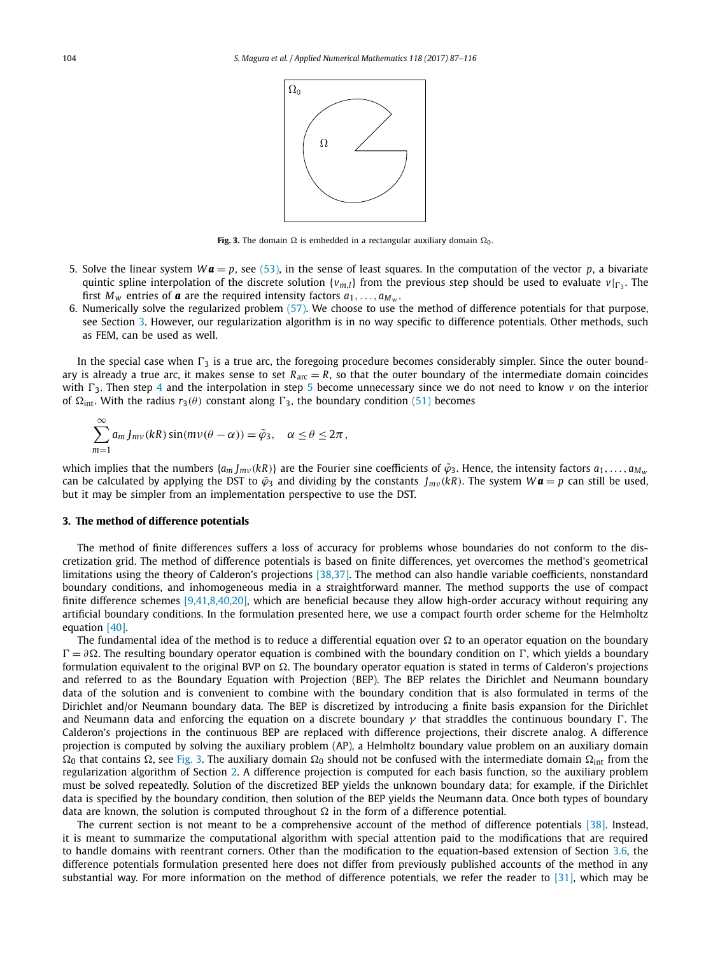

**Fig. 3.** The domain  $\Omega$  is embedded in a rectangular auxiliary domain  $\Omega_0$ .

- <span id="page-17-0"></span>5. Solve the linear system  $W\mathbf{a} = p$ , see [\(53\),](#page-14-0) in the sense of least squares. In the computation of the vector *p*, a bivariate quintic spline interpolation of the discrete solution  $\{v_m\}$  from the previous step should be used to evaluate  $v|_{\Gamma_2}$ . The first  $M_w$  entries of **a** are the required intensity factors  $a_1, \ldots, a_{M_w}$ .
- 6. Numerically solve the regularized problem [\(57\).](#page-16-0) We choose to use the method of difference potentials for that purpose, see Section 3. However, our regularization algorithm is in no way specific to difference potentials. Other methods, such as FEM, can be used as well.

In the special case when  $\Gamma_3$  is a true arc, the foregoing procedure becomes considerably simpler. Since the outer boundary is already a true arc, it makes sense to set  $R_{\text{arc}} = R$ , so that the outer boundary of the intermediate domain coincides with  $\Gamma_3$ . Then step [4](#page-16-0) and the interpolation in step 5 become unnecessary since we do not need to know  $v$  on the interior of  $\Omega_{int}$ . With the radius  $r_3(\theta)$  constant along  $\Gamma_3$ , the boundary condition [\(51\)](#page-13-0) becomes

$$
\sum_{m=1}^{\infty} a_m J_{mv}(kR) \sin(m\nu(\theta - \alpha)) = \tilde{\varphi}_3, \quad \alpha \le \theta \le 2\pi,
$$

which implies that the numbers  $\{a_m\}_{m \nu}(kR)\}$  are the Fourier sine coefficients of  $\tilde{\varphi}_3$ . Hence, the intensity factors  $a_1, \ldots, a_{M_w}$ can be calculated by applying the DST to  $\tilde{\varphi}_3$  and dividing by the constants  $J_{mv}(kR)$ . The system  $W\boldsymbol{a} = p$  can still be used, but it may be simpler from an implementation perspective to use the DST.

# **3. The method of difference potentials**

The method of finite differences suffers a loss of accuracy for problems whose boundaries do not conform to the discretization grid. The method of difference potentials is based on finite differences, yet overcomes the method's geometrical limitations using the theory of Calderon's projections [\[38,37\].](#page-29-0) The method can also handle variable coefficients, nonstandard boundary conditions, and inhomogeneous media in a straightforward manner. The method supports the use of compact finite difference schemes [\[9,41,8,40,20\],](#page-28-0) which are beneficial because they allow high-order accuracy without requiring any artificial boundary conditions. In the formulation presented here, we use a compact fourth order scheme for the Helmholtz equation [\[40\].](#page-29-0)

The fundamental idea of the method is to reduce a differential equation over  $\Omega$  to an operator equation on the boundary  $\Gamma = \partial \Omega$ . The resulting boundary operator equation is combined with the boundary condition on Γ, which yields a boundary formulation equivalent to the original BVP on  $\Omega$ . The boundary operator equation is stated in terms of Calderon's projections and referred to as the Boundary Equation with Projection (BEP). The BEP relates the Dirichlet and Neumann boundary data of the solution and is convenient to combine with the boundary condition that is also formulated in terms of the Dirichlet and/or Neumann boundary data. The BEP is discretized by introducing a finite basis expansion for the Dirichlet and Neumann data and enforcing the equation on a discrete boundary  $\gamma$  that straddles the continuous boundary  $\Gamma$ . The Calderon's projections in the continuous BEP are replaced with difference projections, their discrete analog. A difference projection is computed by solving the auxiliary problem (AP), a Helmholtz boundary value problem on an auxiliary domain  $\Omega_0$  that contains  $\Omega$ , see Fig. 3. The auxiliary domain  $\Omega_0$  should not be confused with the intermediate domain  $\Omega_{\text{int}}$  from the regularization algorithm of Section [2.](#page-4-0) A difference projection is computed for each basis function, so the auxiliary problem must be solved repeatedly. Solution of the discretized BEP yields the unknown boundary data; for example, if the Dirichlet data is specified by the boundary condition, then solution of the BEP yields the Neumann data. Once both types of boundary data are known, the solution is computed throughout  $\Omega$  in the form of a difference potential.

The current section is not meant to be a comprehensive account of the method of difference potentials [\[38\].](#page-29-0) Instead, it is meant to summarize the computational algorithm with special attention paid to the modifications that are required to handle domains with reentrant corners. Other than the modification to the equation-based extension of Section [3.6,](#page-22-0) the difference potentials formulation presented here does not differ from previously published accounts of the method in any substantial way. For more information on the method of difference potentials, we refer the reader to [\[31\],](#page-29-0) which may be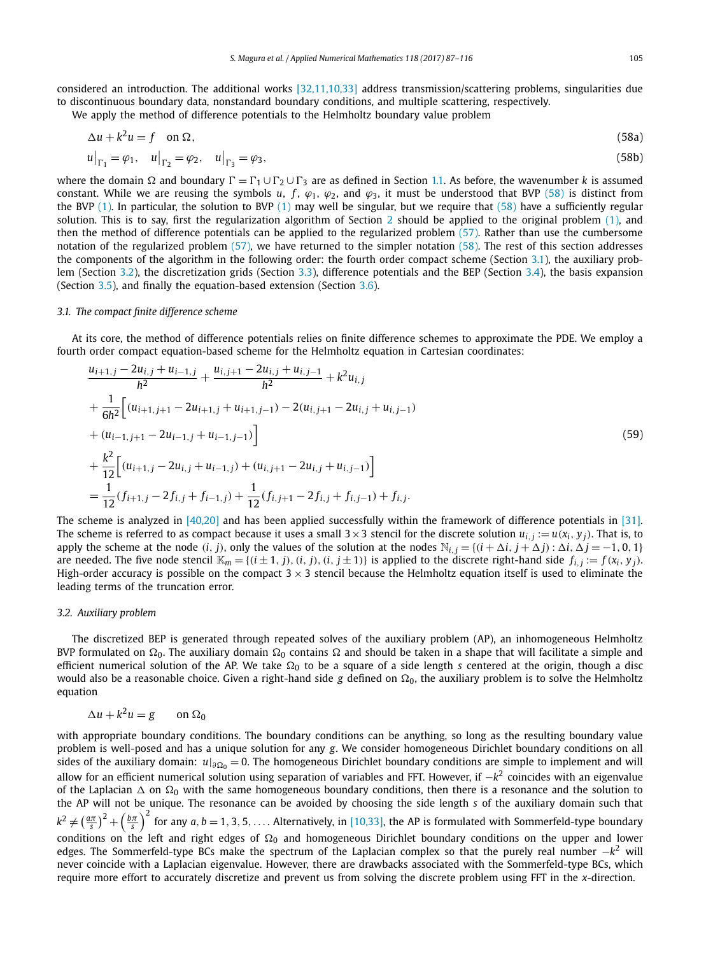<span id="page-18-0"></span>considered an introduction. The additional works [\[32,11,10,33\]](#page-29-0) address transmission/scattering problems, singularities due to discontinuous boundary data, nonstandard boundary conditions, and multiple scattering, respectively. We apply the method of difference potentials to the Helmholtz boundary value problem

 $\Delta u + k^2 u = f$  on  $\Omega$ , *,* (58a)

$$
u|_{\Gamma_1} = \varphi_1, \quad u|_{\Gamma_2} = \varphi_2, \quad u|_{\Gamma_3} = \varphi_3,\tag{58b}
$$

where the domain  $\Omega$  and boundary  $\Gamma=\Gamma_1\cup\Gamma_2\cup\Gamma_3$  are as defined in Section [1.1.](#page-2-0) As before, the wavenumber  $k$  is assumed constant. While we are reusing the symbols *u*, *f*,  $\varphi_1$ ,  $\varphi_2$ , and  $\varphi_3$ , it must be understood that BVP (58) is distinct from the BVP  $(1)$ . In particular, the solution to BVP  $(1)$  may well be singular, but we require that  $(58)$  have a sufficiently regular solution. This is to say, first the regularization algorithm of Section [2](#page-4-0) should be applied to the original problem [\(1\),](#page-2-0) and then the method of difference potentials can be applied to the regularized problem [\(57\).](#page-16-0) Rather than use the cumbersome notation of the regularized problem [\(57\),](#page-16-0) we have returned to the simpler notation (58). The rest of this section addresses the components of the algorithm in the following order: the fourth order compact scheme (Section 3.1), the auxiliary problem (Section 3.2), the discretization grids (Section [3.3\)](#page-19-0), difference potentials and the BEP (Section [3.4\)](#page-20-0), the basis expansion (Section [3.5\)](#page-20-0), and finally the equation-based extension (Section [3.6\)](#page-22-0).

# *3.1. The compact finite difference scheme*

At its core, the method of difference potentials relies on finite difference schemes to approximate the PDE. We employ a fourth order compact equation-based scheme for the Helmholtz equation in Cartesian coordinates:

$$
\frac{u_{i+1,j} - 2u_{i,j} + u_{i-1,j}}{h^2} + \frac{u_{i,j+1} - 2u_{i,j} + u_{i,j-1}}{h^2} + k^2 u_{i,j} \n+ \frac{1}{6h^2} \Big[ (u_{i+1,j+1} - 2u_{i+1,j} + u_{i+1,j-1}) - 2(u_{i,j+1} - 2u_{i,j} + u_{i,j-1}) \n+ (u_{i-1,j+1} - 2u_{i-1,j} + u_{i-1,j-1}) \Big] \n+ \frac{k^2}{12} \Big[ (u_{i+1,j} - 2u_{i,j} + u_{i-1,j}) + (u_{i,j+1} - 2u_{i,j} + u_{i,j-1}) \Big] \n= \frac{1}{12} (f_{i+1,j} - 2f_{i,j} + f_{i-1,j}) + \frac{1}{12} (f_{i,j+1} - 2f_{i,j} + f_{i,j-1}) + f_{i,j}.
$$
\n(59)

The scheme is analyzed in [\[40,20\]](#page-29-0) and has been applied successfully within the framework of difference potentials in [\[31\].](#page-29-0) The scheme is referred to as compact because it uses a small  $3 \times 3$  stencil for the discrete solution  $u_{i,j} := u(x_i, y_j)$ . That is, to apply the scheme at the node  $(i, j)$ , only the values of the solution at the nodes  $\mathbb{N}_{i,j} = \{(i + \Delta i, j + \Delta j) : \Delta i, \Delta j = -1, 0, 1\}$ are needed. The five node stencil  $\mathbb{K}_m = \{(i \pm 1, j), (i, j), (i, j \pm 1)\}$  is applied to the discrete right-hand side  $f_{i,j} := f(x_i, y_j)$ . High-order accuracy is possible on the compact  $3 \times 3$  stencil because the Helmholtz equation itself is used to eliminate the leading terms of the truncation error.

#### *3.2. Auxiliary problem*

The discretized BEP is generated through repeated solves of the auxiliary problem (AP), an inhomogeneous Helmholtz BVP formulated on  $\Omega_0.$  The auxiliary domain  $\Omega_0$  contains  $\Omega$  and should be taken in a shape that will facilitate a simple and efficient numerical solution of the AP. We take Ω<sub>0</sub> to be a square of a side length *s* centered at the origin, though a disc would also be a reasonable choice. Given a right-hand side  $g$  defined on  $\Omega_0$ , the auxiliary problem is to solve the Helmholtz equation

$$
\Delta u + k^2 u = g \qquad \text{on } \Omega_0
$$

with appropriate boundary conditions. The boundary conditions can be anything, so long as the resulting boundary value problem is well-posed and has a unique solution for any *g*. We consider homogeneous Dirichlet boundary conditions on all sides of the auxiliary domain:  $u|_{\partial\Omega_0}=0.$  The homogeneous Dirichlet boundary conditions are simple to implement and will allow for an efficient numerical solution using separation of variables and FFT. However, if −*k*<sup>2</sup> coincides with an eigenvalue of the Laplacian  $\Delta$  on  $\Omega_0$  with the same homogeneous boundary conditions, then there is a resonance and the solution to the AP will not be unique. The resonance can be avoided by choosing the side length *s* of the auxiliary domain such that  $k^2\neq \left(\frac{a\pi}{s}\right)^2+\left(\frac{b\pi}{s}\right)^2$  for any  $a,b=1,3,5,\ldots$ . Alternatively, in [\[10,33\],](#page-28-0) the AP is formulated with Sommerfeld-type boundary conditions on the left and right edges of  $\Omega_0$  and homogeneous Dirichlet boundary conditions on the upper and lower edges. The Sommerfeld-type BCs make the spectrum of the Laplacian complex so that the purely real number −*k*<sup>2</sup> will never coincide with a Laplacian eigenvalue. However, there are drawbacks associated with the Sommerfeld-type BCs, which require more effort to accurately discretize and prevent us from solving the discrete problem using FFT in the *x*-direction.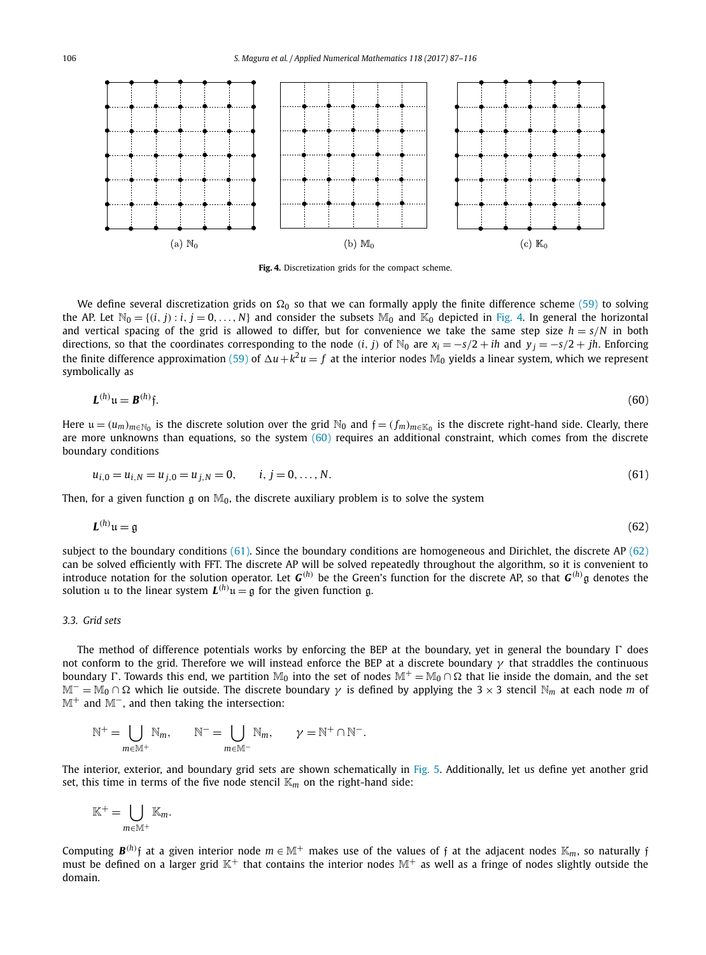<span id="page-19-0"></span>

**Fig. 4.** Discretization grids for the compact scheme.

We define several discretization grids on  $\Omega_0$  so that we can formally apply the finite difference scheme [\(59\)](#page-18-0) to solving the AP. Let  $\mathbb{N}_0 = \{(i, j) : i, j = 0, \ldots, N\}$  and consider the subsets  $\mathbb{M}_0$  and  $\mathbb{K}_0$  depicted in Fig. 4. In general the horizontal and vertical spacing of the grid is allowed to differ, but for convenience we take the same step size  $h = s/N$  in both directions, so that the coordinates corresponding to the node *(i, j)* of N<sub>0</sub> are  $x_i = -s/2 + ih$  and  $y_i = -s/2 + ih$ . Enforcing the finite difference approximation [\(59\)](#page-18-0) of  $\Delta u + k^2 u = f$  at the interior nodes  $\mathbb{M}_0$  yields a linear system, which we represent symbolically as

$$
\mathbf{L}^{(h)}\mathbf{u} = \mathbf{B}^{(h)}\mathbf{\hat{y}}.\tag{60}
$$

Here  $u = (u_m)_{m \in \mathbb{N}_0}$  is the discrete solution over the grid  $\mathbb{N}_0$  and  $f = (f_m)_{m \in \mathbb{K}_0}$  is the discrete right-hand side. Clearly, there are more unknowns than equations, so the system  $(60)$  requires an additional constraint, which comes from the discrete boundary conditions

$$
u_{i,0} = u_{i,N} = u_{j,0} = u_{j,N} = 0, \qquad i, j = 0, \dots, N.
$$
\n(61)

Then, for a given function g on  $\mathbb{M}_0$ , the discrete auxiliary problem is to solve the system

$$
L^{(h)}u = g \tag{62}
$$

subject to the boundary conditions (61). Since the boundary conditions are homogeneous and Dirichlet, the discrete AP (62) can be solved efficiently with FFT. The discrete AP will be solved repeatedly throughout the algorithm, so it is convenient to introduce notation for the solution operator. Let *G(h)* be the Green's function for the discrete AP, so that *G(h)* g denotes the solution u to the linear system  $L^{(h)}u = \mathfrak{g}$  for the given function g.

# *3.3. Grid sets*

The method of difference potentials works by enforcing the BEP at the boundary, yet in general the boundary  $\Gamma$  does not conform to the grid. Therefore we will instead enforce the BEP at a discrete boundary *γ* that straddles the continuous boundary  $\Gamma$ . Towards this end, we partition  $M_0$  into the set of nodes  $M^+=M_0\cap\Omega$  that lie inside the domain, and the set  $M^-$  = M<sub>0</sub> ∩ Ω which lie outside. The discrete boundary  $\gamma$  is defined by applying the 3 × 3 stencil N<sub>m</sub> at each node *m* of M<sup>+</sup> and M<sup>−</sup>, and then taking the intersection:

$$
\mathbb{N}^+ = \bigcup_{m \in \mathbb{M}^+} \mathbb{N}_m, \qquad \mathbb{N}^- = \bigcup_{m \in \mathbb{M}^-} \mathbb{N}_m, \qquad \gamma = \mathbb{N}^+ \cap \mathbb{N}^-.
$$

The interior, exterior, and boundary grid sets are shown schematically in [Fig. 5.](#page-20-0) Additionally, let us define yet another grid set, this time in terms of the five node stencil  $\mathbb{K}_m$  on the right-hand side:

$$
\mathbb{K}^+=\bigcup_{m\in\mathbb{M}^+}\mathbb{K}_m.
$$

Computing  $\bm{B}^{(h)}$ f at a given interior node  $m\in\mathbb{M}^+$  makes use of the values of f at the adjacent nodes  $\mathbb{K}_m$ , so naturally f must be defined on a larger grid  $\mathbb{K}^+$  that contains the interior nodes  $\mathbb{M}^+$  as well as a fringe of nodes slightly outside the domain.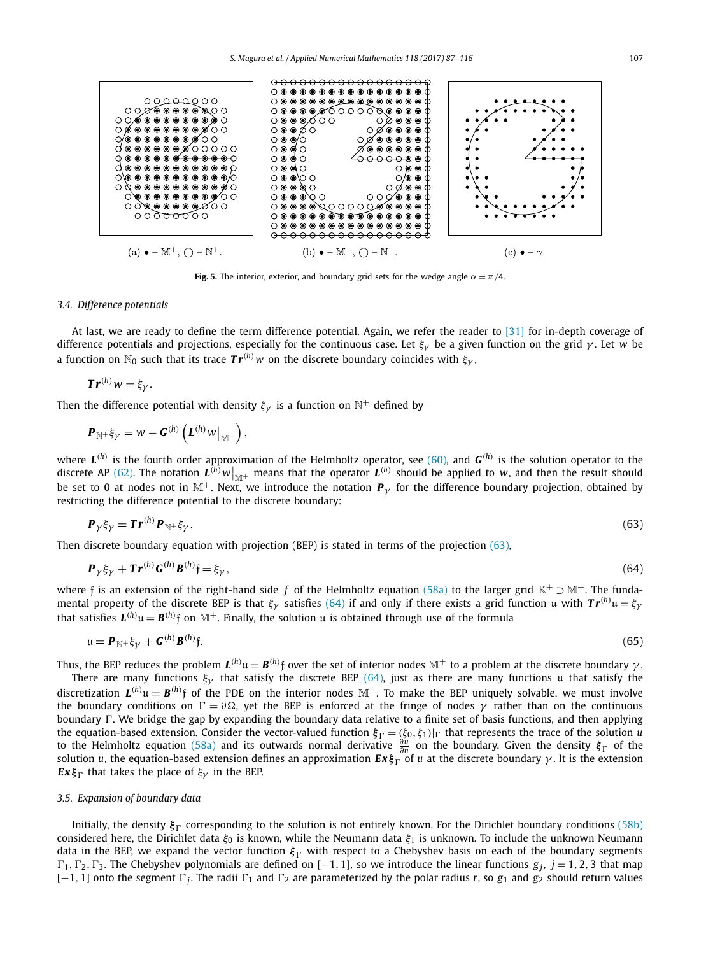<span id="page-20-0"></span>

**Fig. 5.** The interior, exterior, and boundary grid sets for the wedge angle  $\alpha = \pi/4$ .

### *3.4. Difference potentials*

At last, we are ready to define the term difference potential. Again, we refer the reader to [\[31\]](#page-29-0) for in-depth coverage of difference potentials and projections, especially for the continuous case. Let *ξγ* be a given function on the grid *γ* . Let *w* be a function on  $\mathbb{N}_0$  such that its trace  $Tr^{(h)}w$  on the discrete boundary coincides with  $\xi_{\gamma}$ ,

$$
Tr^{(h)}w=\xi_{\gamma}.
$$

Then the difference potential with density  $\xi_{\gamma}$  is a function on  $\mathbb{N}^{+}$  defined by

$$
\boldsymbol{P}_{\mathbb{N}^+} \xi_{\gamma} = w - \boldsymbol{G}^{(h)} \left( \boldsymbol{L}^{(h)} w \big|_{\mathbb{M}^+} \right),
$$

where  $L^{(h)}$  is the fourth order approximation of the Helmholtz operator, see [\(60\),](#page-19-0) and  $G^{(h)}$  is the solution operator to the discrete AP [\(62\).](#page-19-0) The notation  $L^{(h)}w|_{\mathbb{M}^+}$  means that the operator  $L^{(h)}$  should be applied to *w*, and then the result should be set to 0 at nodes not in M<sup>+</sup>. Next, we introduce the notation  $P<sub>\gamma</sub>$  for the difference boundary projection, obtained by restricting the difference potential to the discrete boundary:

$$
\mathbf{P}_{\gamma} \xi_{\gamma} = \mathbf{Tr}^{(h)} \mathbf{P}_{\mathbb{N}^+} \xi_{\gamma}. \tag{63}
$$

Then discrete boundary equation with projection (BEP) is stated in terms of the projection (63),

$$
\mathbf{P}_{\gamma} \xi_{\gamma} + \mathbf{T} \mathbf{r}^{(h)} \mathbf{G}^{(h)} \mathbf{B}^{(h)} \mathbf{f} = \xi_{\gamma},\tag{64}
$$

where f is an extension of the right-hand side *f* of the Helmholtz equation [\(58a\)](#page-18-0) to the larger grid K<sup>+</sup> ⊃ M<sup>+</sup>. The fundamental property of the discrete BEP is that *ξγ* satisfies (64) if and only if there exists <sup>a</sup> grid function u with *T r(h)* u = *ξγ* that satisfies  $\bm{L}^{(h)}$ u  $=$   $\bm{B}^{(h)}$ f on  $\mathbb{M}^+$ . Finally, the solution u is obtained through use of the formula

$$
\mathfrak{u} = \boldsymbol{P}_{\mathbb{N}^+} \xi_{\gamma} + \boldsymbol{G}^{(h)} \boldsymbol{B}^{(h)} \mathfrak{f}. \tag{65}
$$

Thus, the BEP reduces the problem  $L^{(h)}$ u $=$   $\bm{B}^{(h)}$ f over the set of interior nodes  $\mathbb{M}^+$  to a problem at the discrete boundary  $\gamma$  .

There are many functions  $\xi$ <sup>*y*</sup> that satisfy the discrete BEP (64), just as there are many functions u that satisfy the discretization  $L^{(h)}$ u =  $B^{(h)}$ f of the PDE on the interior nodes  $\mathbb{M}^+$ . To make the BEP uniquely solvable, we must involve the boundary conditions on  $\Gamma = \partial \Omega$ , yet the BEP is enforced at the fringe of nodes  $\gamma$  rather than on the continuous boundary  $\Gamma$ . We bridge the gap by expanding the boundary data relative to a finite set of basis functions, and then applying the equation-based extension. Consider the vector-valued function *ξ* = *(ξ*0*, ξ*1*)*| that represents the trace of the solution *u* to the Helmholtz equation [\(58a\)](#page-18-0) and its outwards normal derivative *<sup>∂</sup><sup>u</sup> <sup>∂</sup><sup>n</sup>* on the boundary. Given the density *ξ* of the solution *u*, the equation-based extension defines an approximation  $\mathbf{Ex} \xi_{\Gamma}$  of *u* at the discrete boundary *γ*. It is the extension *Ex* $\xi_{\Gamma}$  that takes the place of  $\xi_{\gamma}$  in the BEP.

# *3.5. Expansion of boundary data*

Initially, the density *ξ* corresponding to the solution is not entirely known. For the Dirichlet boundary conditions [\(58b\)](#page-18-0) considered here, the Dirichlet data *ξ*<sup>0</sup> is known, while the Neumann data *ξ*<sup>1</sup> is unknown. To include the unknown Neumann data in the BEP, we expand the vector function  $\xi_{\Gamma}$  with respect to a Chebyshev basis on each of the boundary segments  $\Gamma_1, \Gamma_2, \Gamma_3$ . The Chebyshev polynomials are defined on  $[-1, 1]$ , so we introduce the linear functions  $g_j$ ,  $j = 1, 2, 3$  that map  $[-1, 1]$  onto the segment  $\Gamma_i$ . The radii  $\Gamma_1$  and  $\Gamma_2$  are parameterized by the polar radius *r*, so  $g_1$  and  $g_2$  should return values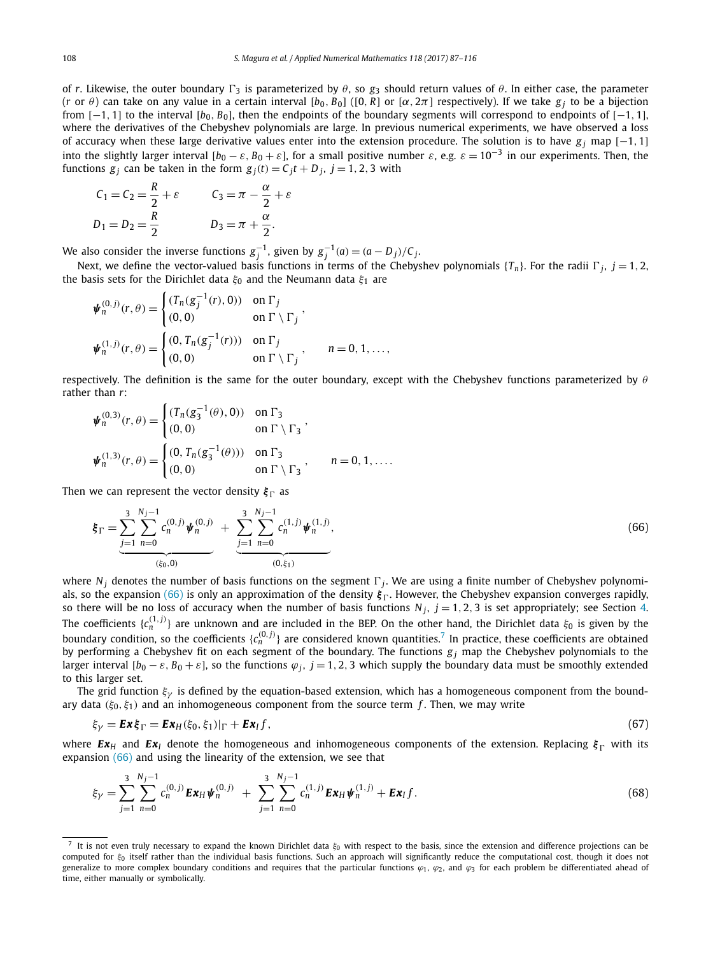<span id="page-21-0"></span>of *r*. Likewise, the outer boundary  $\Gamma_3$  is parameterized by  $\theta$ , so  $g_3$  should return values of  $\theta$ . In either case, the parameter (*r* or  $\theta$ ) can take on any value in a certain interval [ $b_0$ ,  $B_0$ ] ([0, R] or [ $\alpha$ , 2 $\pi$ ] respectively). If we take  $g_i$  to be a bijection from [−1*,* 1] to the interval [*b*0*, B*0], then the endpoints of the boundary segments will correspond to endpoints of [−1*,* 1], where the derivatives of the Chebyshev polynomials are large. In previous numerical experiments, we have observed a loss of accuracy when these large derivative values enter into the extension procedure. The solution is to have *g <sup>j</sup>* map [−1*,* 1] into the slightly larger interval  $[b_0 - \varepsilon, B_0 + \varepsilon]$ , for a small positive number  $\varepsilon$ , e.g.  $\varepsilon = 10^{-3}$  in our experiments. Then, the functions  $g_j$  can be taken in the form  $g_j(t) = C_j t + D_j$ ,  $j = 1, 2, 3$  with

$$
C_1 = C_2 = \frac{R}{2} + \varepsilon \qquad C_3 = \pi - \frac{\alpha}{2} + \varepsilon
$$
  

$$
D_1 = D_2 = \frac{R}{2} \qquad D_3 = \pi + \frac{\alpha}{2}.
$$

We also consider the inverse functions  $g_j^{-1}$ , given by  $g_j^{-1}(a) = (a - D_j)/C_j$ .

Next, we define the vector-valued basis functions in terms of the Chebyshev polynomials  $\{T_n\}$ . For the radii  $\Gamma_j$ ,  $j = 1, 2$ , the basis sets for the Dirichlet data *ξ*<sup>0</sup> and the Neumann data *ξ*<sup>1</sup> are

$$
\psi_n^{(0,j)}(r,\theta) = \begin{cases}\n(T_n(g_j^{-1}(r),0)) & \text{on } \Gamma_j \\
(0,0) & \text{on } \Gamma \setminus \Gamma_j\n\end{cases},
$$
\n
$$
\psi_n^{(1,j)}(r,\theta) = \begin{cases}\n(0, T_n(g_j^{-1}(r))) & \text{on } \Gamma_j \\
(0,0) & \text{on } \Gamma \setminus \Gamma_j\n\end{cases}, \qquad n = 0, 1, \dots,
$$

respectively. The definition is the same for the outer boundary, except with the Chebyshev functions parameterized by *θ* rather than *r*:

$$
\psi_n^{(0,3)}(r,\theta) = \begin{cases}\n(T_n(g_3^{-1}(\theta),0)) & \text{on } \Gamma_3 \\
(0,0) & \text{on } \Gamma \setminus \Gamma_3\n\end{cases},
$$
\n
$$
\psi_n^{(1,3)}(r,\theta) = \begin{cases}\n(0, T_n(g_3^{-1}(\theta))) & \text{on } \Gamma_3 \\
(0,0) & \text{on } \Gamma \setminus \Gamma_3\n\end{cases}, \qquad n = 0, 1, ....
$$

Then we can represent the vector density  $\xi_{\Gamma}$  as

$$
\xi_{\Gamma} = \underbrace{\sum_{j=1}^{3} \sum_{n=0}^{N_j-1} c_n^{(0,j)} \psi_n^{(0,j)}}_{(s_0,0)} + \underbrace{\sum_{j=1}^{3} \sum_{n=0}^{N_j-1} c_n^{(1,j)} \psi_n^{(1,j)}}_{(0,\xi_1)},
$$
(66)

where  $N_i$  denotes the number of basis functions on the segment  $\Gamma_i$ . We are using a finite number of Chebyshev polynomials, so the expansion (66) is only an approximation of the density  $\xi_\Gamma$ . However, the Chebyshev expansion converges rapidly, so there will be no loss of accuracy when the number of basis functions  $N_j$ ,  $j = 1, 2, 3$  is set appropriately; see Section [4.](#page-25-0) The coefficients {*c (*1*,j) <sup>n</sup>* } are unknown and are included in the BEP. On the other hand, the Dirichlet data *<sup>ξ</sup>*<sup>0</sup> is given by the boundary condition, so the coefficients { $c_n^{(0,j)}$ } are considered known quantities.<sup>7</sup> In practice, these coefficients are obtained by performing a Chebyshev fit on each segment of the boundary. The functions  $g_j$  map the Chebyshev polynomials to the larger interval  $[b_0 - \varepsilon, B_0 + \varepsilon]$ , so the functions  $\varphi_j$ ,  $j = 1, 2, 3$  which supply the boundary data must be smoothly extended to this larger set.

The grid function *ξγ* is defined by the equation-based extension, which has a homogeneous component from the boundary data *(ξ*0*, ξ*1*)* and an inhomogeneous component from the source term *f* . Then, we may write

$$
\xi_{\gamma} = \mathbf{Ex}\xi_{\Gamma} = \mathbf{Ex}_{H}(\xi_{0},\xi_{1})|_{\Gamma} + \mathbf{Ex}_{I}f, \qquad (67)
$$

where  $E\mathbf{x}_H$  and  $E\mathbf{x}_I$  denote the homogeneous and inhomogeneous components of the extension. Replacing  $\xi_{\Gamma}$  with its expansion (66) and using the linearity of the extension, we see that

$$
\xi_{\gamma} = \sum_{j=1}^{3} \sum_{n=0}^{N_j-1} c_n^{(0,j)} \mathbf{E} \mathbf{x}_{H} \boldsymbol{\psi}_n^{(0,j)} + \sum_{j=1}^{3} \sum_{n=0}^{N_j-1} c_n^{(1,j)} \mathbf{E} \mathbf{x}_{H} \boldsymbol{\psi}_n^{(1,j)} + \mathbf{E} \mathbf{x}_{I} f.
$$
(68)

<sup>&</sup>lt;sup>7</sup> It is not even truly necessary to expand the known Dirichlet data  $ξ_0$  with respect to the basis, since the extension and difference projections can be computed for *ξ*<sup>0</sup> itself rather than the individual basis functions. Such an approach will significantly reduce the computational cost, though it does not generalize to more complex boundary conditions and requires that the particular functions  $\varphi_1$ ,  $\varphi_2$ , and  $\varphi_3$  for each problem be differentiated ahead of time, either manually or symbolically.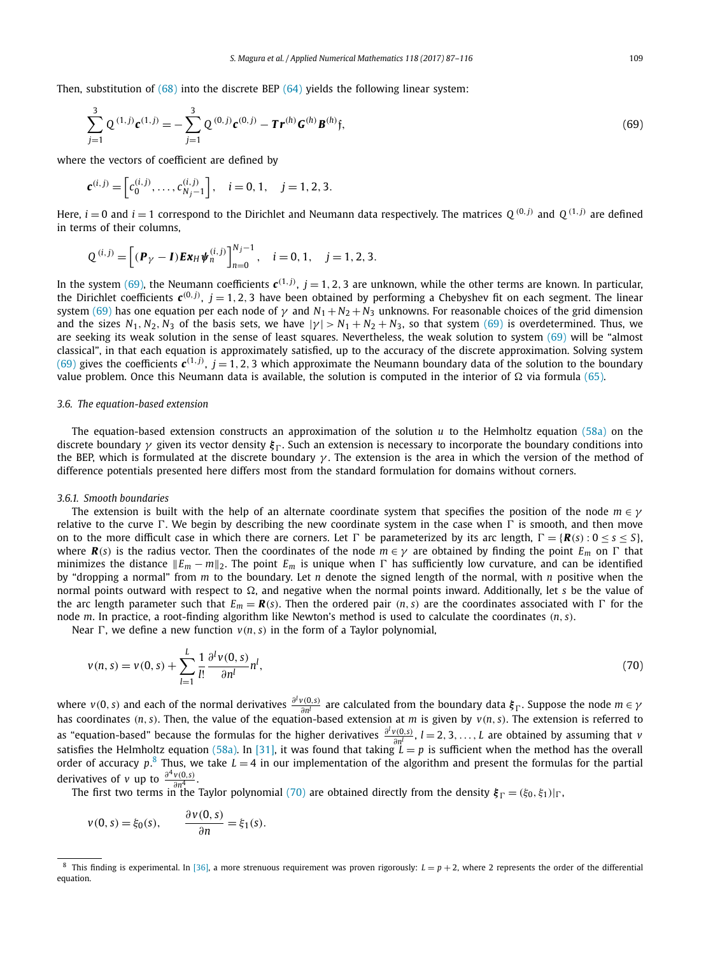<span id="page-22-0"></span>Then, substitution of  $(68)$  into the discrete BEP  $(64)$  yields the following linear system:

$$
\sum_{j=1}^{3} Q^{(1,j)} \mathbf{c}^{(1,j)} = -\sum_{j=1}^{3} Q^{(0,j)} \mathbf{c}^{(0,j)} - \mathbf{Tr}^{(h)} \mathbf{G}^{(h)} \mathbf{B}^{(h)} \mathbf{\mathfrak{f}},
$$
\n(69)

where the vectors of coefficient are defined by

$$
\mathbf{c}^{(i,j)} = \begin{bmatrix} c_0^{(i,j)}, \dots, c_{N_j-1}^{(i,j)} \end{bmatrix}, \quad i = 0, 1, \quad j = 1, 2, 3.
$$

Here,  $i = 0$  and  $i = 1$  correspond to the Dirichlet and Neumann data respectively. The matrices  $Q^{(0,j)}$  and  $Q^{(1,j)}$  are defined in terms of their columns,

$$
Q^{(i,j)} = \left[ ({\bf P}_{\gamma} - {\bf I}) {\bf E} {\bf x}_{H} {\bf \psi}_{n}^{(i,j)} \right]_{n=0}^{N_{j}-1}, \quad i = 0, 1, \quad j = 1, 2, 3.
$$

In the system (69), the Neumann coefficients  $c^{(1,j)}$ ,  $j=1,2,3$  are unknown, while the other terms are known. In particular, the Dirichlet coefficients  $c^{(0,j)}$ ,  $j=1,2,3$  have been obtained by performing a Chebyshev fit on each segment. The linear system (69) has one equation per each node of  $\gamma$  and  $N_1 + N_2 + N_3$  unknowns. For reasonable choices of the grid dimension and the sizes  $N_1$ ,  $N_2$ ,  $N_3$  of the basis sets, we have  $|\gamma| > N_1 + N_2 + N_3$ , so that system (69) is overdetermined. Thus, we are seeking its weak solution in the sense of least squares. Nevertheless, the weak solution to system (69) will be "almost classical", in that each equation is approximately satisfied, up to the accuracy of the discrete approximation. Solving system (69) gives the coefficients  $c^{(1,j)}$ ,  $j = 1, 2, 3$  which approximate the Neumann boundary data of the solution to the boundary value problem. Once this Neumann data is available, the solution is computed in the interior of  $\Omega$  via formula [\(65\).](#page-20-0)

# *3.6. The equation-based extension*

The equation-based extension constructs an approximation of the solution *u* to the Helmholtz equation [\(58a\)](#page-18-0) on the discrete boundary *γ* given its vector density  $\xi$ <sub>Γ</sub>. Such an extension is necessary to incorporate the boundary conditions into the BEP, which is formulated at the discrete boundary *γ* . The extension is the area in which the version of the method of difference potentials presented here differs most from the standard formulation for domains without corners.

## *3.6.1. Smooth boundaries*

The extension is built with the help of an alternate coordinate system that specifies the position of the node *m* ∈ *γ* relative to the curve  $\Gamma$ . We begin by describing the new coordinate system in the case when  $\Gamma$  is smooth, and then move on to the more difficult case in which there are corners. Let  $\Gamma$  be parameterized by its arc length,  $\Gamma = \{R(s): 0 \le s \le s\}$ , where  $\mathbf{R}(s)$  is the radius vector. Then the coordinates of the node  $m \in \gamma$  are obtained by finding the point  $E_m$  on  $\Gamma$  that minimizes the distance  $||E_m - m||_2$ . The point  $E_m$  is unique when  $\Gamma$  has sufficiently low curvature, and can be identified by "dropping a normal" from *m* to the boundary. Let *n* denote the signed length of the normal, with *n* positive when the normal points outward with respect to  $\Omega$ , and negative when the normal points inward. Additionally, let *s* be the value of the arc length parameter such that  $E_m = \mathbf{R}(s)$ . Then the ordered pair  $(n, s)$  are the coordinates associated with  $\Gamma$  for the node *m*. In practice, a root-finding algorithm like Newton's method is used to calculate the coordinates *(n, s)*.

Near  $\Gamma$ , we define a new function  $v(n, s)$  in the form of a Taylor polynomial,

$$
v(n,s) = v(0,s) + \sum_{l=1}^{L} \frac{1}{l!} \frac{\partial^l v(0,s)}{\partial n^l} n^l,
$$
\n(70)

where  $v(0,s)$  and each of the normal derivatives  $\frac{\partial^l v(0,s)}{\partial n^l}$  are calculated from the boundary data  $\xi_\Gamma$ . Suppose the node  $m \in \gamma$ <br>has coordinates (n, s). Then, the value of the equation-based extension at m is g as "equation-based" because the formulas for the higher derivatives  $\frac{\partial^l v(0,s)}{\partial n^l}$ ,  $l=2,3,\ldots,L$  are obtained by assuming that v<br>satisfies the Helmholtz equation [\(58a\).](#page-18-0) In [\[31\],](#page-29-0) it was found that taking  $L=p$  is suffic order of accuracy *p*. <sup>8</sup> Thus, we take *L* = 4 in our implementation of the algorithm and present the formulas for the partial derivatives of *v* up to  $\frac{\partial^4 v(0,s)}{\partial s^4}$ .  $\frac{v(0,s)}{\partial n^4}$ .

The first two terms in the Taylor polynomial (70) are obtained directly from the density  $\xi_{\Gamma} = (\xi_0, \xi_1)|_{\Gamma}$ ,

$$
v(0,s) = \xi_0(s), \qquad \frac{\partial v(0,s)}{\partial n} = \xi_1(s).
$$

This finding is experimental. In [\[36\],](#page-29-0) a more strenuous requirement was proven rigorously:  $L = p + 2$ , where 2 represents the order of the differential equation.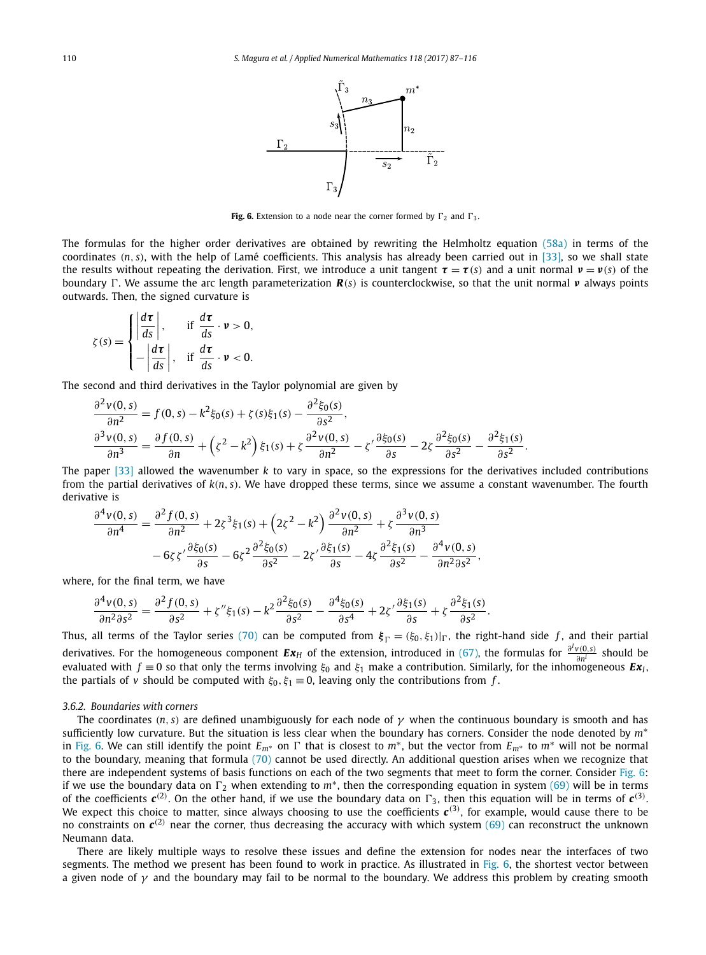

**Fig. 6.** Extension to a node near the corner formed by  $\Gamma_2$  and  $\Gamma_3$ .

<span id="page-23-0"></span>The formulas for the higher order derivatives are obtained by rewriting the Helmholtz equation [\(58a\)](#page-18-0) in terms of the coordinates *(n, s)*, with the help of Lamé coefficients. This analysis has already been carried out in [\[33\],](#page-29-0) so we shall state the results without repeating the derivation. First, we introduce a unit tangent  $\tau = \tau(s)$  and a unit normal  $\nu = \nu(s)$  of the boundary . We assume the arc length parameterization *R(s)* is counterclockwise, so that the unit normal *ν* always points outwards. Then, the signed curvature is

$$
\zeta(s) = \begin{cases} \left| \frac{d\tau}{ds} \right|, & \text{if } \frac{d\tau}{ds} \cdot \nu > 0, \\ -\left| \frac{d\tau}{ds} \right|, & \text{if } \frac{d\tau}{ds} \cdot \nu < 0. \end{cases}
$$

The second and third derivatives in the Taylor polynomial are given by

$$
\frac{\partial^2 v(0,s)}{\partial n^2} = f(0,s) - k^2 \xi_0(s) + \zeta(s) \xi_1(s) - \frac{\partial^2 \xi_0(s)}{\partial s^2},
$$
  

$$
\frac{\partial^3 v(0,s)}{\partial n^3} = \frac{\partial f(0,s)}{\partial n} + (\zeta^2 - k^2) \xi_1(s) + \zeta \frac{\partial^2 v(0,s)}{\partial n^2} - \zeta' \frac{\partial \xi_0(s)}{\partial s} - 2\zeta \frac{\partial^2 \xi_0(s)}{\partial s^2} - \frac{\partial^2 \xi_1(s)}{\partial s^2}.
$$

The paper [\[33\]](#page-29-0) allowed the wavenumber *k* to vary in space, so the expressions for the derivatives included contributions from the partial derivatives of *k(n, s)*. We have dropped these terms, since we assume a constant wavenumber. The fourth derivative is

$$
\frac{\partial^4 v(0,s)}{\partial n^4} = \frac{\partial^2 f(0,s)}{\partial n^2} + 2\zeta^3 \xi_1(s) + \left(2\zeta^2 - k^2\right) \frac{\partial^2 v(0,s)}{\partial n^2} + \zeta \frac{\partial^3 v(0,s)}{\partial n^3} \n-6\zeta \zeta' \frac{\partial \xi_0(s)}{\partial s} - 6\zeta^2 \frac{\partial^2 \xi_0(s)}{\partial s^2} - 2\zeta' \frac{\partial \xi_1(s)}{\partial s} - 4\zeta \frac{\partial^2 \xi_1(s)}{\partial s^2} - \frac{\partial^4 v(0,s)}{\partial n^2 \partial s^2},
$$

where, for the final term, we have

$$
\frac{\partial^4 v(0,s)}{\partial n^2 \partial s^2} = \frac{\partial^2 f(0,s)}{\partial s^2} + \zeta'' \xi_1(s) - k^2 \frac{\partial^2 \xi_0(s)}{\partial s^2} - \frac{\partial^4 \xi_0(s)}{\partial s^4} + 2\zeta' \frac{\partial \xi_1(s)}{\partial s} + \zeta \frac{\partial^2 \xi_1(s)}{\partial s^2}.
$$

Thus, all terms of the Taylor series [\(70\)](#page-22-0) can be computed from  $\xi_{\Gamma} = (\xi_0, \xi_1)|_{\Gamma}$ , the right-hand side f, and their partial derivatives. For the homogeneous component  $Ex_H$  of the extension, introduced in [\(67\),](#page-21-0) the formulas for  $\frac{\partial^l v(0,s)}{\partial n^l}$  should be evaluated with  $f \equiv 0$  so that only the terms involving  $\xi_0$  and  $\xi_1$  make a contribution. Similarly, for the inhomogeneous  $Ex_1$ , the partials of *v* should be computed with  $\xi_0$ ,  $\xi_1 \equiv 0$ , leaving only the contributions from *f*.

# *3.6.2. Boundaries with corners*

The coordinates  $(n, s)$  are defined unambiguously for each node of  $\gamma$  when the continuous boundary is smooth and has sufficiently low curvature. But the situation is less clear when the boundary has corners. Consider the node denoted by *m*<sup>∗</sup> in Fig. 6. We can still identify the point  $E_{m^*}$  on  $\Gamma$  that is closest to  $m^*$ , but the vector from  $E_{m^*}$  to  $m^*$  will not be normal to the boundary, meaning that formula [\(70\)](#page-22-0) cannot be used directly. An additional question arises when we recognize that there are independent systems of basis functions on each of the two segments that meet to form the corner. Consider Fig. 6: if we use the boundary data on  $\Gamma_2$  when extending to  $m^*$ , then the corresponding equation in system [\(69\)](#page-22-0) will be in terms of the coefficients  $c^{(2)}$ . On the other hand, if we use the boundary data on  $\Gamma_3$ , then this equation will be in terms of  $c^{(3)}$ . We expect this choice to matter, since always choosing to use the coefficients  $c^{(3)}$ , for example, would cause there to be no constraints on  $c^{(2)}$  near the corner, thus decreasing the accuracy with which system [\(69\)](#page-22-0) can reconstruct the unknown Neumann data.

There are likely multiple ways to resolve these issues and define the extension for nodes near the interfaces of two segments. The method we present has been found to work in practice. As illustrated in Fig. 6, the shortest vector between a given node of  $\gamma$  and the boundary may fail to be normal to the boundary. We address this problem by creating smooth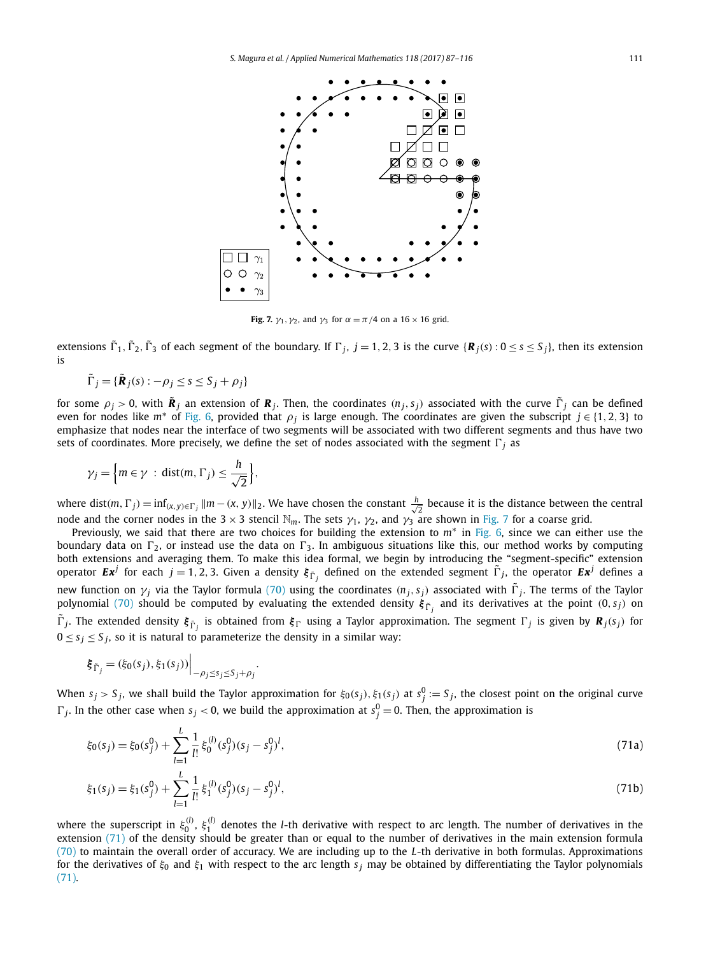

**Fig. 7.**  $\gamma_1$ ,  $\gamma_2$ , and  $\gamma_3$  for  $\alpha = \pi/4$  on a 16 × 16 grid.

extensions  $\tilde{\Gamma}_1$ ,  $\tilde{\Gamma}_2$ ,  $\tilde{\Gamma}_3$  of each segment of the boundary. If  $\Gamma_j$ ,  $j = 1, 2, 3$  is the curve  $\{R_j(s): 0 \le s \le s_j\}$ , then its extension is

$$
\tilde{\Gamma}_j = \{ \tilde{\mathbf{R}}_j(s) : -\rho_j \le s \le S_j + \rho_j \}
$$

for some  $\rho_i > 0$ , with  $\tilde{R}_i$  an extension of  $R_i$ . Then, the coordinates  $(n_j, s_j)$  associated with the curve  $\tilde{\Gamma}_j$  can be defined even for nodes like  $m^*$  of [Fig. 6,](#page-23-0) provided that  $\rho_i$  is large enough. The coordinates are given the subscript  $j \in \{1, 2, 3\}$  to emphasize that nodes near the interface of two segments will be associated with two different segments and thus have two sets of coordinates. More precisely, we define the set of nodes associated with the segment  $\Gamma_i$  as

$$
\gamma_j = \left\{m \in \gamma \; : \; \text{dist}(m, \, \Gamma_j) \leq \frac{h}{\sqrt{2}}\right\},\,
$$

where dist(*m*,  $\Gamma$ <sup>*j*</sup>) =  $\inf_{(x,y)\in\Gamma_j}$   $\|m - (x,y)\|_2$ . We have chosen the constant  $\frac{h}{\sqrt{2}}$  $\frac{1}{2}$  because it is the distance between the central node and the corner nodes in the 3  $\times$  3 stencil  $\mathbb{N}_m$ . The sets  $\gamma_1$ ,  $\gamma_2$ , and  $\gamma_3$  are shown in Fig. 7 for a coarse grid.

Previously, we said that there are two choices for building the extension to *m*<sup>∗</sup> in [Fig. 6,](#page-23-0) since we can either use the boundary data on  $\Gamma_2$ , or instead use the data on  $\Gamma_3$ . In ambiguous situations like this, our method works by computing both extensions and averaging them. To make this idea formal, we begin by introducing the "segment-specific" extension operator  $Ex^j$  for each  $j=1,2,3.$  Given a density  $\xi_{\tilde\Gamma_j}$  defined on the extended segment  $\tilde\Gamma_j$ , the operator  $Ex^j$  defines a new function on *γ*<sub>*j*</sub> via the Taylor formula [\(70\)](#page-22-0) using the coordinates  $(n_j, s_j)$  associated with  $\tilde{\Gamma}_j$ . The terms of the Taylor polynomial [\(70\)](#page-22-0) should be computed by evaluating the extended density  $\bm{\xi}_{\tilde{\Gamma}_j}$  and its derivatives at the point (0, *s<sub>j</sub>*) on  $\tilde{\Gamma}_j$ . The extended density  $\xi_{\tilde{\Gamma}_j}$  is obtained from  $\xi_{\Gamma}$  using a Taylor approximation. The segment  $\Gamma_j$  is given by  $\bm{R}_j(s_j)$  for  $0 \leq s_i \leq S_i$ , so it is natural to parameterize the density in a similar way:

$$
\xi_{\tilde{\Gamma}_j} = (\xi_0(s_j), \xi_1(s_j)) \Big|_{-\rho_j \le s_j \le S_j + \rho_j}.
$$

When  $s_j>S_j$ , we shall build the Taylor approximation for  $\xi_0(s_j),\xi_1(s_j)$  at  $s_j^0:=S_j,$  the closest point on the original curve  $\Gamma_j$ . In the other case when  $s_j < 0$ , we build the approximation at  $s_j^0 = 0$ . Then, the approximation is

$$
\xi_0(s_j) = \xi_0(s_j^0) + \sum_{l=1}^{L} \frac{1}{l!} \xi_0^{(l)}(s_j^0)(s_j - s_j^0)^l,\tag{71a}
$$

$$
\xi_1(s_j) = \xi_1(s_j^0) + \sum_{l=1}^{L} \frac{1}{l!} \xi_1^{(l)}(s_j^0)(s_j - s_j^0)^l,\tag{71b}
$$

where the superscript in  $\xi_0^{(l)}$ ,  $\xi_1^{(l)}$  denotes the *l*-th derivative with respect to arc length. The number of derivatives in the extension (71) of the density should be greater than or equal to the number of derivatives in the main extension formula [\(70\)](#page-22-0) to maintain the overall order of accuracy. We are including up to the *L*-th derivative in both formulas. Approximations for the derivatives of *ξ*<sup>0</sup> and *ξ*<sup>1</sup> with respect to the arc length *s <sup>j</sup>* may be obtained by differentiating the Taylor polynomials (71).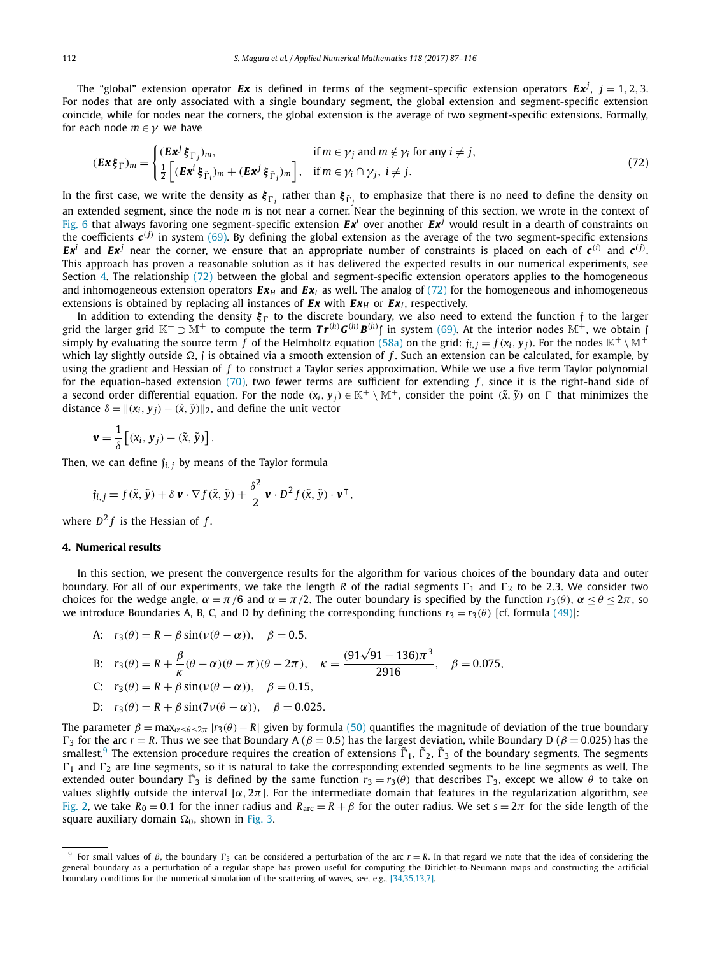<span id="page-25-0"></span>The "global" extension operator  $Ex$  is defined in terms of the segment-specific extension operators  $Ex^j$ ,  $j = 1, 2, 3$ . For nodes that are only associated with a single boundary segment, the global extension and segment-specific extension coincide, while for nodes near the corners, the global extension is the average of two segment-specific extensions. Formally, for each node  $m \in \gamma$  we have

$$
(\mathbf{Ex}\,\xi_{\Gamma})_m = \begin{cases} (\mathbf{Ex}^j \,\xi_{\Gamma_j})_m, & \text{if } m \in \gamma_j \text{ and } m \notin \gamma_i \text{ for any } i \neq j, \\ \frac{1}{2} \Big[ (\mathbf{Ex}^i \,\xi_{\tilde{\Gamma}_i})_m + (\mathbf{Ex}^j \,\xi_{\tilde{\Gamma}_j})_m \Big], & \text{if } m \in \gamma_i \cap \gamma_j, \ i \neq j. \end{cases}
$$
(72)

In the first case, we write the density as  ${\xi_\Gamma}_j$  rather than  ${\xi_\Gamma}_j$  to emphasize that there is no need to define the density on an extended segment, since the node *m* is not near a corner. Near the beginning of this section, we wrote in the context of [Fig. 6](#page-23-0) that always favoring one segment-specific extension  $E x^i$  over another  $E x^j$  would result in a dearth of constraints on the coefficients  $c^{(j)}$  in system [\(69\).](#page-22-0) By defining the global extension as the average of the two segment-specific extensions *Ex<sup>i</sup>* and *Ex<sup>j</sup>* near the corner, we ensure that an appropriate number of constraints is placed on each of  $c^{(i)}$  and  $c^{(j)}$ . This approach has proven a reasonable solution as it has delivered the expected results in our numerical experiments, see Section 4. The relationship (72) between the global and segment-specific extension operators applies to the homogeneous and inhomogeneous extension operators  $E x_H$  and  $E x_I$  as well. The analog of (72) for the homogeneous and inhomogeneous extensions is obtained by replacing all instances of  $Ex$  with  $Ex$ <sup>*H*</sup> or  $Ex$ <sup>*I*</sup>, respectively.

In addition to extending the density  $\xi_{\Gamma}$  to the discrete boundary, we also need to extend the function f to the larger grid the larger grid  $\mathbb{K}^+\supset\mathbb{M}^+$  to compute the term  $\bm{Tr}^{(h)}\bm{G}^{(h)}\bm{B}^{(h)}\mathfrak{f}$  in system [\(69\).](#page-22-0) At the interior nodes  $\mathbb{M}^+$ , we obtain  $\mathfrak{f}$ simply by evaluating the source term *f* of the Helmholtz equation [\(58a\)](#page-18-0) on the grid:  $f_i$ ,  $j = f(x_i, y_j)$ . For the nodes  $\mathbb{K}^+ \setminus \mathbb{M}^+$ which lay slightly outside Ω, ƒ is obtained via a smooth extension of *f* . Such an extension can be calculated, for example, by using the gradient and Hessian of *f* to construct a Taylor series approximation. While we use a five term Taylor polynomial for the equation-based extension [\(70\),](#page-22-0) two fewer terms are sufficient for extending f, since it is the right-hand side of a second order differential equation. For the node  $(x_i, y_j) \in \mathbb{K}^+ \setminus \mathbb{M}^+$ , consider the point  $(\tilde{x}, \tilde{y})$  on  $\Gamma$  that minimizes the distance  $\delta = ||(x_i, y_j) - (\tilde{x}, \tilde{y})||_2$ , and define the unit vector

$$
\mathbf{v} = \frac{1}{\delta} \left[ (x_i, y_j) - (\tilde{x}, \tilde{y}) \right].
$$

Then, we can define f*i,<sup>j</sup>* by means of the Taylor formula

$$
\mathfrak{f}_{i,j} = f(\tilde{x}, \tilde{y}) + \delta \mathbf{v} \cdot \nabla f(\tilde{x}, \tilde{y}) + \frac{\delta^2}{2} \mathbf{v} \cdot D^2 f(\tilde{x}, \tilde{y}) \cdot \mathbf{v}^\mathsf{T}
$$

where  $D^2 f$  is the Hessian of f.

# **4. Numerical results**

In this section, we present the convergence results for the algorithm for various choices of the boundary data and outer boundary. For all of our experiments, we take the length *R* of the radial segments  $\Gamma_1$  and  $\Gamma_2$  to be 2.3. We consider two choices for the wedge angle,  $\alpha = \pi/6$  and  $\alpha = \pi/2$ . The outer boundary is specified by the function  $r_3(\theta)$ ,  $\alpha \le \theta \le 2\pi$ , so we introduce Boundaries A, B, C, and D by defining the corresponding functions  $r_3 = r_3(\theta)$  [cf. formula [\(49\)\]](#page-13-0):

*,*

A: 
$$
r_3(\theta) = R - \beta \sin(\nu(\theta - \alpha)), \quad \beta = 0.5,
$$
  
\nB:  $r_3(\theta) = R + \frac{\beta}{\kappa}(\theta - \alpha)(\theta - \pi)(\theta - 2\pi), \quad \kappa = \frac{(91\sqrt{91} - 136)\pi^3}{2916}, \quad \beta = 0.075,$   
\nC:  $r_3(\theta) = R + \beta \sin(\nu(\theta - \alpha)), \quad \beta = 0.15$ 

c. 
$$
r_3(v) = K + p \sin(v(v - \alpha)), \quad p = 0.13,
$$

D: 
$$
r_3(\theta) = R + \beta \sin(7\nu(\theta - \alpha)), \quad \beta = 0.025
$$

The parameter  $\beta = \max_{\alpha < \theta < 2\pi}$  |*r*<sub>3</sub> $(\theta) - R$ | given by formula [\(50\)](#page-13-0) quantifies the magnitude of deviation of the true boundary  $\Gamma_3$  for the arc *r* = *R*. Thus we see that Boundary A ( $\beta$  = 0.5) has the largest deviation, while Boundary D ( $\beta$  = 0.025) has the smallest.<sup>9</sup> The extension procedure requires the creation of extensions  $\tilde{\Gamma}_1$ ,  $\tilde{\Gamma}_2$ ,  $\tilde{\Gamma}_3$  of the boundary segments. The segments  $\Gamma_1$  and  $\Gamma_2$  are line segments, so it is natural to take the corresponding extended segments to be line segments as well. The extended outer boundary  $\tilde{\Gamma}_3$  is defined by the same function  $r_3 = r_3(\theta)$  that describes  $\Gamma_3$ , except we allow  $\theta$  to take on values slightly outside the interval  $\lbrack \alpha, 2\pi \rbrack$ . For the intermediate domain that features in the regularization algorithm, see [Fig. 2,](#page-7-0) we take  $R_0 = 0.1$  for the inner radius and  $R_{\text{arc}} = R + \beta$  for the outer radius. We set  $s = 2\pi$  for the side length of the square auxiliary domain Ω<sub>0</sub>, shown in [Fig. 3.](#page-17-0)

<sup>&</sup>lt;sup>9</sup> For small values of *β*, the boundary Γ<sub>3</sub> can be considered a perturbation of the arc  $r = R$ . In that regard we note that the idea of considering the general boundary as a perturbation of a regular shape has proven useful for computing the Dirichlet-to-Neumann maps and constructing the artificial boundary conditions for the numerical simulation of the scattering of waves, see, e.g., [\[34,35,13,7\].](#page-29-0)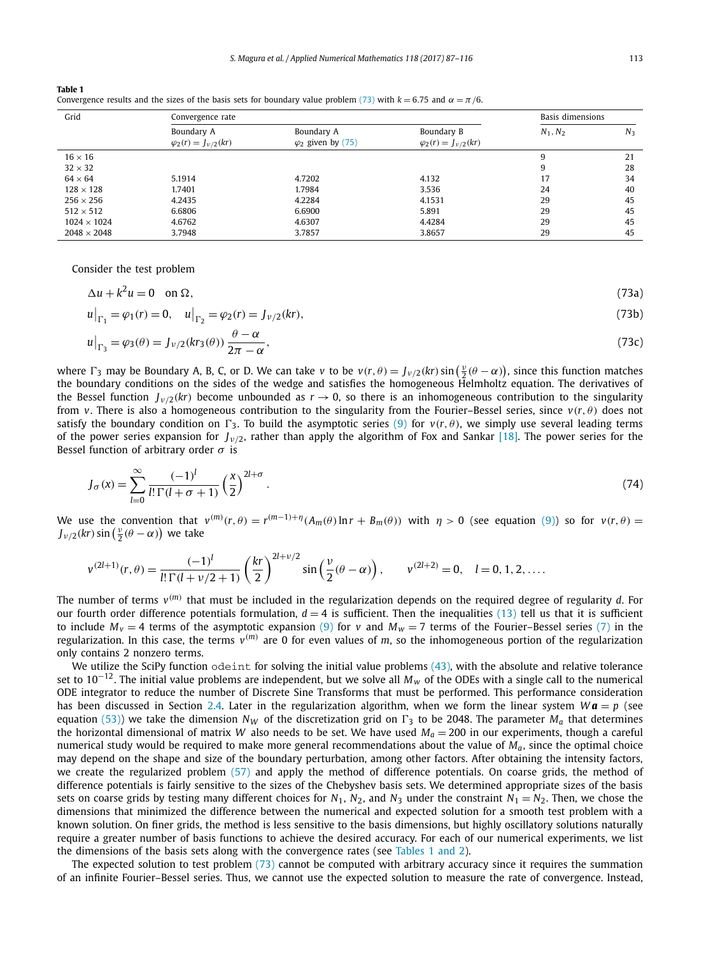<span id="page-26-0"></span>

| <b>Table 1</b>                                                                                                             |  |
|----------------------------------------------------------------------------------------------------------------------------|--|
| Convergence results and the sizes of the basis sets for boundary value problem (73) with $k = 6.75$ and $\alpha = \pi/6$ . |  |

| Grid               | Convergence rate                             |                                         |                                              | Basis dimensions |       |
|--------------------|----------------------------------------------|-----------------------------------------|----------------------------------------------|------------------|-------|
|                    | Boundary A<br>$\varphi_2(r) = J_{\nu/2}(kr)$ | Boundary A<br>$\varphi_2$ given by (75) | Boundary B<br>$\varphi_2(r) = J_{\nu/2}(kr)$ | $N_1, N_2$       | $N_3$ |
| $16 \times 16$     |                                              |                                         |                                              | 9                | 21    |
| $32 \times 32$     |                                              |                                         |                                              | 9                | 28    |
| $64 \times 64$     | 5.1914                                       | 4.7202                                  | 4.132                                        | 17               | 34    |
| $128 \times 128$   | 1.7401                                       | 1.7984                                  | 3.536                                        | 24               | 40    |
| $256 \times 256$   | 4.2435                                       | 4.2284                                  | 4.1531                                       | 29               | 45    |
| $512 \times 512$   | 6.6806                                       | 6.6900                                  | 5.891                                        | 29               | 45    |
| $1024 \times 1024$ | 4.6762                                       | 4.6307                                  | 4.4284                                       | 29               | 45    |
| $2048 \times 2048$ | 3.7948                                       | 3.7857                                  | 3.8657                                       | 29               | 45    |

Consider the test problem

$$
\Delta u + k^2 u = 0 \quad \text{on } \Omega,\tag{73a}
$$

$$
u\big|_{\Gamma_1} = \varphi_1(r) = 0, \quad u\big|_{\Gamma_2} = \varphi_2(r) = J_{\nu/2}(kr),\tag{73b}
$$

$$
u\big|_{\Gamma_3} = \varphi_3(\theta) = J_{\nu/2}(kr_3(\theta))\,\frac{\theta - \alpha}{2\pi - \alpha},\tag{73c}
$$

where  $\Gamma_3$  may be Boundary A, B, C, or D. We can take *v* to be  $v(r, \theta) = J_{\nu/2}(kr) \sin(\frac{\nu}{2}(\theta - \alpha))$ , since this function matches the boundary conditions on the sides of the wedge and satisfies the homogeneous Helmholtz equation. The derivatives of the Bessel function  $J_{\nu/2}(kr)$  become unbounded as  $r \to 0$ , so there is an inhomogeneous contribution to the singularity from *v*. There is also a homogeneous contribution to the singularity from the Fourier–Bessel series, since  $v(r, \theta)$  does not satisfy the boundary condition on  $\Gamma_3$ . To build the asymptotic series [\(9\)](#page-4-0) for  $v(r, \theta)$ , we simply use several leading terms of the power series expansion for  $J_{\nu/2}$ , rather than apply the algorithm of Fox and Sankar [\[18\].](#page-29-0) The power series for the Bessel function of arbitrary order *σ* is

$$
J_{\sigma}(x) = \sum_{l=0}^{\infty} \frac{(-1)^l}{l!\,\Gamma(l+\sigma+1)} \left(\frac{x}{2}\right)^{2l+\sigma}.
$$
\n<sup>(74)</sup>

We use the convention that  $v^{(m)}(r,\theta)=r^{(m-1)+\eta}(A_m(\theta)\ln r+B_m(\theta))$  with  $\eta>0$  (see equation [\(9\)\)](#page-4-0) so for  $v(r,\theta)=$  $J_{\nu/2}(kr) \sin\left(\frac{\nu}{2}(\theta - \alpha)\right)$  we take

$$
v^{(2l+1)}(r,\theta) = \frac{(-1)^l}{l!\,\Gamma(l+\nu/2+1)} \left(\frac{kr}{2}\right)^{2l+\nu/2} \sin\left(\frac{\nu}{2}(\theta-\alpha)\right), \qquad v^{(2l+2)} = 0, \quad l = 0, 1, 2, \ldots.
$$

The number of terms  $v^{(m)}$  that must be included in the regularization depends on the required degree of regularity *d*. For our fourth order difference potentials formulation,  $d = 4$  is sufficient. Then the inequalities [\(13\)](#page-5-0) tell us that it is sufficient to include  $M_v = 4$  terms of the asymptotic expansion [\(9\)](#page-4-0) for *v* and  $M_w = 7$  terms of the Fourier–Bessel series [\(7\)](#page-3-0) in the regularization. In this case, the terms  $v^{(m)}$  are 0 for even values of  $m$ , so the inhomogeneous portion of the regularization only contains 2 nonzero terms.

We utilize the SciPy function  $\circ$ deint for solving the initial value problems [\(43\),](#page-10-0) with the absolute and relative tolerance set to <sup>10</sup><sup>−</sup>12. The initial value problems are independent, but we solve all *Mw* of the ODEs with <sup>a</sup> single call to the numerical ODE integrator to reduce the number of Discrete Sine Transforms that must be performed. This performance consideration has been discussed in Section [2.4.](#page-11-0) Later in the regularization algorithm, when we form the linear system  $W\mathbf{a} = p$  (see equation [\(53\)\)](#page-14-0) we take the dimension  $N_W$  of the discretization grid on  $\Gamma_3$  to be 2048. The parameter  $M_a$  that determines the horizontal dimensional of matrix *W* also needs to be set. We have used  $M_a = 200$  in our experiments, though a careful numerical study would be required to make more general recommendations about the value of  $M_a$ , since the optimal choice may depend on the shape and size of the boundary perturbation, among other factors. After obtaining the intensity factors, we create the regularized problem [\(57\)](#page-16-0) and apply the method of difference potentials. On coarse grids, the method of difference potentials is fairly sensitive to the sizes of the Chebyshev basis sets. We determined appropriate sizes of the basis sets on coarse grids by testing many different choices for  $N_1$ ,  $N_2$ , and  $N_3$  under the constraint  $N_1 = N_2$ . Then, we chose the dimensions that minimized the difference between the numerical and expected solution for a smooth test problem with a known solution. On finer grids, the method is less sensitive to the basis dimensions, but highly oscillatory solutions naturally require a greater number of basis functions to achieve the desired accuracy. For each of our numerical experiments, we list the dimensions of the basis sets along with the convergence rates (see Tables 1 and 2).

The expected solution to test problem (73) cannot be computed with arbitrary accuracy since it requires the summation of an infinite Fourier–Bessel series. Thus, we cannot use the expected solution to measure the rate of convergence. Instead,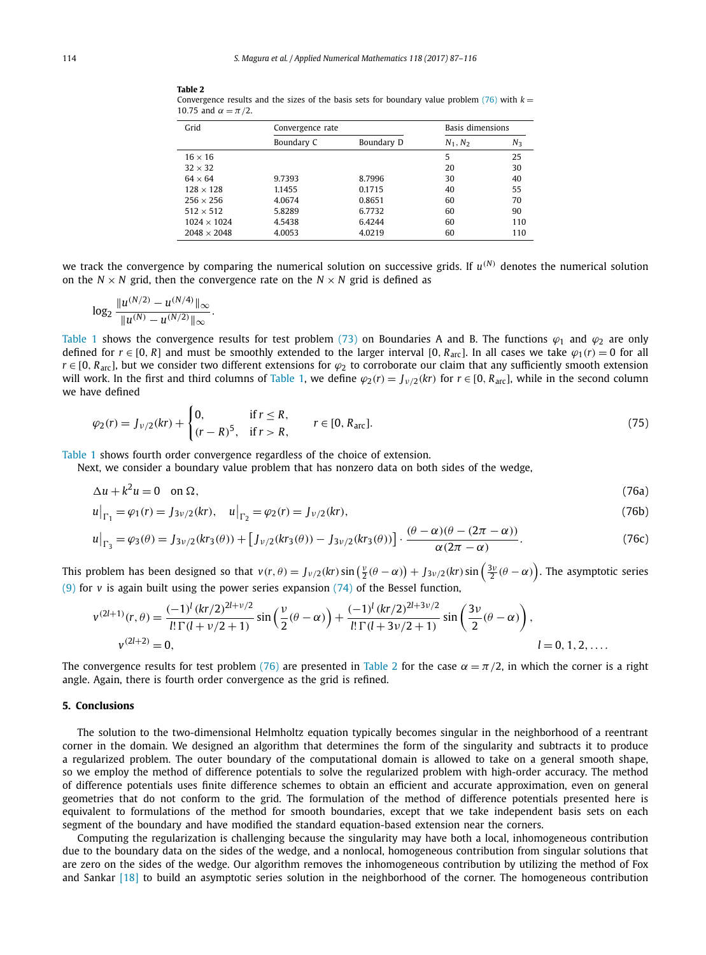| Grid               | Convergence rate |            | Basis dimensions |       |
|--------------------|------------------|------------|------------------|-------|
|                    | Boundary C       | Boundary D | $N_1, N_2$       | $N_3$ |
| $16 \times 16$     |                  |            | 5                | 25    |
| $32 \times 32$     |                  |            | 20               | 30    |
| $64 \times 64$     | 9.7393           | 8.7996     | 30               | 40    |
| $128 \times 128$   | 1.1455           | 0.1715     | 40               | 55    |
| $256 \times 256$   | 4.0674           | 0.8651     | 60               | 70    |
| $512 \times 512$   | 5.8289           | 6.7732     | 60               | 90    |
| $1024 \times 1024$ | 4.5438           | 6.4244     | 60               | 110   |
| $2048 \times 2048$ | 4.0053           | 4.0219     | 60               | 110   |

<span id="page-27-0"></span>**Table 2** Convergence results and the sizes of the basis sets for boundary value problem  $(76)$  with  $k =$ 10.75 and  $\alpha = \pi/2$ .

we track the convergence by comparing the numerical solution on successive grids. If  $u^{(N)}$  denotes the numerical solution on the  $N \times N$  grid, then the convergence rate on the  $N \times N$  grid is defined as

$$
\log_2 \frac{\|u^{(N/2)} - u^{(N/4)}\|_{\infty}}{\|u^{(N)} - u^{(N/2)}\|_{\infty}}.
$$

[Table 1](#page-26-0) shows the convergence results for test problem [\(73\)](#page-26-0) on Boundaries A and B. The functions  $\varphi_1$  and  $\varphi_2$  are only defined for  $r \in [0, R]$  and must be smoothly extended to the larger interval  $[0, R_{\text{arc}}]$ . In all cases we take  $\varphi_1(r) = 0$  for all  $r \in [0, R_{\text{arc}}]$ , but we consider two different extensions for  $\varphi_2$  to corroborate our claim that any sufficiently smooth extension will work. In the first and third columns of [Table 1,](#page-26-0) we define  $\varphi_2(r) = J_{\nu/2}(kr)$  for  $r \in [0, R_{\text{arc}}]$ , while in the second column we have defined

$$
\varphi_2(r) = J_{\nu/2}(kr) + \begin{cases} 0, & \text{if } r \le R, \\ (r - R)^5, & \text{if } r > R, \end{cases} \qquad r \in [0, R_{\text{arc}}].\tag{75}
$$

[Table 1](#page-26-0) shows fourth order convergence regardless of the choice of extension.

Next, we consider a boundary value problem that has nonzero data on both sides of the wedge,

$$
\Delta u + k^2 u = 0 \quad \text{on } \Omega,\tag{76a}
$$

$$
u\big|_{\Gamma_1} = \varphi_1(r) = J_{3\nu/2}(kr), \quad u\big|_{\Gamma_2} = \varphi_2(r) = J_{\nu/2}(kr),\tag{76b}
$$

$$
u\big|_{\Gamma_3} = \varphi_3(\theta) = J_{3\nu/2}(kr_3(\theta)) + \big[J_{\nu/2}(kr_3(\theta)) - J_{3\nu/2}(kr_3(\theta))\big] \cdot \frac{(\theta - \alpha)(\theta - (2\pi - \alpha))}{\alpha(2\pi - \alpha)}.
$$
 (76c)

This problem has been designed so that  $v(r,\theta)=J_{\nu/2}(kr)\sin\left(\frac{\nu}{2}(\theta-\alpha)\right)+J_{3\nu/2}(kr)\sin\left(\frac{3\nu}{2}(\theta-\alpha)\right).$  The asymptotic series [\(9\)](#page-4-0) for *v* is again built using the power series expansion [\(74\)](#page-26-0) of the Bessel function,

$$
v^{(2l+1)}(r,\theta) = \frac{(-1)^l (kr/2)^{2l+\nu/2}}{l!\,\Gamma(l+\nu/2+1)} \sin\left(\frac{\nu}{2}(\theta-\alpha)\right) + \frac{(-1)^l (kr/2)^{2l+3\nu/2}}{l!\,\Gamma(l+3\nu/2+1)} \sin\left(\frac{3\nu}{2}(\theta-\alpha)\right),
$$
  
\n
$$
v^{(2l+2)} = 0,
$$
  
\n
$$
l = 0, 1, 2, ....
$$

The convergence results for test problem (76) are presented in Table 2 for the case  $\alpha = \pi/2$ , in which the corner is a right angle. Again, there is fourth order convergence as the grid is refined.

# **5. Conclusions**

The solution to the two-dimensional Helmholtz equation typically becomes singular in the neighborhood of a reentrant corner in the domain. We designed an algorithm that determines the form of the singularity and subtracts it to produce a regularized problem. The outer boundary of the computational domain is allowed to take on a general smooth shape, so we employ the method of difference potentials to solve the regularized problem with high-order accuracy. The method of difference potentials uses finite difference schemes to obtain an efficient and accurate approximation, even on general geometries that do not conform to the grid. The formulation of the method of difference potentials presented here is equivalent to formulations of the method for smooth boundaries, except that we take independent basis sets on each segment of the boundary and have modified the standard equation-based extension near the corners.

Computing the regularization is challenging because the singularity may have both a local, inhomogeneous contribution due to the boundary data on the sides of the wedge, and a nonlocal, homogeneous contribution from singular solutions that are zero on the sides of the wedge. Our algorithm removes the inhomogeneous contribution by utilizing the method of Fox and Sankar [\[18\]](#page-29-0) to build an asymptotic series solution in the neighborhood of the corner. The homogeneous contribution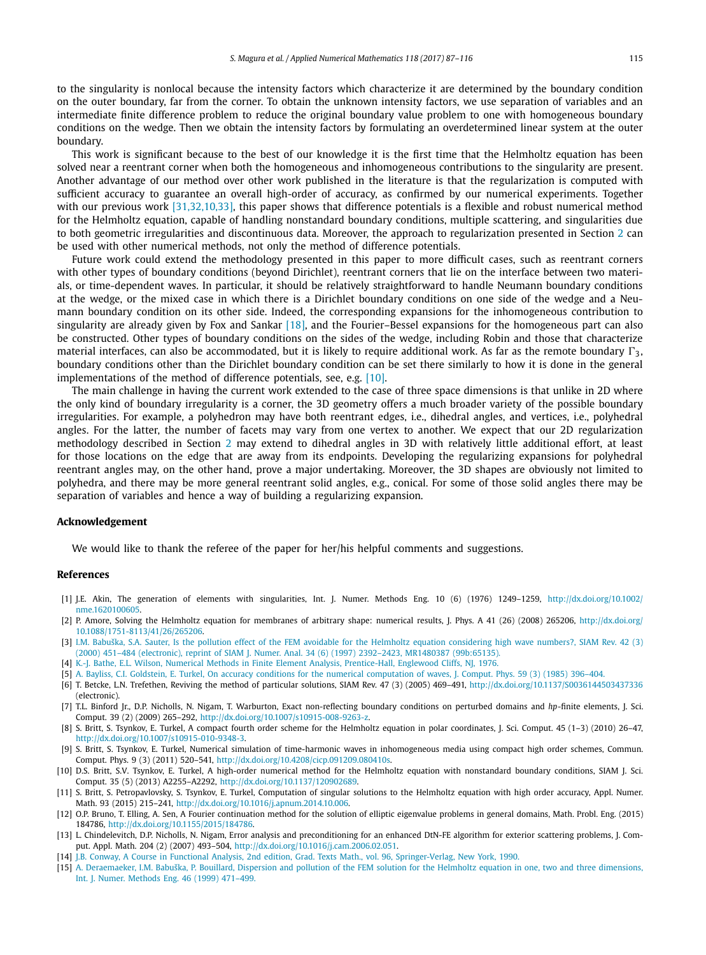<span id="page-28-0"></span>to the singularity is nonlocal because the intensity factors which characterize it are determined by the boundary condition on the outer boundary, far from the corner. To obtain the unknown intensity factors, we use separation of variables and an intermediate finite difference problem to reduce the original boundary value problem to one with homogeneous boundary conditions on the wedge. Then we obtain the intensity factors by formulating an overdetermined linear system at the outer boundary.

This work is significant because to the best of our knowledge it is the first time that the Helmholtz equation has been solved near a reentrant corner when both the homogeneous and inhomogeneous contributions to the singularity are present. Another advantage of our method over other work published in the literature is that the regularization is computed with sufficient accuracy to guarantee an overall high-order of accuracy, as confirmed by our numerical experiments. Together with our previous work [\[31,32,10,33\],](#page-29-0) this paper shows that difference potentials is a flexible and robust numerical method for the Helmholtz equation, capable of handling nonstandard boundary conditions, multiple scattering, and singularities due to both geometric irregularities and discontinuous data. Moreover, the approach to regularization presented in Section [2](#page-4-0) can be used with other numerical methods, not only the method of difference potentials.

Future work could extend the methodology presented in this paper to more difficult cases, such as reentrant corners with other types of boundary conditions (beyond Dirichlet), reentrant corners that lie on the interface between two materials, or time-dependent waves. In particular, it should be relatively straightforward to handle Neumann boundary conditions at the wedge, or the mixed case in which there is a Dirichlet boundary conditions on one side of the wedge and a Neumann boundary condition on its other side. Indeed, the corresponding expansions for the inhomogeneous contribution to singularity are already given by Fox and Sankar [\[18\],](#page-29-0) and the Fourier–Bessel expansions for the homogeneous part can also be constructed. Other types of boundary conditions on the sides of the wedge, including Robin and those that characterize material interfaces, can also be accommodated, but it is likely to require additional work. As far as the remote boundary  $\Gamma_3$ , boundary conditions other than the Dirichlet boundary condition can be set there similarly to how it is done in the general implementations of the method of difference potentials, see, e.g. [10].

The main challenge in having the current work extended to the case of three space dimensions is that unlike in 2D where the only kind of boundary irregularity is a corner, the 3D geometry offers a much broader variety of the possible boundary irregularities. For example, a polyhedron may have both reentrant edges, i.e., dihedral angles, and vertices, i.e., polyhedral angles. For the latter, the number of facets may vary from one vertex to another. We expect that our 2D regularization methodology described in Section [2](#page-4-0) may extend to dihedral angles in 3D with relatively little additional effort, at least for those locations on the edge that are away from its endpoints. Developing the regularizing expansions for polyhedral reentrant angles may, on the other hand, prove a major undertaking. Moreover, the 3D shapes are obviously not limited to polyhedra, and there may be more general reentrant solid angles, e.g., conical. For some of those solid angles there may be separation of variables and hence a way of building a regularizing expansion.

# **Acknowledgement**

We would like to thank the referee of the paper for her/his helpful comments and suggestions.

# **References**

- [1] J.E. Akin, The generation of elements with singularities, Int. J. Numer. Methods Eng. 10 (6) (1976) 1249–1259, [http://dx.doi.org/10.1002/](http://dx.doi.org/10.1002/nme.1620100605) [nme.1620100605.](http://dx.doi.org/10.1002/nme.1620100605)
- P. Amore, Solving the Helmholtz equation for membranes of arbitrary shape: numerical results, J. Phys. A 41 (26) (2008) 265206, [http://dx.doi.org/](http://dx.doi.org/10.1088/1751-8113/41/26/265206) [10.1088/1751-8113/41/26/265206](http://dx.doi.org/10.1088/1751-8113/41/26/265206).
- [3] I.M. Babuška, S.A. Sauter, Is the pollution effect of the FEM avoidable for the Helmholtz equation [considering](http://refhub.elsevier.com/S0168-9274(17)30058-2/bib6273s1) high wave numbers?, SIAM Rev. 42 (3) (2000) 451–484 (electronic), reprint of SIAM J. Numer. Anal. 34 (6) (1997) 2392–2423, MR1480387 [\(99b:65135\).](http://refhub.elsevier.com/S0168-9274(17)30058-2/bib6273s1)
- [4] K.-J. Bathe, E.L. Wilson, Numerical Methods in Finite Element Analysis, [Prentice-Hall,](http://refhub.elsevier.com/S0168-9274(17)30058-2/bib62617468652D31393736s1) Englewood Cliffs, NJ, 1976.
- [5] A. Bayliss, C.I. Goldstein, E. Turkel, On accuracy conditions for the numerical [computation](http://refhub.elsevier.com/S0168-9274(17)30058-2/bib616363s1) of waves, J. Comput. Phys. 59 (3) (1985) 396–404.
- [6] T. Betcke, L.N. Trefethen, Reviving the method of particular solutions, SIAM Rev. 47 (3) (2005) 469–491, <http://dx.doi.org/10.1137/S0036144503437336> (electronic).
- [7] T.L. Binford Jr., D.P. Nicholls, N. Nigam, T. Warburton, Exact non-reflecting boundary conditions on perturbed domains and *hp*-finite elements, J. Sci. Comput. 39 (2) (2009) 265–292, <http://dx.doi.org/10.1007/s10915-008-9263-z>.
- [8] S. Britt, S. Tsynkov, E. Turkel, A compact fourth order scheme for the Helmholtz equation in polar coordinates, J. Sci. Comput. 45 (1–3) (2010) 26–47, [http://dx.doi.org/10.1007/s10915-010-9348-3.](http://dx.doi.org/10.1007/s10915-010-9348-3)
- [9] S. Britt, S. Tsynkov, E. Turkel, Numerical simulation of time-harmonic waves in inhomogeneous media using compact high order schemes, Commun. Comput. Phys. 9 (3) (2011) 520–541, [http://dx.doi.org/10.4208/cicp.091209.080410s.](http://dx.doi.org/10.4208/cicp.091209.080410s)
- [10] D.S. Britt, S.V. Tsynkov, E. Turkel, A high-order numerical method for the Helmholtz equation with nonstandard boundary conditions, SIAM J. Sci. Comput. 35 (5) (2013) A2255–A2292, <http://dx.doi.org/10.1137/120902689>.
- [11] S. Britt, S. Petropavlovsky, S. Tsynkov, E. Turkel, Computation of singular solutions to the Helmholtz equation with high order accuracy, Appl. Numer. Math. 93 (2015) 215–241, [http://dx.doi.org/10.1016/j.apnum.2014.10.006.](http://dx.doi.org/10.1016/j.apnum.2014.10.006)
- [12] O.P. Bruno, T. Elling, A. Sen, A Fourier continuation method for the solution of elliptic eigenvalue problems in general domains, Math. Probl. Eng. (2015) 184786, <http://dx.doi.org/10.1155/2015/184786>.
- [13] L. Chindelevitch, D.P. Nicholls, N. Nigam, Error analysis and preconditioning for an enhanced DtN-FE algorithm for exterior scattering problems, J. Comput. Appl. Math. 204 (2) (2007) 493–504, <http://dx.doi.org/10.1016/j.cam.2006.02.051>.
- [14] J.B. Conway, A Course in Functional Analysis, 2nd edition, Grad. Texts Math., vol. 96, [Springer-Verlag,](http://refhub.elsevier.com/S0168-9274(17)30058-2/bib636F6E7761793139393066756E6374696F6E616Cs1) New York, 1990.
- [15] A. [Deraemaeker,](http://refhub.elsevier.com/S0168-9274(17)30058-2/bib646572s1) I.M. Babuška, P. Bouillard, Dispersion and pollution of the FEM solution for the Helmholtz equation in one, two and three dimensions, Int. J. Numer. Methods Eng. 46 (1999) [471–499.](http://refhub.elsevier.com/S0168-9274(17)30058-2/bib646572s1)